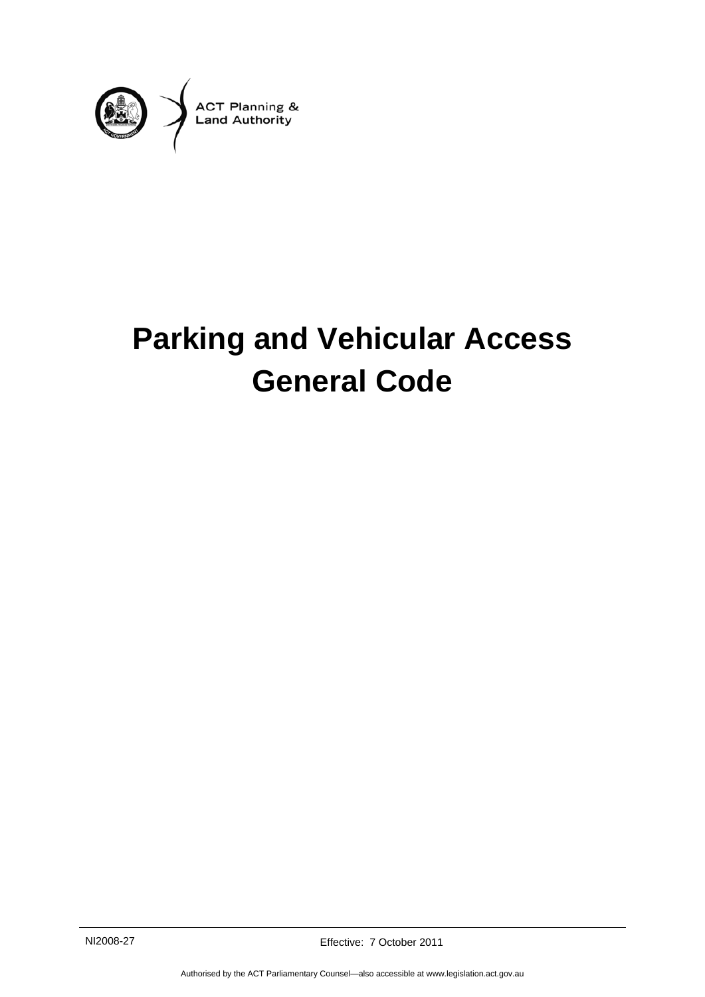

# **Parking and Vehicular Access General Code**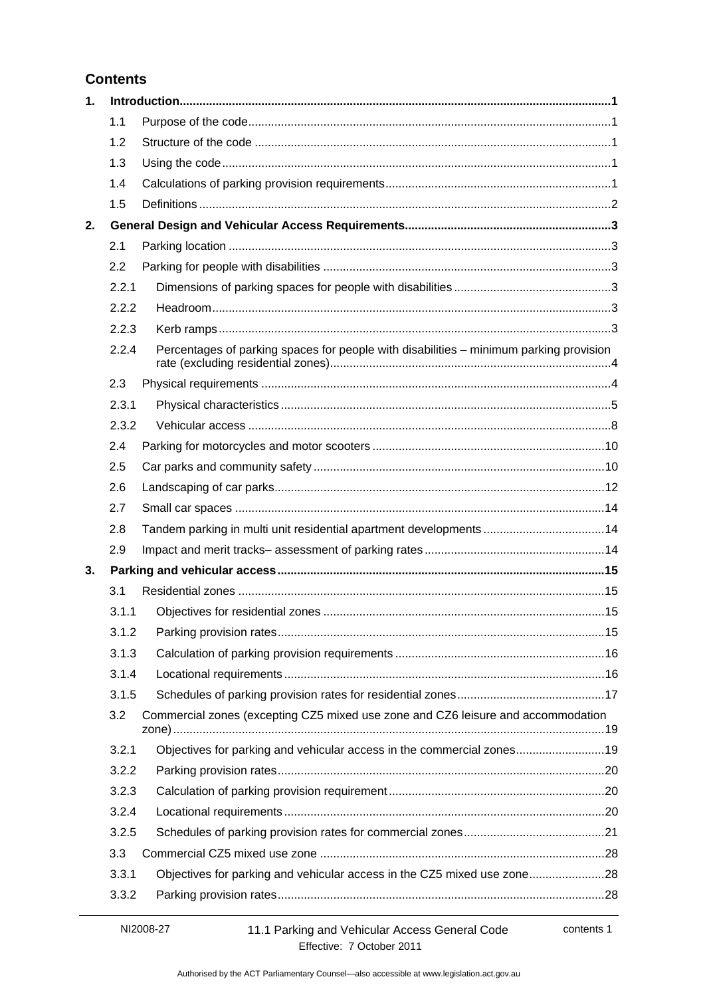## **Contents**

| 1. |       |                                                                                        |  |
|----|-------|----------------------------------------------------------------------------------------|--|
|    | 1.1   |                                                                                        |  |
|    | 1.2   |                                                                                        |  |
|    | 1.3   |                                                                                        |  |
|    | 1.4   |                                                                                        |  |
|    | 1.5   |                                                                                        |  |
| 2. |       |                                                                                        |  |
|    | 2.1   |                                                                                        |  |
|    | 2.2   |                                                                                        |  |
|    | 2.2.1 |                                                                                        |  |
|    | 2.2.2 |                                                                                        |  |
|    | 2.2.3 |                                                                                        |  |
|    | 2.2.4 | Percentages of parking spaces for people with disabilities - minimum parking provision |  |
|    | 2.3   |                                                                                        |  |
|    | 2.3.1 |                                                                                        |  |
|    | 2.3.2 |                                                                                        |  |
|    | 2.4   |                                                                                        |  |
|    | 2.5   |                                                                                        |  |
|    | 2.6   |                                                                                        |  |
|    | 2.7   |                                                                                        |  |
|    | 2.8   | Tandem parking in multi unit residential apartment developments14                      |  |
|    | 2.9   |                                                                                        |  |
| 3. |       |                                                                                        |  |
|    | 3.1   |                                                                                        |  |
|    | 3.1.1 |                                                                                        |  |
|    | 3.1.2 |                                                                                        |  |
|    | 3.1.3 |                                                                                        |  |
|    | 3.1.4 |                                                                                        |  |
|    | 3.1.5 |                                                                                        |  |
|    | 3.2   | Commercial zones (excepting CZ5 mixed use zone and CZ6 leisure and accommodation       |  |
|    | 3.2.1 | Objectives for parking and vehicular access in the commercial zones19                  |  |
|    | 3.2.2 |                                                                                        |  |
|    | 3.2.3 |                                                                                        |  |
|    | 3.2.4 |                                                                                        |  |
|    | 3.2.5 |                                                                                        |  |
|    | 3.3   |                                                                                        |  |
|    | 3.3.1 | Objectives for parking and vehicular access in the CZ5 mixed use zone28                |  |
|    | 3.3.2 |                                                                                        |  |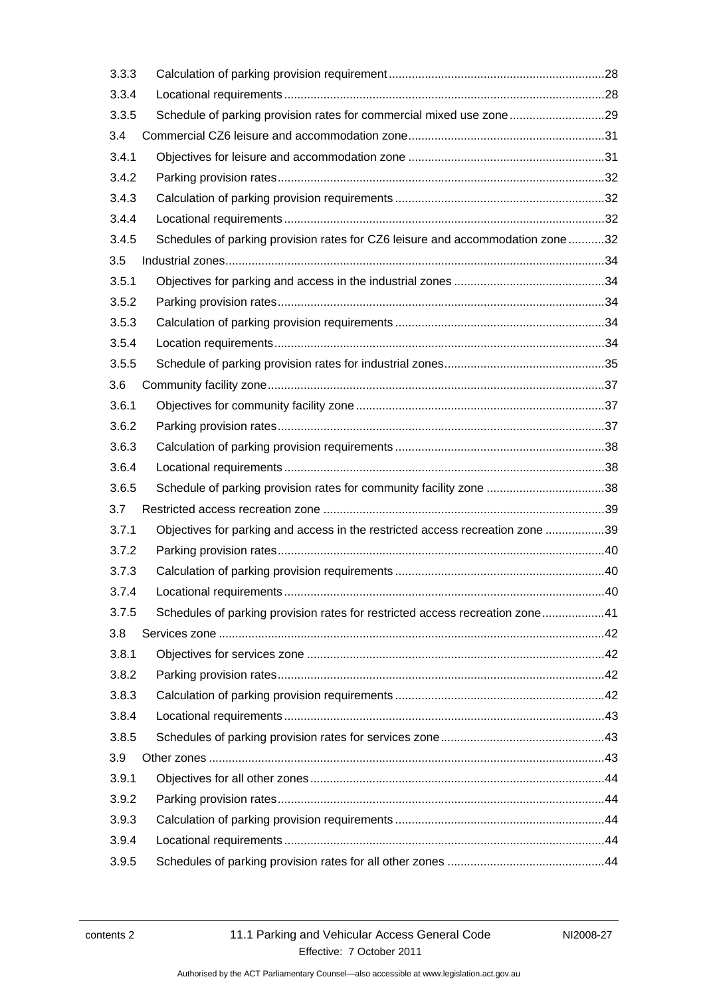| 3.3.3 |                                                                                |  |
|-------|--------------------------------------------------------------------------------|--|
| 3.3.4 |                                                                                |  |
| 3.3.5 | Schedule of parking provision rates for commercial mixed use zone29            |  |
| 3.4   |                                                                                |  |
| 3.4.1 |                                                                                |  |
| 3.4.2 |                                                                                |  |
| 3.4.3 |                                                                                |  |
| 3.4.4 |                                                                                |  |
| 3.4.5 | Schedules of parking provision rates for CZ6 leisure and accommodation zone 32 |  |
| 3.5   |                                                                                |  |
| 3.5.1 |                                                                                |  |
| 3.5.2 |                                                                                |  |
| 3.5.3 |                                                                                |  |
| 3.5.4 |                                                                                |  |
| 3.5.5 |                                                                                |  |
| 3.6   |                                                                                |  |
| 3.6.1 |                                                                                |  |
| 3.6.2 |                                                                                |  |
| 3.6.3 |                                                                                |  |
| 3.6.4 |                                                                                |  |
| 3.6.5 | Schedule of parking provision rates for community facility zone 38             |  |
| 3.7   |                                                                                |  |
| 3.7.1 | Objectives for parking and access in the restricted access recreation zone 39  |  |
| 3.7.2 |                                                                                |  |
| 3.7.3 |                                                                                |  |
| 3.7.4 |                                                                                |  |
| 3.7.5 | Schedules of parking provision rates for restricted access recreation zone41   |  |
| 3.8   |                                                                                |  |
| 3.8.1 |                                                                                |  |
| 3.8.2 |                                                                                |  |
| 3.8.3 |                                                                                |  |
| 3.8.4 |                                                                                |  |
| 3.8.5 |                                                                                |  |
| 3.9   |                                                                                |  |
| 3.9.1 |                                                                                |  |
| 3.9.2 |                                                                                |  |
| 3.9.3 |                                                                                |  |
| 3.9.4 |                                                                                |  |
| 3.9.5 |                                                                                |  |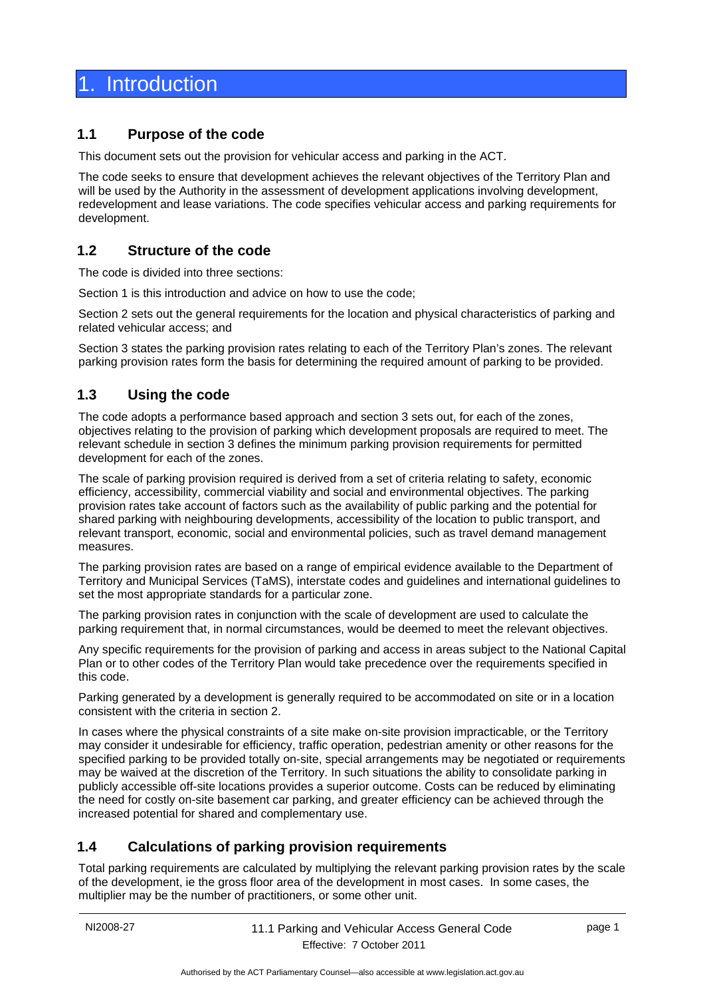## <span id="page-4-0"></span>**Introduction**

## <span id="page-4-1"></span>**1.1 Purpose of the code**

This document sets out the provision for vehicular access and parking in the ACT.

The code seeks to ensure that development achieves the relevant objectives of the Territory Plan and will be used by the Authority in the assessment of development applications involving development, redevelopment and lease variations. The code specifies vehicular access and parking requirements for development.

## <span id="page-4-2"></span>**1.2 Structure of the code**

The code is divided into three sections:

Section 1 is this introduction and advice on how to use the code;

Section 2 sets out the general requirements for the location and physical characteristics of parking and related vehicular access; and

Section 3 states the parking provision rates relating to each of the Territory Plan's zones. The relevant parking provision rates form the basis for determining the required amount of parking to be provided.

## <span id="page-4-3"></span>**1.3 Using the code**

The code adopts a performance based approach and section 3 sets out, for each of the zones, objectives relating to the provision of parking which development proposals are required to meet. The relevant schedule in section 3 defines the minimum parking provision requirements for permitted development for each of the zones.

The scale of parking provision required is derived from a set of criteria relating to safety, economic efficiency, accessibility, commercial viability and social and environmental objectives. The parking provision rates take account of factors such as the availability of public parking and the potential for shared parking with neighbouring developments, accessibility of the location to public transport, and relevant transport, economic, social and environmental policies, such as travel demand management measures.

The parking provision rates are based on a range of empirical evidence available to the Department of Territory and Municipal Services (TaMS), interstate codes and guidelines and international guidelines to set the most appropriate standards for a particular zone.

The parking provision rates in conjunction with the scale of development are used to calculate the parking requirement that, in normal circumstances, would be deemed to meet the relevant objectives.

Any specific requirements for the provision of parking and access in areas subject to the National Capital Plan or to other codes of the Territory Plan would take precedence over the requirements specified in this code.

Parking generated by a development is generally required to be accommodated on site or in a location consistent with the criteria in section 2.

In cases where the physical constraints of a site make on-site provision impracticable, or the Territory may consider it undesirable for efficiency, traffic operation, pedestrian amenity or other reasons for the specified parking to be provided totally on-site, special arrangements may be negotiated or requirements may be waived at the discretion of the Territory. In such situations the ability to consolidate parking in publicly accessible off-site locations provides a superior outcome. Costs can be reduced by eliminating the need for costly on-site basement car parking, and greater efficiency can be achieved through the increased potential for shared and complementary use.

## <span id="page-4-4"></span>**1.4 Calculations of parking provision requirements**

Total parking requirements are calculated by multiplying the relevant parking provision rates by the scale of the development, ie the gross floor area of the development in most cases. In some cases, the multiplier may be the number of practitioners, or some other unit.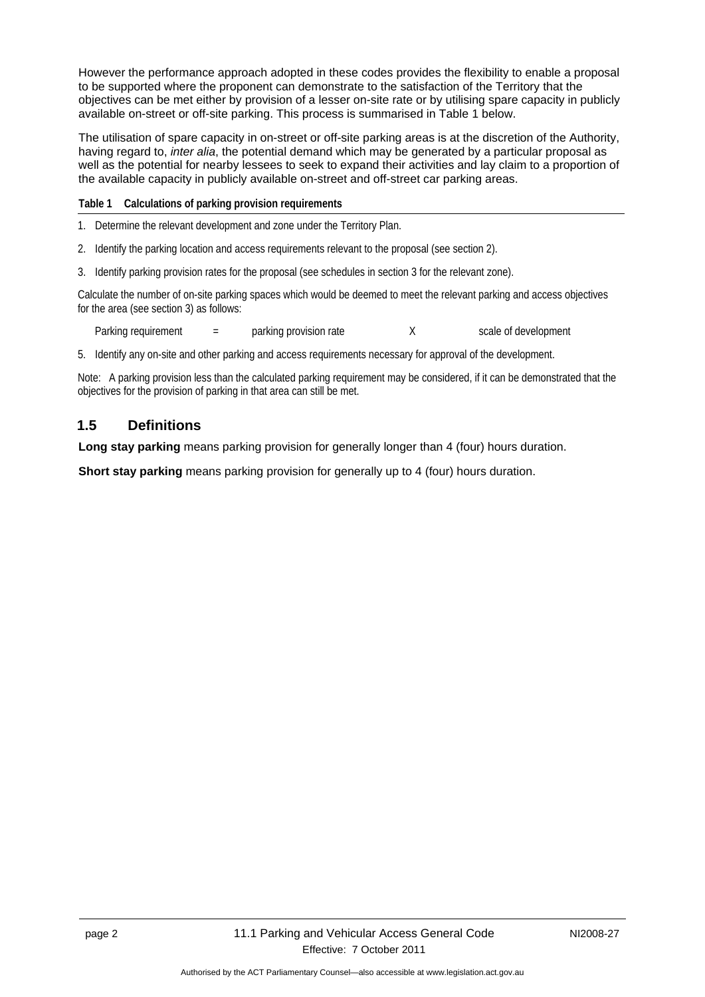However the performance approach adopted in these codes provides the flexibility to enable a proposal to be supported where the proponent can demonstrate to the satisfaction of the Territory that the objectives can be met either by provision of a lesser on-site rate or by utilising spare capacity in publicly available on-street or off-site parking. This process is summarised in Table 1 below.

The utilisation of spare capacity in on-street or off-site parking areas is at the discretion of the Authority, having regard to, *inter alia*, the potential demand which may be generated by a particular proposal as well as the potential for nearby lessees to seek to expand their activities and lay claim to a proportion of the available capacity in publicly available on-street and off-street car parking areas.

**Table 1 Calculations of parking provision requirements**

1. Determine the relevant development and zone under the Territory Plan.

2. Identify the parking location and access requirements relevant to the proposal (see section 2).

3. Identify parking provision rates for the proposal (see schedules in section 3 for the relevant zone).

Calculate the number of on-site parking spaces which would be deemed to meet the relevant parking and access objectives for the area (see section 3) as follows:

Parking requirement = parking provision rate X scale of development

5. Identify any on-site and other parking and access requirements necessary for approval of the development.

Note: A parking provision less than the calculated parking requirement may be considered, if it can be demonstrated that the objectives for the provision of parking in that area can still be met.

## <span id="page-5-0"></span>**1.5 Definitions**

**Long stay parking** means parking provision for generally longer than 4 (four) hours duration.

**Short stay parking** means parking provision for generally up to 4 (four) hours duration.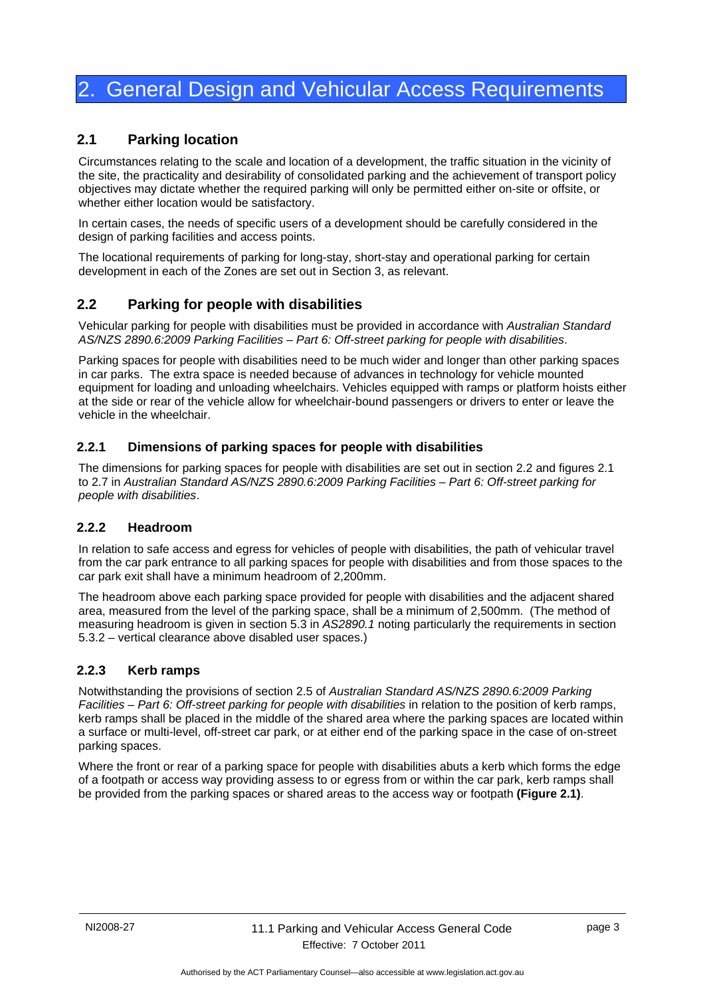## <span id="page-6-0"></span>2. General Design and Vehicular Access Requirements

## <span id="page-6-1"></span>**2.1 Parking location**

Circumstances relating to the scale and location of a development, the traffic situation in the vicinity of the site, the practicality and desirability of consolidated parking and the achievement of transport policy objectives may dictate whether the required parking will only be permitted either on-site or offsite, or whether either location would be satisfactory.

In certain cases, the needs of specific users of a development should be carefully considered in the design of parking facilities and access points.

The locational requirements of parking for long-stay, short-stay and operational parking for certain development in each of the Zones are set out in Section 3, as relevant.

## <span id="page-6-2"></span>**2.2 Parking for people with disabilities**

Vehicular parking for people with disabilities must be provided in accordance with *Australian Standard AS/NZS 2890.6:2009 Parking Facilities – Part 6: Off-street parking for people with disabilities*.

Parking spaces for people with disabilities need to be much wider and longer than other parking spaces in car parks. The extra space is needed because of advances in technology for vehicle mounted equipment for loading and unloading wheelchairs. Vehicles equipped with ramps or platform hoists either at the side or rear of the vehicle allow for wheelchair-bound passengers or drivers to enter or leave the vehicle in the wheelchair.

## <span id="page-6-3"></span>**2.2.1 Dimensions of parking spaces for people with disabilities**

The dimensions for parking spaces for people with disabilities are set out in section 2.2 and figures 2.1 to 2.7 in *Australian Standard AS/NZS 2890.6:2009 Parking Facilities – Part 6: Off-street parking for people with disabilities*.

## <span id="page-6-4"></span>**2.2.2 Headroom**

In relation to safe access and egress for vehicles of people with disabilities, the path of vehicular travel from the car park entrance to all parking spaces for people with disabilities and from those spaces to the car park exit shall have a minimum headroom of 2,200mm.

The headroom above each parking space provided for people with disabilities and the adjacent shared area, measured from the level of the parking space, shall be a minimum of 2,500mm. (The method of measuring headroom is given in section 5.3 in *AS2890.1* noting particularly the requirements in section 5.3.2 – vertical clearance above disabled user spaces.)

## <span id="page-6-5"></span>**2.2.3 Kerb ramps**

Notwithstanding the provisions of section 2.5 of *Australian Standard AS/NZS 2890.6:2009 Parking Facilities – Part 6: Off-street parking for people with disabilities* in relation to the position of kerb ramps, kerb ramps shall be placed in the middle of the shared area where the parking spaces are located within a surface or multi-level, off-street car park, or at either end of the parking space in the case of on-street parking spaces.

Where the front or rear of a parking space for people with disabilities abuts a kerb which forms the edge of a footpath or access way providing assess to or egress from or within the car park, kerb ramps shall be provided from the parking spaces or shared areas to the access way or footpath **(Figure 2.1)**.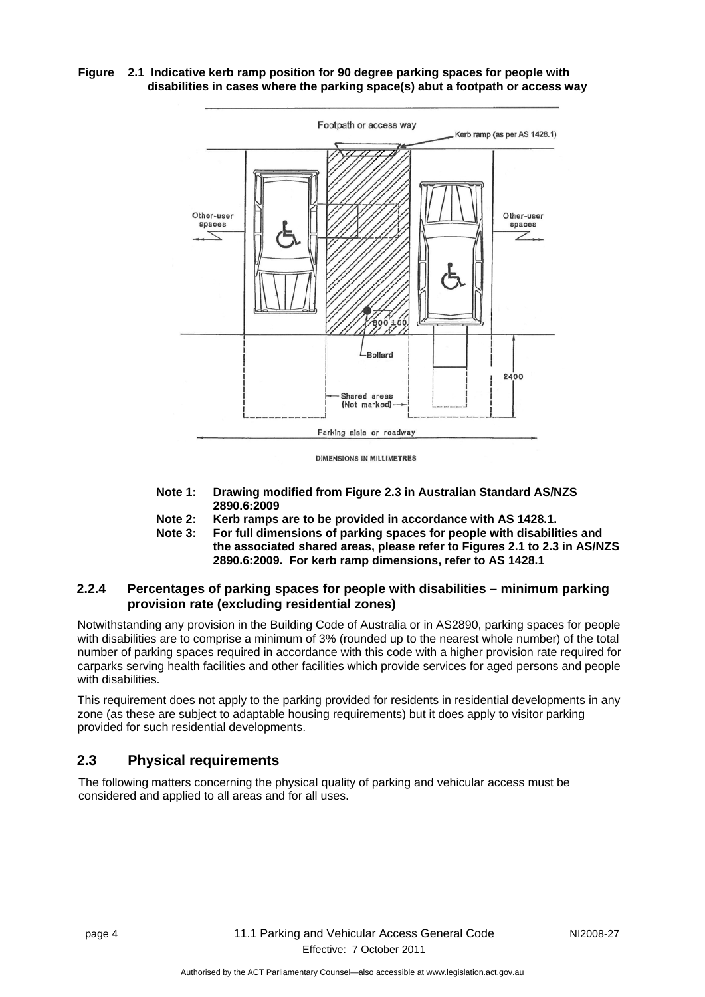#### **Figure 2.1 Indicative kerb ramp position for 90 degree parking spaces for people with disabilities in cases where the parking space(s) abut a footpath or access way**



- **Note 1: Drawing modified from Figure 2.3 in Australian Standard AS/NZS 2890.6:2009**
- **Note 2: Kerb ramps are to be provided in accordance with AS 1428.1.**
- **Note 3: For full dimensions of parking spaces for people with disabilities and the associated shared areas, please refer to Figures 2.1 to 2.3 in AS/NZS 2890.6:2009. For kerb ramp dimensions, refer to AS 1428.1**

## <span id="page-7-0"></span>**2.2.4 Percentages of parking spaces for people with disabilities – minimum parking provision rate (excluding residential zones)**

Notwithstanding any provision in the Building Code of Australia or in AS2890, parking spaces for people with disabilities are to comprise a minimum of 3% (rounded up to the nearest whole number) of the total number of parking spaces required in accordance with this code with a higher provision rate required for carparks serving health facilities and other facilities which provide services for aged persons and people with disabilities.

This requirement does not apply to the parking provided for residents in residential developments in any zone (as these are subject to adaptable housing requirements) but it does apply to visitor parking provided for such residential developments.

## <span id="page-7-1"></span>**2.3 Physical requirements**

The following matters concerning the physical quality of parking and vehicular access must be considered and applied to all areas and for all uses.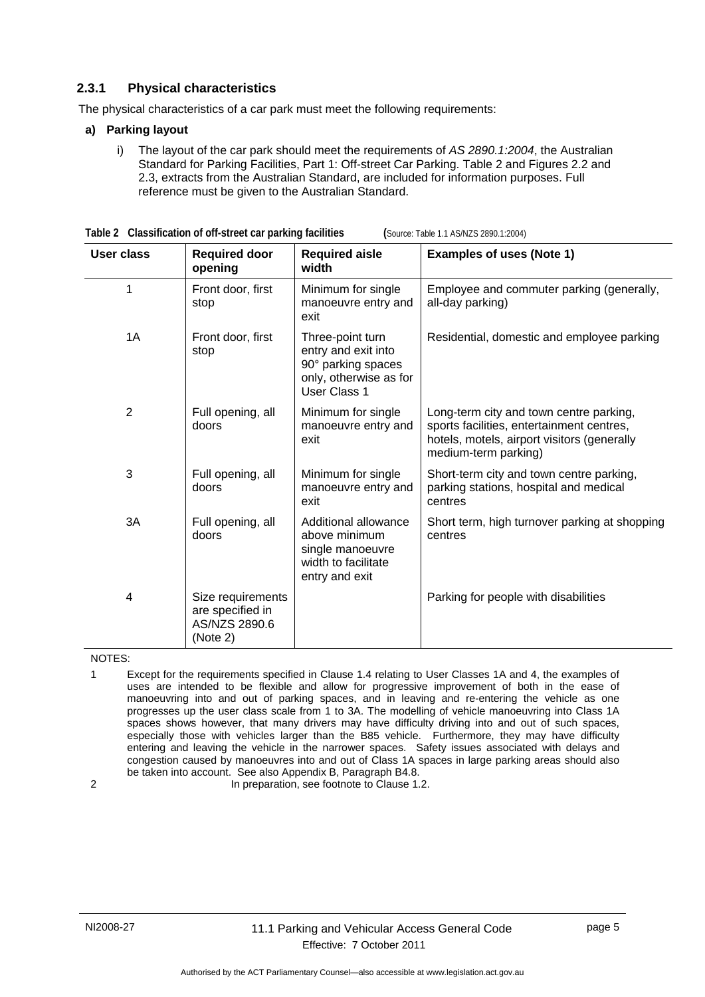## <span id="page-8-0"></span>**2.3.1 Physical characteristics**

The physical characteristics of a car park must meet the following requirements:

#### **a) Parking layout**

i) The layout of the car park should meet the requirements of *AS 2890.1:2004*, the Australian Standard for Parking Facilities, Part 1: Off-street Car Parking. Table 2 and Figures 2.2 and 2.3, extracts from the Australian Standard, are included for information purposes. Full reference must be given to the Australian Standard.

| <b>User class</b> | <b>Required door</b><br>opening                                    | <b>Required aisle</b><br>width                                                                                 | <b>Examples of uses (Note 1)</b>                                                                                                                            |
|-------------------|--------------------------------------------------------------------|----------------------------------------------------------------------------------------------------------------|-------------------------------------------------------------------------------------------------------------------------------------------------------------|
| 1                 | Front door, first<br>stop                                          | Minimum for single<br>manoeuvre entry and<br>exit                                                              | Employee and commuter parking (generally,<br>all-day parking)                                                                                               |
| 1A                | Front door, first<br>stop                                          | Three-point turn<br>entry and exit into<br>90° parking spaces<br>only, otherwise as for<br><b>User Class 1</b> | Residential, domestic and employee parking                                                                                                                  |
| $\overline{2}$    | Full opening, all<br>doors                                         | Minimum for single<br>manoeuvre entry and<br>exit                                                              | Long-term city and town centre parking,<br>sports facilities, entertainment centres,<br>hotels, motels, airport visitors (generally<br>medium-term parking) |
| 3                 | Full opening, all<br>doors                                         | Minimum for single<br>manoeuvre entry and<br>exit                                                              | Short-term city and town centre parking,<br>parking stations, hospital and medical<br>centres                                                               |
| 3A                | Full opening, all<br>doors                                         | Additional allowance<br>above minimum<br>single manoeuvre<br>width to facilitate<br>entry and exit             | Short term, high turnover parking at shopping<br>centres                                                                                                    |
| 4                 | Size requirements<br>are specified in<br>AS/NZS 2890.6<br>(Note 2) |                                                                                                                | Parking for people with disabilities                                                                                                                        |

| Table 2 Classification of off-street car parking facilities |  |
|-------------------------------------------------------------|--|
|-------------------------------------------------------------|--|

**Table 2 Classification of off-street car parking facilities (**Source: Table 1.1 AS/NZS 2890.1:2004)

NOTES:

1 Except for the requirements specified in Clause 1.4 relating to User Classes 1A and 4, the examples of uses are intended to be flexible and allow for progressive improvement of both in the ease of manoeuvring into and out of parking spaces, and in leaving and re-entering the vehicle as one progresses up the user class scale from 1 to 3A. The modelling of vehicle manoeuvring into Class 1A spaces shows however, that many drivers may have difficulty driving into and out of such spaces, especially those with vehicles larger than the B85 vehicle. Furthermore, they may have difficulty entering and leaving the vehicle in the narrower spaces. Safety issues associated with delays and congestion caused by manoeuvres into and out of Class 1A spaces in large parking areas should also be taken into account. See also Appendix B, Paragraph B4.8.

2 **In preparation, see footnote to Clause 1.2.**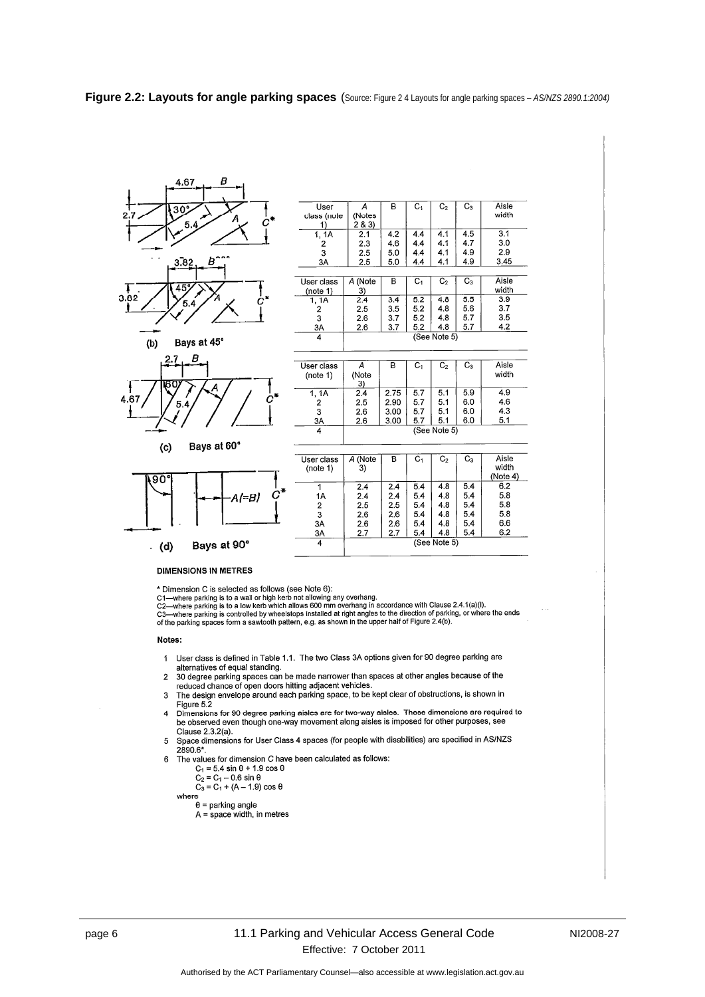#### **Figure 2.2: Layouts for angle parking spaces** (Source: Figure 2 4 Layouts for angle parking spaces – *AS/NZS 2890.1:2004)*



F



4.67

Bays at 60°  $(c)$ 



| class (note         | (Notes  |      |                |                |       | width              |
|---------------------|---------|------|----------------|----------------|-------|--------------------|
| 1)                  | 2 & 3)  |      |                |                |       |                    |
| 1, 1A               | 2.1     | 4.2  | 4.4            | 4.1            | 4.5   | 3.1                |
| 2                   | 2.3     | 4.6  | 4.4            | 4.1            | 4.7   | 3.0                |
| 3                   | 2.5     | 5.0  | 4.4            | 4.1            | 4.9   | 2.9                |
| 3A                  | 2.5     | 5.0  | 4.4            | 4.1            | 4.9   | 3.45               |
|                     |         |      |                |                |       |                    |
| User class          | A (Note | в    | C <sub>1</sub> | C <sub>2</sub> | $C_3$ | Aisle              |
| (note 1)            | 3)      |      |                |                |       | width              |
| 1, 1A               | 2.4     | 3.4  | 5.2            | 4.8            | 5.5   | 3.9                |
| 2                   | 2.5     | 3.5  | 5.2            | 4.8            | 5.6   | 3.7                |
| 3                   | 2.6     | 3.7  | 5.2            | 4.8            | 5.7   | 3.5                |
| 3A                  | 2.6     | 3.7  | 5.2            | 4.8            | 5.7   | 4.2                |
| 4                   |         |      |                | (See Note 5)   |       |                    |
|                     |         |      |                |                |       |                    |
|                     |         |      |                |                |       |                    |
| User class          | А       | в    | $C_1$          | C <sub>2</sub> | $C_3$ | Aisle              |
| (note 1)            | (Note   |      |                |                |       | width              |
|                     | 3)      |      |                |                |       |                    |
| 1, 1A               | 2.4     | 2.75 | 57             | 5.1            | 5.9   | 4.9                |
| 2                   | 2.5     | 2.90 | 57             | 5.1            | 6.0   | 4.6                |
| 3                   | 2.6     | 3.00 | 5.7            | 5.1            | 60    | 4.3                |
| 3A                  | 2.6     | 3.00 | 5.7            | 51             | 6.0   | 5.1                |
| $\overline{\bf{4}}$ |         |      |                | (See Note 5)   |       |                    |
|                     |         |      |                |                |       |                    |
|                     |         |      |                |                |       |                    |
| User class          | A (Note | в    | $C_1$          | $C_{2}$        | C3    | Aisle<br>حافات است |

 $\overline{\mathsf{B}}$ 

 $\overline{A}$ 

 $\overline{C_1}$ 

 $\overline{C_2}$ 

 $\overline{C_3}$ 

Aisle

| User class<br>(note 1) | A (Note<br>3) | в   | С,  | C <sub>2</sub> | Cз  | Aisle<br>width<br>(Note 4) |
|------------------------|---------------|-----|-----|----------------|-----|----------------------------|
|                        | 2.4           | 2.4 | 5.4 | 4.8            | 5.4 | 6.2                        |
| 1Α                     | 2.4           | 2.4 | 5.4 | 4.8            | 5.4 | 5.8                        |
| 2                      | 2.5           | 2.5 | 5.4 | 4.8            | 5.4 | 5.8                        |
| 3                      | 2.6           | 2.6 | 5.4 | 4.8            | 5.4 | 5.8                        |
| 3A                     | 2.6           | 2.6 | 5.4 | 4.8            | 5.4 | 6.6                        |
| 3A                     | 2.7           | 2.7 | 5.4 | 4.8            | 54  | 6.2                        |
| 4                      |               |     |     | (See Note 5)   |     |                            |
|                        |               |     |     |                |     |                            |

#### **DIMENSIONS IN METRES**

\* Dimension C is selected as follows (see Note 6):

C1—where parking is to a wall or high kerb not allowing any overhang.<br>C1—where parking is to a wall or high kerb not allowing any overhang.<br>C2—where parking is to a low kerb which allows 600 mm overhang in accordance with

C2—where parking is to a low kero which allows but mm overhang in accordance with clause 2.4. (ia)(i).<br>C3—where parking is controlled by wheelstops installed at right angles to the direction of parking, or where the ends<br>

#### Notes:

t,

- User class is defined in Table 1.1. The two Class 3A options given for 90 degree parking are  $\mathbf{1}$ alternatives of equal standing.
- anternatives or equal startions.<br>The degree parking spaces can be made narrower than spaces at other angles because of the<br>reduced chance of open doors hitting adjacent vehicles.<br>The design envelope around each parking spa  $\boldsymbol{2}$
- $\mathbf{3}$ Figure 5.2
- r ugue o.∠<br>Dimensions for 90 degree parking aisles are for two-way aisles. These dimensions are required to<br>be observed even though one-way movement along aisles is imposed for other purposes, see  $\overline{A}$ Clause 2.3.2(a).
- Space dimensions for User Class 4 spaces (for people with disabilities) are specified in AS/NZS 5 2890.6\*
- The values for dimension C have been calculated as follows:  $\overline{6}$ 
	- $C_1 = 5.4 \sin \theta + 1.9 \cos \theta$ <br>  $C_2 = C_1 0.6 \sin \theta$

 $C_3 = C_1 + (A - 1.9) \cos \theta$ 

$$
\qquad \qquad \text{ere}
$$

wh

 $\theta$  = parking angle  $A = space width, in metres$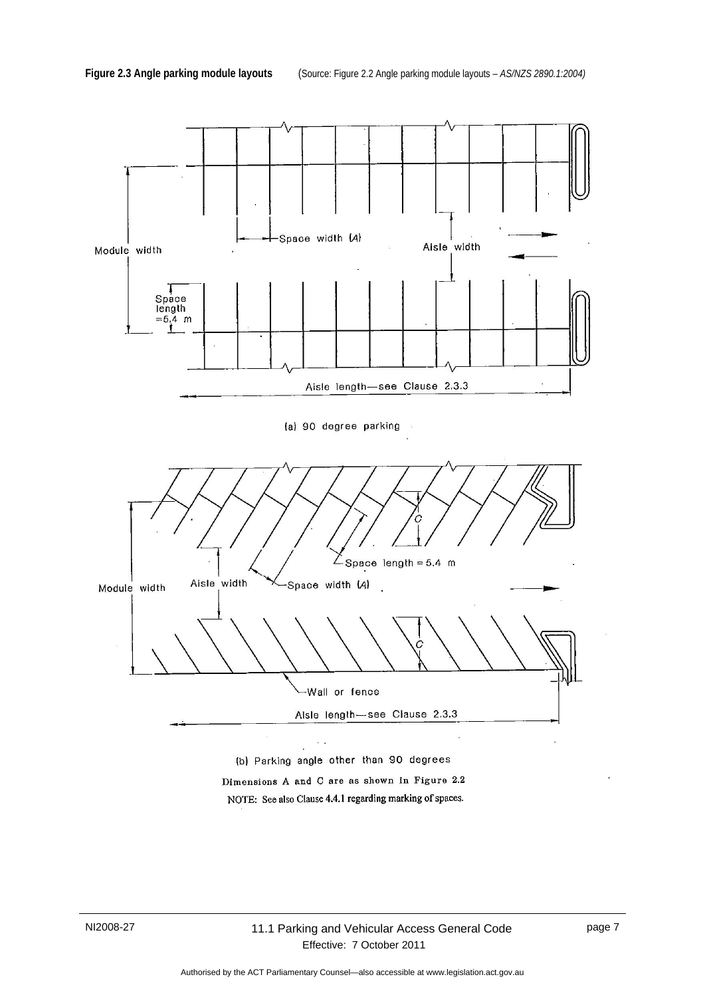

Dimensions A and C are as shown in Figure 2.2 NOTE: See also Clause 4.4.1 regarding marking of spaces.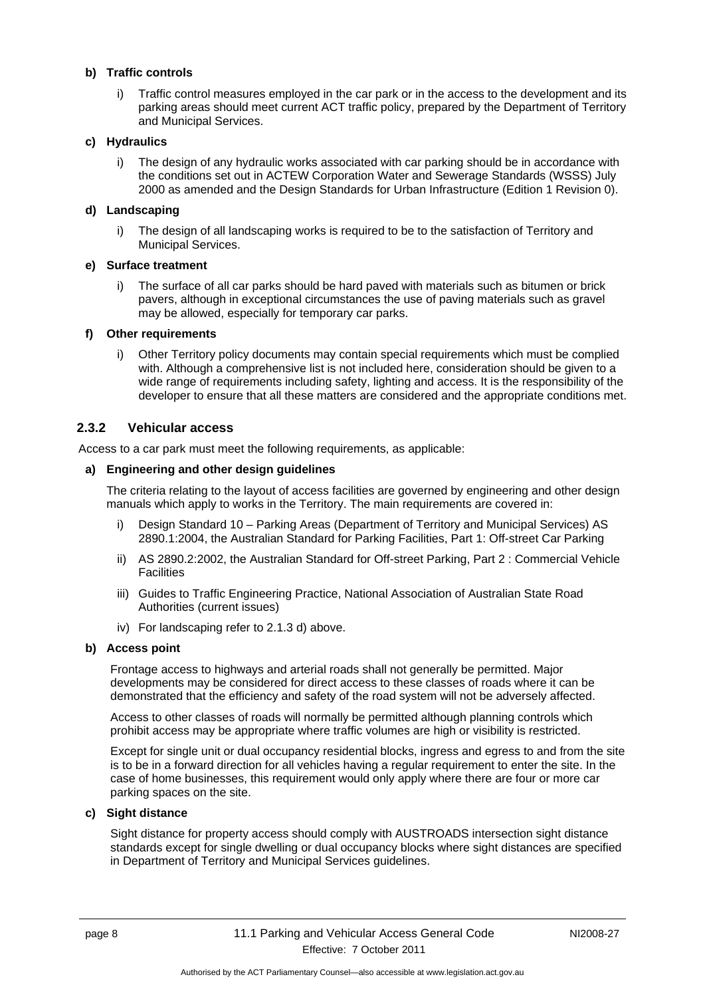#### **b) Traffic controls**

i) Traffic control measures employed in the car park or in the access to the development and its parking areas should meet current ACT traffic policy, prepared by the Department of Territory and Municipal Services.

#### **c) Hydraulics**

i) The design of any hydraulic works associated with car parking should be in accordance with the conditions set out in ACTEW Corporation Water and Sewerage Standards (WSSS) July 2000 as amended and the Design Standards for Urban Infrastructure (Edition 1 Revision 0).

#### **d) Landscaping**

i) The design of all landscaping works is required to be to the satisfaction of Territory and Municipal Services.

#### **e) Surface treatment**

i) The surface of all car parks should be hard paved with materials such as bitumen or brick pavers, although in exceptional circumstances the use of paving materials such as gravel may be allowed, especially for temporary car parks.

#### **f) Other requirements**

i) Other Territory policy documents may contain special requirements which must be complied with. Although a comprehensive list is not included here, consideration should be given to a wide range of requirements including safety, lighting and access. It is the responsibility of the developer to ensure that all these matters are considered and the appropriate conditions met.

#### <span id="page-11-0"></span>**2.3.2 Vehicular access**

Access to a car park must meet the following requirements, as applicable:

#### **a) Engineering and other design guidelines**

The criteria relating to the layout of access facilities are governed by engineering and other design manuals which apply to works in the Territory. The main requirements are covered in:

- i) Design Standard 10 Parking Areas (Department of Territory and Municipal Services) AS 2890.1:2004, the Australian Standard for Parking Facilities, Part 1: Off-street Car Parking
- ii) AS 2890.2:2002, the Australian Standard for Off-street Parking, Part 2 : Commercial Vehicle **Facilities**
- iii) Guides to Traffic Engineering Practice, National Association of Australian State Road Authorities (current issues)
- iv) For landscaping refer to 2.1.3 d) above.

#### **b) Access point**

Frontage access to highways and arterial roads shall not generally be permitted. Major developments may be considered for direct access to these classes of roads where it can be demonstrated that the efficiency and safety of the road system will not be adversely affected.

Access to other classes of roads will normally be permitted although planning controls which prohibit access may be appropriate where traffic volumes are high or visibility is restricted.

Except for single unit or dual occupancy residential blocks, ingress and egress to and from the site is to be in a forward direction for all vehicles having a regular requirement to enter the site. In the case of home businesses, this requirement would only apply where there are four or more car parking spaces on the site.

### **c) Sight distance**

Sight distance for property access should comply with AUSTROADS intersection sight distance standards except for single dwelling or dual occupancy blocks where sight distances are specified in Department of Territory and Municipal Services guidelines.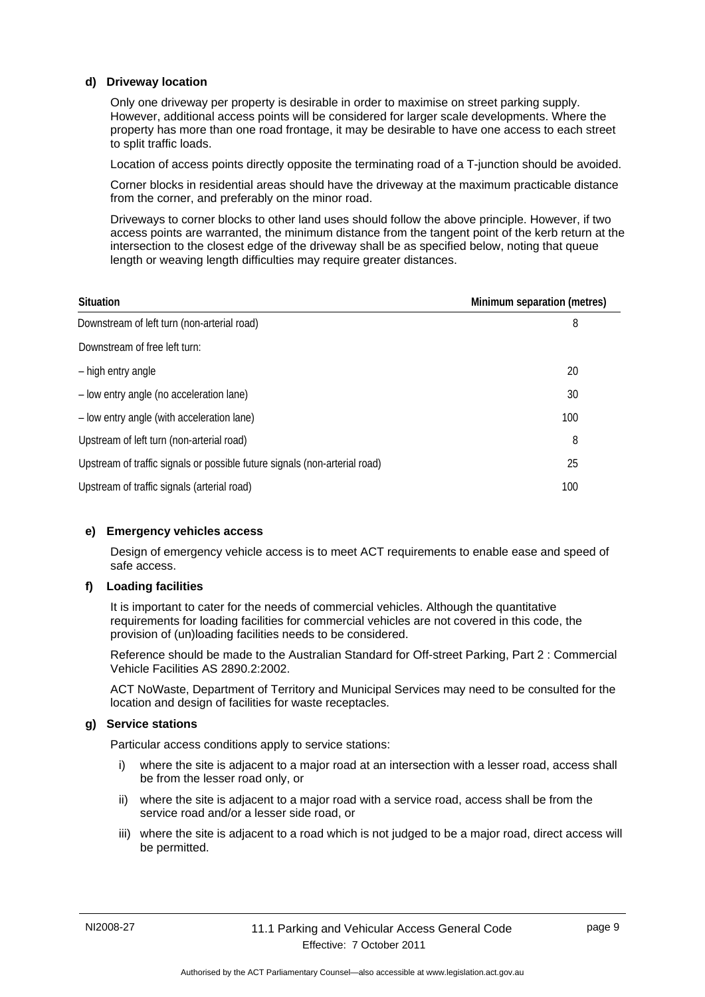#### **d) Driveway location**

Only one driveway per property is desirable in order to maximise on street parking supply. However, additional access points will be considered for larger scale developments. Where the property has more than one road frontage, it may be desirable to have one access to each street to split traffic loads.

Location of access points directly opposite the terminating road of a T-junction should be avoided.

Corner blocks in residential areas should have the driveway at the maximum practicable distance from the corner, and preferably on the minor road.

Driveways to corner blocks to other land uses should follow the above principle. However, if two access points are warranted, the minimum distance from the tangent point of the kerb return at the intersection to the closest edge of the driveway shall be as specified below, noting that queue length or weaving length difficulties may require greater distances.

| <b>Situation</b>                                                           | Minimum separation (metres) |
|----------------------------------------------------------------------------|-----------------------------|
| Downstream of left turn (non-arterial road)                                | 8                           |
| Downstream of free left turn:                                              |                             |
| - high entry angle                                                         | 20                          |
| - low entry angle (no acceleration lane)                                   | 30                          |
| - low entry angle (with acceleration lane)                                 | 100                         |
| Upstream of left turn (non-arterial road)                                  | 8                           |
| Upstream of traffic signals or possible future signals (non-arterial road) | 25                          |
| Upstream of traffic signals (arterial road)                                | 100                         |

#### **e) Emergency vehicles access**

Design of emergency vehicle access is to meet ACT requirements to enable ease and speed of safe access.

#### **f) Loading facilities**

It is important to cater for the needs of commercial vehicles. Although the quantitative requirements for loading facilities for commercial vehicles are not covered in this code, the provision of (un)loading facilities needs to be considered.

Reference should be made to the Australian Standard for Off-street Parking, Part 2 : Commercial Vehicle Facilities AS 2890.2:2002.

ACT NoWaste, Department of Territory and Municipal Services may need to be consulted for the location and design of facilities for waste receptacles.

#### **g) Service stations**

Particular access conditions apply to service stations:

- i) where the site is adiacent to a major road at an intersection with a lesser road, access shall be from the lesser road only, or
- ii) where the site is adjacent to a major road with a service road, access shall be from the service road and/or a lesser side road, or
- iii) where the site is adjacent to a road which is not judged to be a major road, direct access will be permitted.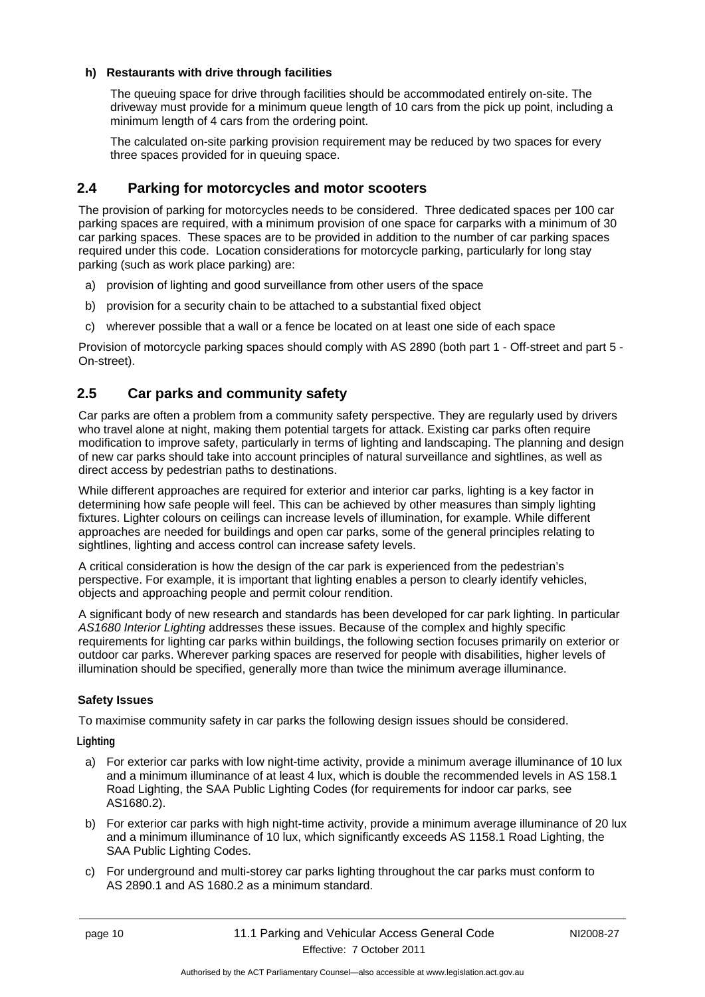#### **h) Restaurants with drive through facilities**

The queuing space for drive through facilities should be accommodated entirely on-site. The driveway must provide for a minimum queue length of 10 cars from the pick up point, including a minimum length of 4 cars from the ordering point.

The calculated on-site parking provision requirement may be reduced by two spaces for every three spaces provided for in queuing space.

## <span id="page-13-0"></span>**2.4 Parking for motorcycles and motor scooters**

The provision of parking for motorcycles needs to be considered. Three dedicated spaces per 100 car parking spaces are required, with a minimum provision of one space for carparks with a minimum of 30 car parking spaces. These spaces are to be provided in addition to the number of car parking spaces required under this code. Location considerations for motorcycle parking, particularly for long stay parking (such as work place parking) are:

- a) provision of lighting and good surveillance from other users of the space
- b) provision for a security chain to be attached to a substantial fixed object
- c) wherever possible that a wall or a fence be located on at least one side of each space

Provision of motorcycle parking spaces should comply with AS 2890 (both part 1 - Off-street and part 5 - On-street).

## <span id="page-13-1"></span>**2.5 Car parks and community safety**

Car parks are often a problem from a community safety perspective. They are regularly used by drivers who travel alone at night, making them potential targets for attack. Existing car parks often require modification to improve safety, particularly in terms of lighting and landscaping. The planning and design of new car parks should take into account principles of natural surveillance and sightlines, as well as direct access by pedestrian paths to destinations.

While different approaches are required for exterior and interior car parks, lighting is a key factor in determining how safe people will feel. This can be achieved by other measures than simply lighting fixtures. Lighter colours on ceilings can increase levels of illumination, for example. While different approaches are needed for buildings and open car parks, some of the general principles relating to sightlines, lighting and access control can increase safety levels.

A critical consideration is how the design of the car park is experienced from the pedestrian's perspective. For example, it is important that lighting enables a person to clearly identify vehicles, objects and approaching people and permit colour rendition.

A significant body of new research and standards has been developed for car park lighting. In particular *AS1680 Interior Lighting* addresses these issues. Because of the complex and highly specific requirements for lighting car parks within buildings, the following section focuses primarily on exterior or outdoor car parks. Wherever parking spaces are reserved for people with disabilities, higher levels of illumination should be specified, generally more than twice the minimum average illuminance.

#### **Safety Issues**

To maximise community safety in car parks the following design issues should be considered.

**Lighting** 

- a) For exterior car parks with low night-time activity, provide a minimum average illuminance of 10 lux and a minimum illuminance of at least 4 lux, which is double the recommended levels in AS 158.1 Road Lighting, the SAA Public Lighting Codes (for requirements for indoor car parks, see AS1680.2).
- b) For exterior car parks with high night-time activity, provide a minimum average illuminance of 20 lux and a minimum illuminance of 10 lux, which significantly exceeds AS 1158.1 Road Lighting, the SAA Public Lighting Codes.
- c) For underground and multi-storey car parks lighting throughout the car parks must conform to AS 2890.1 and AS 1680.2 as a minimum standard.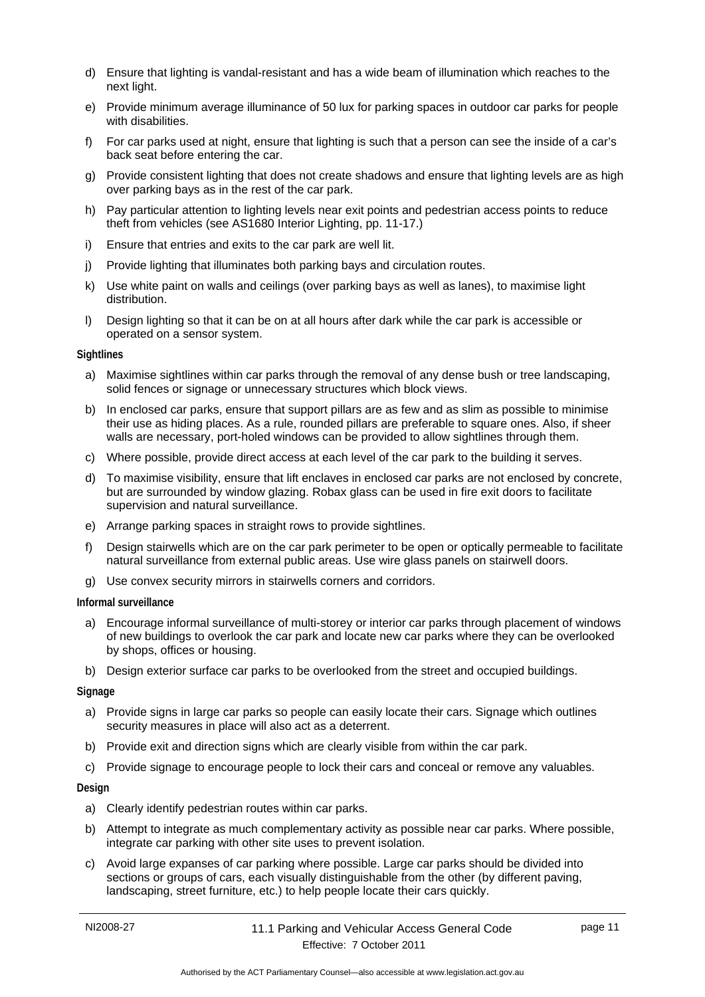- d) Ensure that lighting is vandal-resistant and has a wide beam of illumination which reaches to the next light.
- e) Provide minimum average illuminance of 50 lux for parking spaces in outdoor car parks for people with disabilities.
- f) For car parks used at night, ensure that lighting is such that a person can see the inside of a car's back seat before entering the car.
- g) Provide consistent lighting that does not create shadows and ensure that lighting levels are as high over parking bays as in the rest of the car park.
- h) Pay particular attention to lighting levels near exit points and pedestrian access points to reduce theft from vehicles (see AS1680 Interior Lighting, pp. 11-17.)
- i) Ensure that entries and exits to the car park are well lit.
- j) Provide lighting that illuminates both parking bays and circulation routes.
- k) Use white paint on walls and ceilings (over parking bays as well as lanes), to maximise light distribution.
- l) Design lighting so that it can be on at all hours after dark while the car park is accessible or operated on a sensor system.

#### **Sightlines**

- a) Maximise sightlines within car parks through the removal of any dense bush or tree landscaping, solid fences or signage or unnecessary structures which block views.
- b) In enclosed car parks, ensure that support pillars are as few and as slim as possible to minimise their use as hiding places. As a rule, rounded pillars are preferable to square ones. Also, if sheer walls are necessary, port-holed windows can be provided to allow sightlines through them.
- c) Where possible, provide direct access at each level of the car park to the building it serves.
- d) To maximise visibility, ensure that lift enclaves in enclosed car parks are not enclosed by concrete, but are surrounded by window glazing. Robax glass can be used in fire exit doors to facilitate supervision and natural surveillance.
- e) Arrange parking spaces in straight rows to provide sightlines.
- f) Design stairwells which are on the car park perimeter to be open or optically permeable to facilitate natural surveillance from external public areas. Use wire glass panels on stairwell doors.
- g) Use convex security mirrors in stairwells corners and corridors.

#### **Informal surveillance**

- a) Encourage informal surveillance of multi-storey or interior car parks through placement of windows of new buildings to overlook the car park and locate new car parks where they can be overlooked by shops, offices or housing.
- b) Design exterior surface car parks to be overlooked from the street and occupied buildings.

#### **Signage**

- a) Provide signs in large car parks so people can easily locate their cars. Signage which outlines security measures in place will also act as a deterrent.
- b) Provide exit and direction signs which are clearly visible from within the car park.
- c) Provide signage to encourage people to lock their cars and conceal or remove any valuables.

#### **Design**

- a) Clearly identify pedestrian routes within car parks.
- b) Attempt to integrate as much complementary activity as possible near car parks. Where possible, integrate car parking with other site uses to prevent isolation.
- c) Avoid large expanses of car parking where possible. Large car parks should be divided into sections or groups of cars, each visually distinguishable from the other (by different paving, landscaping, street furniture, etc.) to help people locate their cars quickly.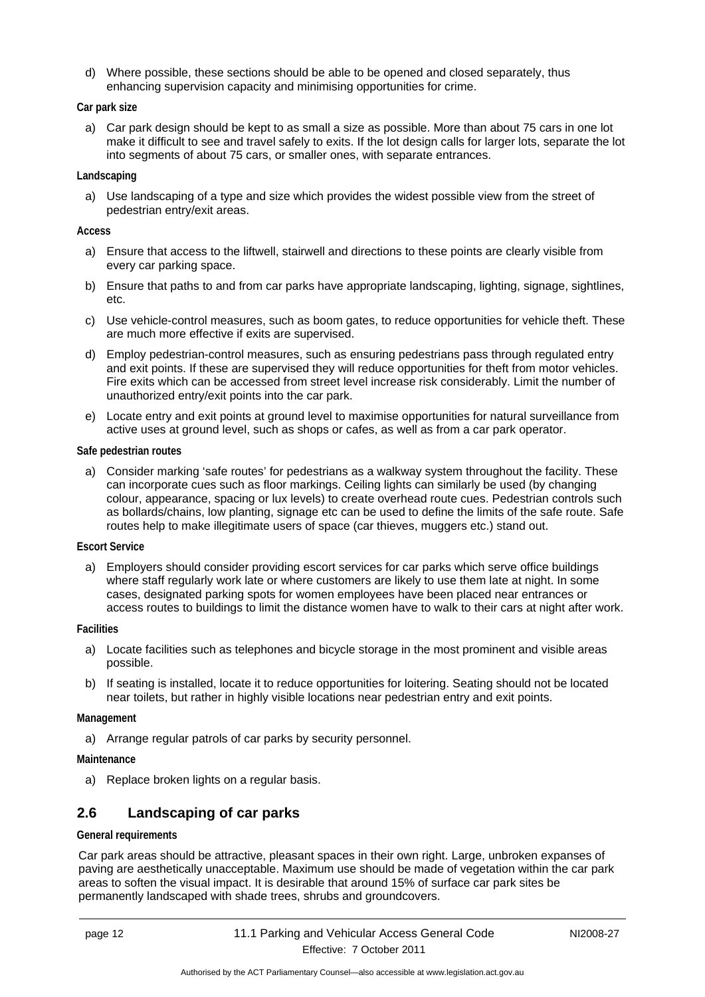d) Where possible, these sections should be able to be opened and closed separately, thus enhancing supervision capacity and minimising opportunities for crime.

#### **Car park size**

a) Car park design should be kept to as small a size as possible. More than about 75 cars in one lot make it difficult to see and travel safely to exits. If the lot design calls for larger lots, separate the lot into segments of about 75 cars, or smaller ones, with separate entrances.

#### **Landscaping**

a) Use landscaping of a type and size which provides the widest possible view from the street of pedestrian entry/exit areas.

#### **Access**

- a) Ensure that access to the liftwell, stairwell and directions to these points are clearly visible from every car parking space.
- b) Ensure that paths to and from car parks have appropriate landscaping, lighting, signage, sightlines, etc.
- c) Use vehicle-control measures, such as boom gates, to reduce opportunities for vehicle theft. These are much more effective if exits are supervised.
- d) Employ pedestrian-control measures, such as ensuring pedestrians pass through regulated entry and exit points. If these are supervised they will reduce opportunities for theft from motor vehicles. Fire exits which can be accessed from street level increase risk considerably. Limit the number of unauthorized entry/exit points into the car park.
- e) Locate entry and exit points at ground level to maximise opportunities for natural surveillance from active uses at ground level, such as shops or cafes, as well as from a car park operator.

#### **Safe pedestrian routes**

a) Consider marking 'safe routes' for pedestrians as a walkway system throughout the facility. These can incorporate cues such as floor markings. Ceiling lights can similarly be used (by changing colour, appearance, spacing or lux levels) to create overhead route cues. Pedestrian controls such as bollards/chains, low planting, signage etc can be used to define the limits of the safe route. Safe routes help to make illegitimate users of space (car thieves, muggers etc.) stand out.

#### **Escort Service**

a) Employers should consider providing escort services for car parks which serve office buildings where staff regularly work late or where customers are likely to use them late at night. In some cases, designated parking spots for women employees have been placed near entrances or access routes to buildings to limit the distance women have to walk to their cars at night after work.

#### **Facilities**

- a) Locate facilities such as telephones and bicycle storage in the most prominent and visible areas possible.
- b) If seating is installed, locate it to reduce opportunities for loitering. Seating should not be located near toilets, but rather in highly visible locations near pedestrian entry and exit points.

#### **Management**

a) Arrange regular patrols of car parks by security personnel.

#### **Maintenance**

a) Replace broken lights on a regular basis.

## <span id="page-15-0"></span>**2.6 Landscaping of car parks**

#### **General requirements**

Car park areas should be attractive, pleasant spaces in their own right. Large, unbroken expanses of paving are aesthetically unacceptable. Maximum use should be made of vegetation within the car park areas to soften the visual impact. It is desirable that around 15% of surface car park sites be permanently landscaped with shade trees, shrubs and groundcovers.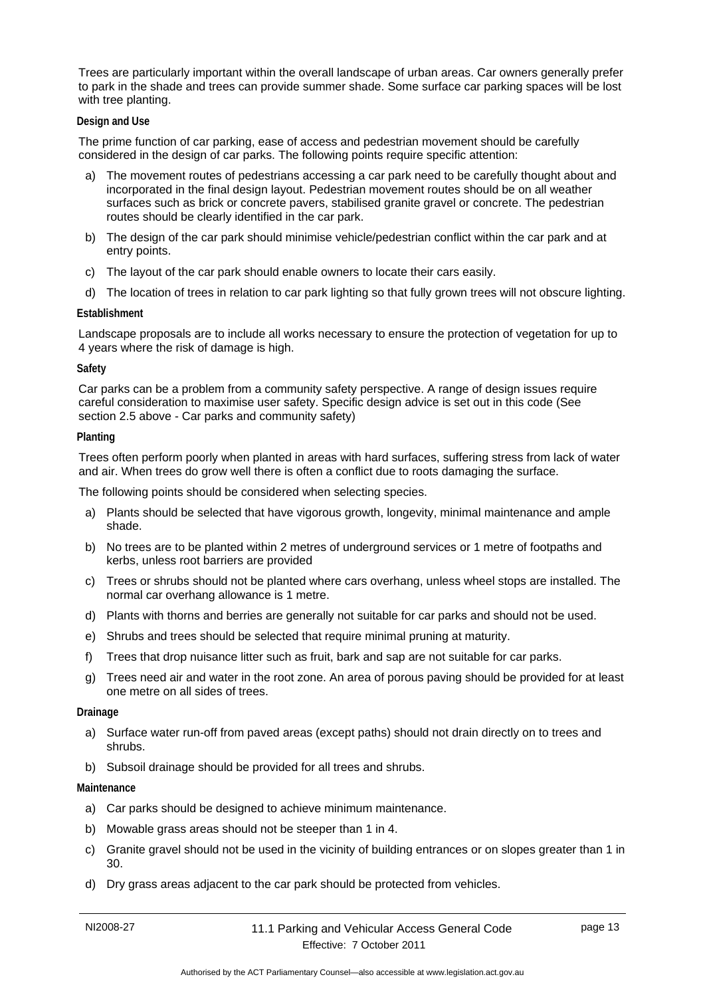Trees are particularly important within the overall landscape of urban areas. Car owners generally prefer to park in the shade and trees can provide summer shade. Some surface car parking spaces will be lost with tree planting.

#### **Design and Use**

The prime function of car parking, ease of access and pedestrian movement should be carefully considered in the design of car parks. The following points require specific attention:

- a) The movement routes of pedestrians accessing a car park need to be carefully thought about and incorporated in the final design layout. Pedestrian movement routes should be on all weather surfaces such as brick or concrete pavers, stabilised granite gravel or concrete. The pedestrian routes should be clearly identified in the car park.
- b) The design of the car park should minimise vehicle/pedestrian conflict within the car park and at entry points.
- c) The layout of the car park should enable owners to locate their cars easily.
- d) The location of trees in relation to car park lighting so that fully grown trees will not obscure lighting.

#### **Establishment**

Landscape proposals are to include all works necessary to ensure the protection of vegetation for up to 4 years where the risk of damage is high.

#### **Safety**

Car parks can be a problem from a community safety perspective. A range of design issues require careful consideration to maximise user safety. Specific design advice is set out in this code (See section 2.5 above - Car parks and community safety)

#### **Planting**

Trees often perform poorly when planted in areas with hard surfaces, suffering stress from lack of water and air. When trees do grow well there is often a conflict due to roots damaging the surface.

The following points should be considered when selecting species.

- a) Plants should be selected that have vigorous growth, longevity, minimal maintenance and ample shade.
- b) No trees are to be planted within 2 metres of underground services or 1 metre of footpaths and kerbs, unless root barriers are provided
- c) Trees or shrubs should not be planted where cars overhang, unless wheel stops are installed. The normal car overhang allowance is 1 metre.
- d) Plants with thorns and berries are generally not suitable for car parks and should not be used.
- e) Shrubs and trees should be selected that require minimal pruning at maturity.
- f) Trees that drop nuisance litter such as fruit, bark and sap are not suitable for car parks.
- g) Trees need air and water in the root zone. An area of porous paving should be provided for at least one metre on all sides of trees.

#### **Drainage**

- a) Surface water run-off from paved areas (except paths) should not drain directly on to trees and shrubs.
- b) Subsoil drainage should be provided for all trees and shrubs.

#### **Maintenance**

- a) Car parks should be designed to achieve minimum maintenance.
- b) Mowable grass areas should not be steeper than 1 in 4.
- c) Granite gravel should not be used in the vicinity of building entrances or on slopes greater than 1 in 30.
- d) Dry grass areas adjacent to the car park should be protected from vehicles.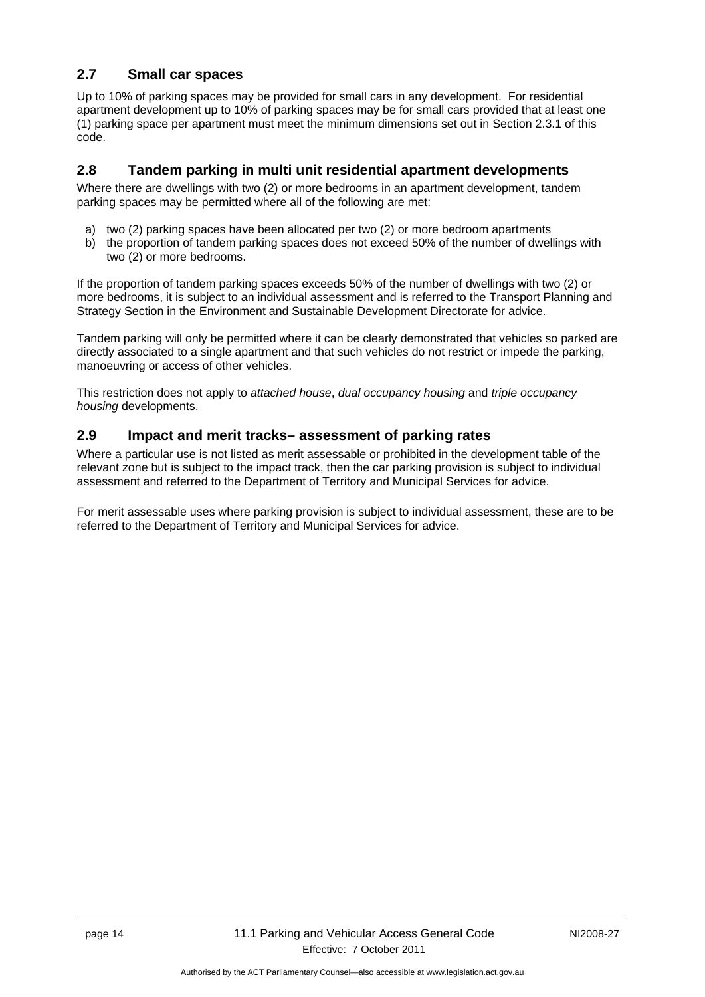## <span id="page-17-0"></span>**2.7 Small car spaces**

Up to 10% of parking spaces may be provided for small cars in any development. For residential apartment development up to 10% of parking spaces may be for small cars provided that at least one (1) parking space per apartment must meet the minimum dimensions set out in Section 2.3.1 of this code.

## <span id="page-17-1"></span>**2.8 Tandem parking in multi unit residential apartment developments**

Where there are dwellings with two (2) or more bedrooms in an apartment development, tandem parking spaces may be permitted where all of the following are met:

- a) two (2) parking spaces have been allocated per two (2) or more bedroom apartments
- b) the proportion of tandem parking spaces does not exceed 50% of the number of dwellings with two (2) or more bedrooms.

If the proportion of tandem parking spaces exceeds 50% of the number of dwellings with two (2) or more bedrooms, it is subject to an individual assessment and is referred to the Transport Planning and Strategy Section in the Environment and Sustainable Development Directorate for advice.

Tandem parking will only be permitted where it can be clearly demonstrated that vehicles so parked are directly associated to a single apartment and that such vehicles do not restrict or impede the parking, manoeuvring or access of other vehicles.

This restriction does not apply to *attached house*, *dual occupancy housing* and *triple occupancy housing* developments.

## <span id="page-17-2"></span>**2.9 Impact and merit tracks– assessment of parking rates**

Where a particular use is not listed as merit assessable or prohibited in the development table of the relevant zone but is subject to the impact track, then the car parking provision is subject to individual assessment and referred to the Department of Territory and Municipal Services for advice.

For merit assessable uses where parking provision is subject to individual assessment, these are to be referred to the Department of Territory and Municipal Services for advice.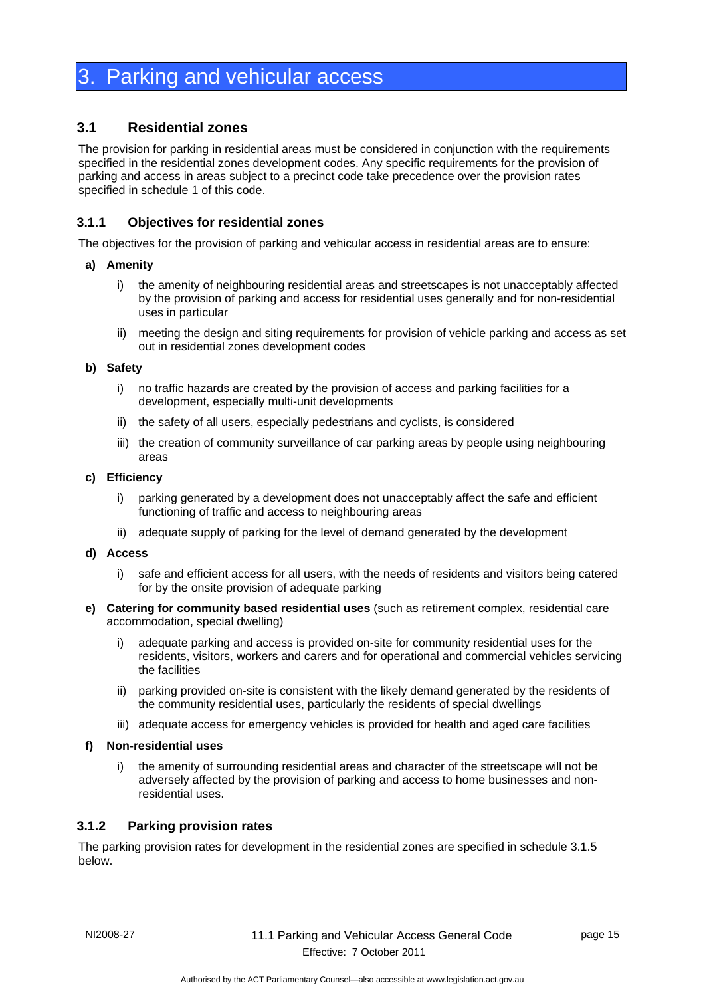## <span id="page-18-0"></span>**Parking and vehicular access**

## <span id="page-18-1"></span>**3.1 Residential zones**

The provision for parking in residential areas must be considered in conjunction with the requirements specified in the residential zones development codes. Any specific requirements for the provision of parking and access in areas subject to a precinct code take precedence over the provision rates specified in schedule 1 of this code.

## <span id="page-18-2"></span>**3.1.1 Objectives for residential zones**

The objectives for the provision of parking and vehicular access in residential areas are to ensure:

#### **a) Amenity**

- i) the amenity of neighbouring residential areas and streetscapes is not unacceptably affected by the provision of parking and access for residential uses generally and for non-residential uses in particular
- ii) meeting the design and siting requirements for provision of vehicle parking and access as set out in residential zones development codes

#### **b) Safety**

- i) no traffic hazards are created by the provision of access and parking facilities for a development, especially multi-unit developments
- ii) the safety of all users, especially pedestrians and cyclists, is considered
- iii) the creation of community surveillance of car parking areas by people using neighbouring areas

#### **c) Efficiency**

- i) parking generated by a development does not unacceptably affect the safe and efficient functioning of traffic and access to neighbouring areas
- ii) adequate supply of parking for the level of demand generated by the development

#### **d) Access**

- i) safe and efficient access for all users, with the needs of residents and visitors being catered for by the onsite provision of adequate parking
- **e) Catering for community based residential uses** (such as retirement complex, residential care accommodation, special dwelling)
	- i) adequate parking and access is provided on-site for community residential uses for the residents, visitors, workers and carers and for operational and commercial vehicles servicing the facilities
	- ii) parking provided on-site is consistent with the likely demand generated by the residents of the community residential uses, particularly the residents of special dwellings
	- iii) adequate access for emergency vehicles is provided for health and aged care facilities

#### **f) Non-residential uses**

i) the amenity of surrounding residential areas and character of the streetscape will not be adversely affected by the provision of parking and access to home businesses and nonresidential uses.

#### <span id="page-18-3"></span>**3.1.2 Parking provision rates**

The parking provision rates for development in the residential zones are specified in schedule 3.1.5 below.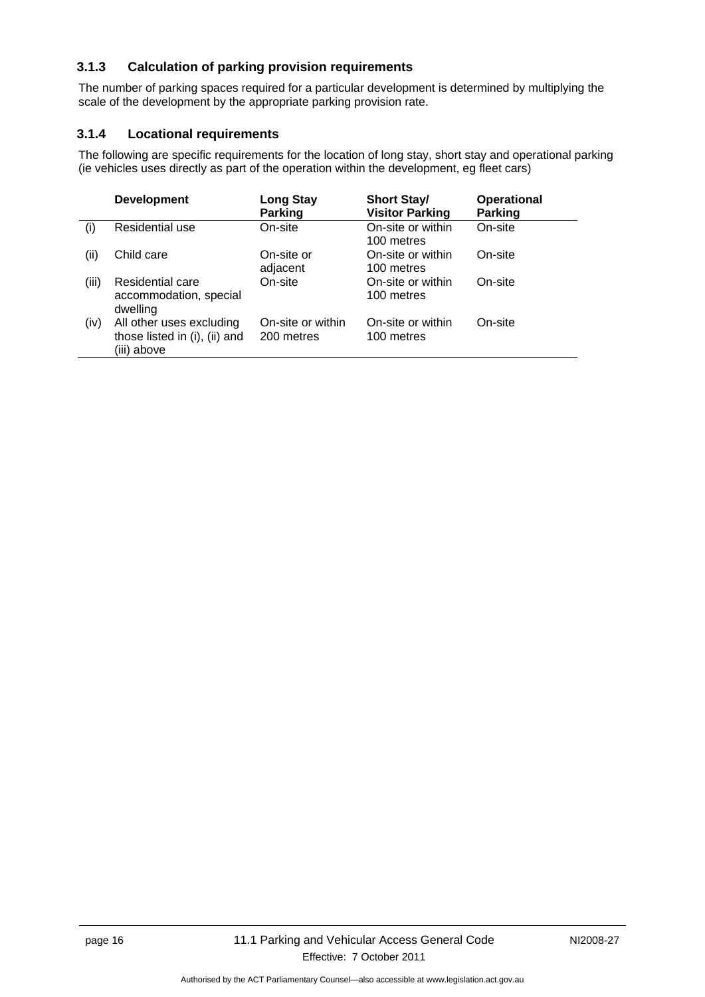## <span id="page-19-0"></span>**3.1.3 Calculation of parking provision requirements**

The number of parking spaces required for a particular development is determined by multiplying the scale of the development by the appropriate parking provision rate.

## <span id="page-19-1"></span>**3.1.4 Locational requirements**

The following are specific requirements for the location of long stay, short stay and operational parking (ie vehicles uses directly as part of the operation within the development, eg fleet cars)

|       | <b>Development</b>                                                       | <b>Long Stay</b><br><b>Parking</b> | <b>Short Stay/</b><br><b>Visitor Parking</b> | <b>Operational</b><br><b>Parking</b> |
|-------|--------------------------------------------------------------------------|------------------------------------|----------------------------------------------|--------------------------------------|
| (i)   | Residential use                                                          | On-site                            | On-site or within<br>100 metres              | On-site                              |
| (i)   | Child care                                                               | On-site or<br>adjacent             | On-site or within<br>100 metres              | On-site                              |
| (iii) | <b>Residential care</b><br>accommodation, special<br>dwelling            | On-site                            | On-site or within<br>100 metres              | On-site                              |
| (iv)  | All other uses excluding<br>those listed in (i), (ii) and<br>(iii) above | On-site or within<br>200 metres    | On-site or within<br>100 metres              | On-site                              |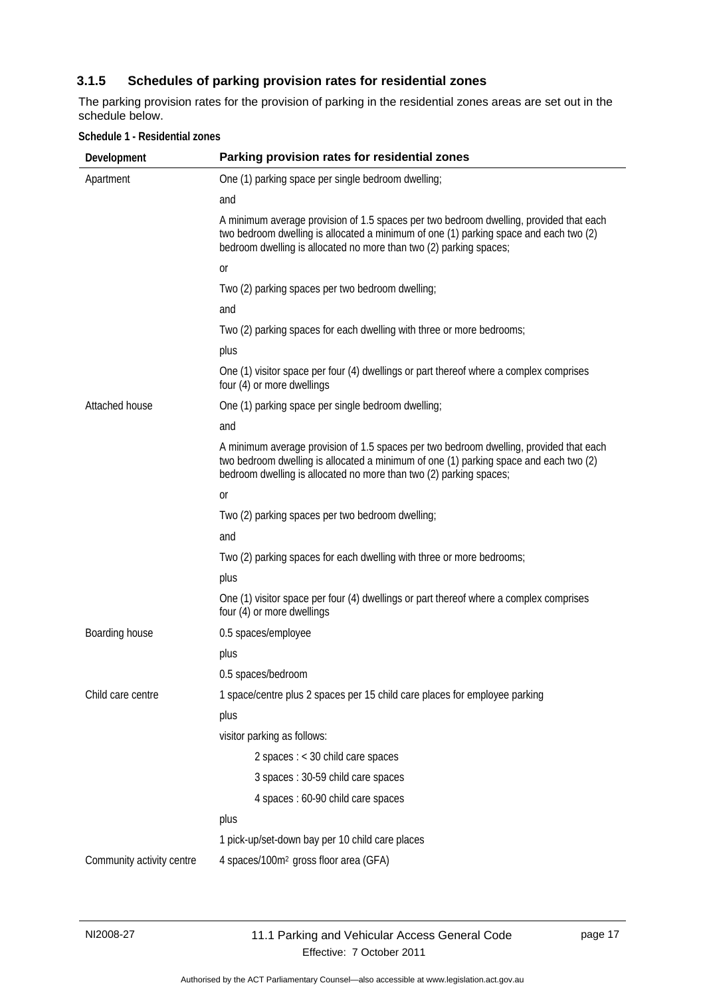## <span id="page-20-0"></span>**3.1.5 Schedules of parking provision rates for residential zones**

The parking provision rates for the provision of parking in the residential zones areas are set out in the schedule below.

| Development               | Parking provision rates for residential zones                                                                                                                                                                                                         |
|---------------------------|-------------------------------------------------------------------------------------------------------------------------------------------------------------------------------------------------------------------------------------------------------|
| Apartment                 | One (1) parking space per single bedroom dwelling;                                                                                                                                                                                                    |
|                           | and                                                                                                                                                                                                                                                   |
|                           | A minimum average provision of 1.5 spaces per two bedroom dwelling, provided that each<br>two bedroom dwelling is allocated a minimum of one (1) parking space and each two (2)<br>bedroom dwelling is allocated no more than two (2) parking spaces; |
|                           | 0r                                                                                                                                                                                                                                                    |
|                           | Two (2) parking spaces per two bedroom dwelling;                                                                                                                                                                                                      |
|                           | and                                                                                                                                                                                                                                                   |
|                           | Two (2) parking spaces for each dwelling with three or more bedrooms;                                                                                                                                                                                 |
|                           | plus                                                                                                                                                                                                                                                  |
|                           | One (1) visitor space per four (4) dwellings or part thereof where a complex comprises<br>four (4) or more dwellings                                                                                                                                  |
| Attached house            | One (1) parking space per single bedroom dwelling;                                                                                                                                                                                                    |
|                           | and                                                                                                                                                                                                                                                   |
|                           | A minimum average provision of 1.5 spaces per two bedroom dwelling, provided that each<br>two bedroom dwelling is allocated a minimum of one (1) parking space and each two (2)<br>bedroom dwelling is allocated no more than two (2) parking spaces; |
|                           | 0r                                                                                                                                                                                                                                                    |
|                           | Two (2) parking spaces per two bedroom dwelling;                                                                                                                                                                                                      |
|                           | and                                                                                                                                                                                                                                                   |
|                           | Two (2) parking spaces for each dwelling with three or more bedrooms;                                                                                                                                                                                 |
|                           | plus                                                                                                                                                                                                                                                  |
|                           | One (1) visitor space per four (4) dwellings or part thereof where a complex comprises<br>four (4) or more dwellings                                                                                                                                  |
| Boarding house            | 0.5 spaces/employee                                                                                                                                                                                                                                   |
|                           | plus                                                                                                                                                                                                                                                  |
|                           | 0.5 spaces/bedroom                                                                                                                                                                                                                                    |
| Child care centre         | 1 space/centre plus 2 spaces per 15 child care places for employee parking                                                                                                                                                                            |
|                           | plus                                                                                                                                                                                                                                                  |
|                           | visitor parking as follows:                                                                                                                                                                                                                           |
|                           | 2 spaces : < 30 child care spaces                                                                                                                                                                                                                     |
|                           | 3 spaces: 30-59 child care spaces                                                                                                                                                                                                                     |
|                           | 4 spaces : 60-90 child care spaces                                                                                                                                                                                                                    |
|                           | plus                                                                                                                                                                                                                                                  |
|                           | 1 pick-up/set-down bay per 10 child care places                                                                                                                                                                                                       |
| Community activity centre | 4 spaces/100m <sup>2</sup> gross floor area (GFA)                                                                                                                                                                                                     |

#### **Schedule 1 - Residential zones**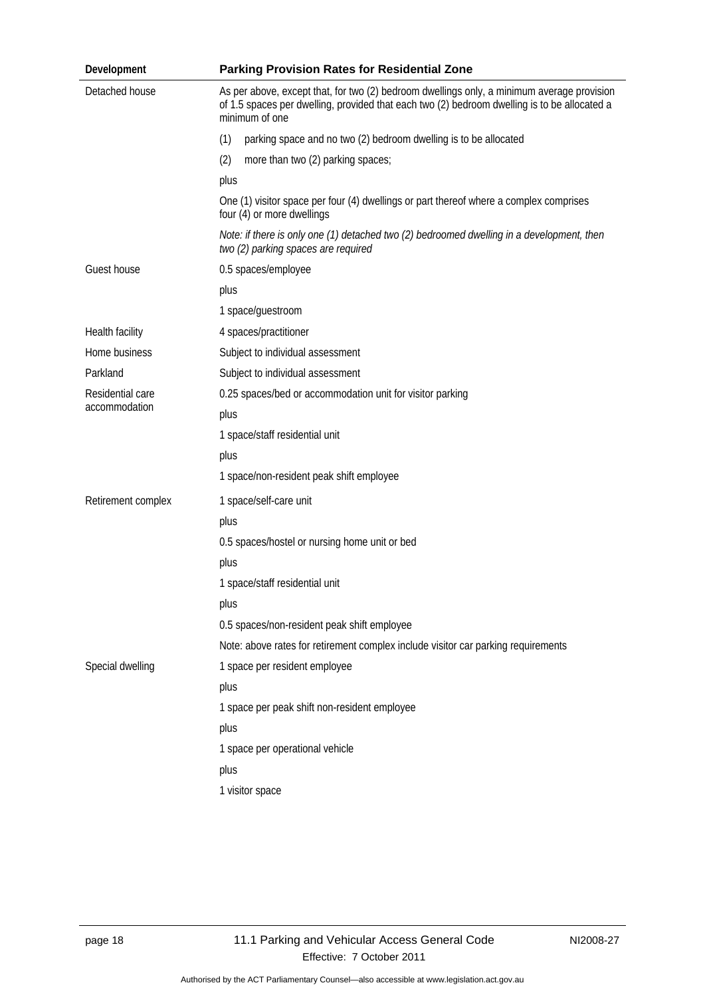| Development                       | <b>Parking Provision Rates for Residential Zone</b>                                                                                                                                                          |  |  |  |  |  |
|-----------------------------------|--------------------------------------------------------------------------------------------------------------------------------------------------------------------------------------------------------------|--|--|--|--|--|
| Detached house                    | As per above, except that, for two (2) bedroom dwellings only, a minimum average provision<br>of 1.5 spaces per dwelling, provided that each two (2) bedroom dwelling is to be allocated a<br>minimum of one |  |  |  |  |  |
|                                   | (1)<br>parking space and no two (2) bedroom dwelling is to be allocated                                                                                                                                      |  |  |  |  |  |
|                                   | (2)<br>more than two (2) parking spaces;                                                                                                                                                                     |  |  |  |  |  |
|                                   | plus                                                                                                                                                                                                         |  |  |  |  |  |
|                                   | One (1) visitor space per four (4) dwellings or part thereof where a complex comprises<br>four (4) or more dwellings                                                                                         |  |  |  |  |  |
|                                   | Note: if there is only one (1) detached two (2) bedroomed dwelling in a development, then<br>two (2) parking spaces are required                                                                             |  |  |  |  |  |
| Guest house                       | 0.5 spaces/employee                                                                                                                                                                                          |  |  |  |  |  |
|                                   | plus                                                                                                                                                                                                         |  |  |  |  |  |
|                                   | 1 space/guestroom                                                                                                                                                                                            |  |  |  |  |  |
| Health facility                   | 4 spaces/practitioner                                                                                                                                                                                        |  |  |  |  |  |
| Home business                     | Subject to individual assessment                                                                                                                                                                             |  |  |  |  |  |
| Parkland                          | Subject to individual assessment                                                                                                                                                                             |  |  |  |  |  |
| Residential care<br>accommodation | 0.25 spaces/bed or accommodation unit for visitor parking                                                                                                                                                    |  |  |  |  |  |
|                                   | plus                                                                                                                                                                                                         |  |  |  |  |  |
|                                   | 1 space/staff residential unit                                                                                                                                                                               |  |  |  |  |  |
|                                   | plus                                                                                                                                                                                                         |  |  |  |  |  |
|                                   | 1 space/non-resident peak shift employee                                                                                                                                                                     |  |  |  |  |  |
| Retirement complex                | 1 space/self-care unit                                                                                                                                                                                       |  |  |  |  |  |
|                                   | plus                                                                                                                                                                                                         |  |  |  |  |  |
|                                   | 0.5 spaces/hostel or nursing home unit or bed                                                                                                                                                                |  |  |  |  |  |
|                                   | plus                                                                                                                                                                                                         |  |  |  |  |  |
|                                   | 1 space/staff residential unit                                                                                                                                                                               |  |  |  |  |  |
|                                   | plus                                                                                                                                                                                                         |  |  |  |  |  |
|                                   | 0.5 spaces/non-resident peak shift employee                                                                                                                                                                  |  |  |  |  |  |
|                                   | Note: above rates for retirement complex include visitor car parking requirements                                                                                                                            |  |  |  |  |  |
| Special dwelling                  | 1 space per resident employee                                                                                                                                                                                |  |  |  |  |  |
|                                   | plus                                                                                                                                                                                                         |  |  |  |  |  |
|                                   | 1 space per peak shift non-resident employee                                                                                                                                                                 |  |  |  |  |  |
|                                   | plus                                                                                                                                                                                                         |  |  |  |  |  |
|                                   | 1 space per operational vehicle                                                                                                                                                                              |  |  |  |  |  |
|                                   | plus                                                                                                                                                                                                         |  |  |  |  |  |
|                                   | 1 visitor space                                                                                                                                                                                              |  |  |  |  |  |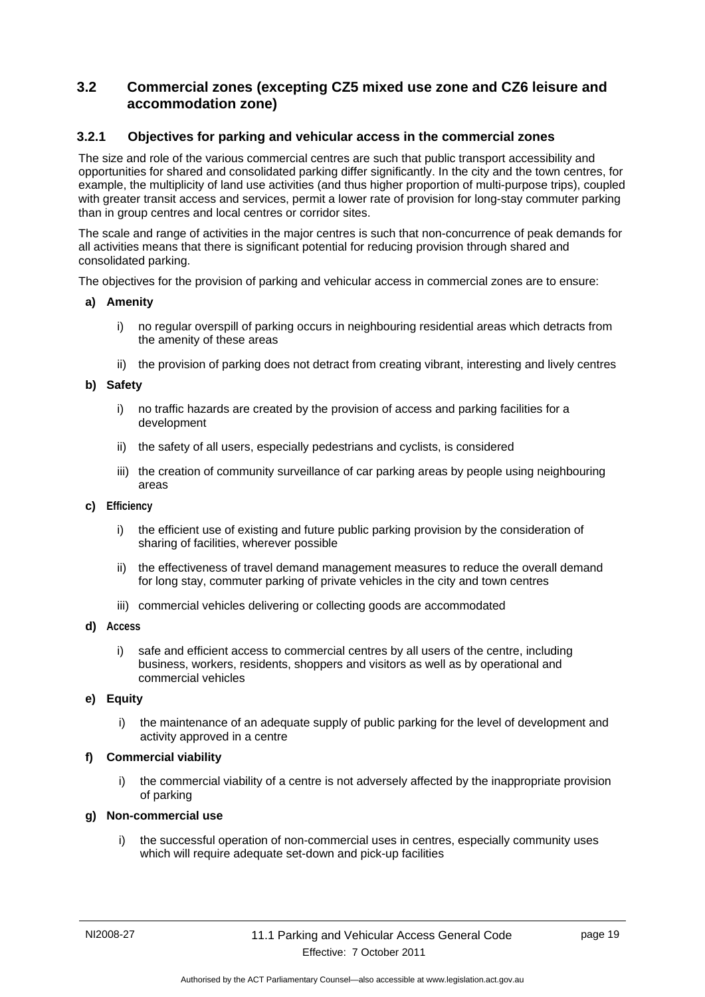## <span id="page-22-0"></span>**3.2 Commercial zones (excepting CZ5 mixed use zone and CZ6 leisure and accommodation zone)**

## <span id="page-22-1"></span>**3.2.1 Objectives for parking and vehicular access in the commercial zones**

The size and role of the various commercial centres are such that public transport accessibility and opportunities for shared and consolidated parking differ significantly. In the city and the town centres, for example, the multiplicity of land use activities (and thus higher proportion of multi-purpose trips), coupled with greater transit access and services, permit a lower rate of provision for long-stay commuter parking than in group centres and local centres or corridor sites.

The scale and range of activities in the major centres is such that non-concurrence of peak demands for all activities means that there is significant potential for reducing provision through shared and consolidated parking.

The objectives for the provision of parking and vehicular access in commercial zones are to ensure:

#### **a) Amenity**

- i) no regular overspill of parking occurs in neighbouring residential areas which detracts from the amenity of these areas
- ii) the provision of parking does not detract from creating vibrant, interesting and lively centres

#### **b) Safety**

- i) no traffic hazards are created by the provision of access and parking facilities for a development
- ii) the safety of all users, especially pedestrians and cyclists, is considered
- iii) the creation of community surveillance of car parking areas by people using neighbouring areas
- **c) Efficiency**
	- i) the efficient use of existing and future public parking provision by the consideration of sharing of facilities, wherever possible
	- ii) the effectiveness of travel demand management measures to reduce the overall demand for long stay, commuter parking of private vehicles in the city and town centres
	- iii) commercial vehicles delivering or collecting goods are accommodated
- **d) Access**
	- i) safe and efficient access to commercial centres by all users of the centre, including business, workers, residents, shoppers and visitors as well as by operational and commercial vehicles

#### **e) Equity**

i) the maintenance of an adequate supply of public parking for the level of development and activity approved in a centre

#### **f) Commercial viability**

i) the commercial viability of a centre is not adversely affected by the inappropriate provision of parking

#### **g) Non-commercial use**

i) the successful operation of non-commercial uses in centres, especially community uses which will require adequate set-down and pick-up facilities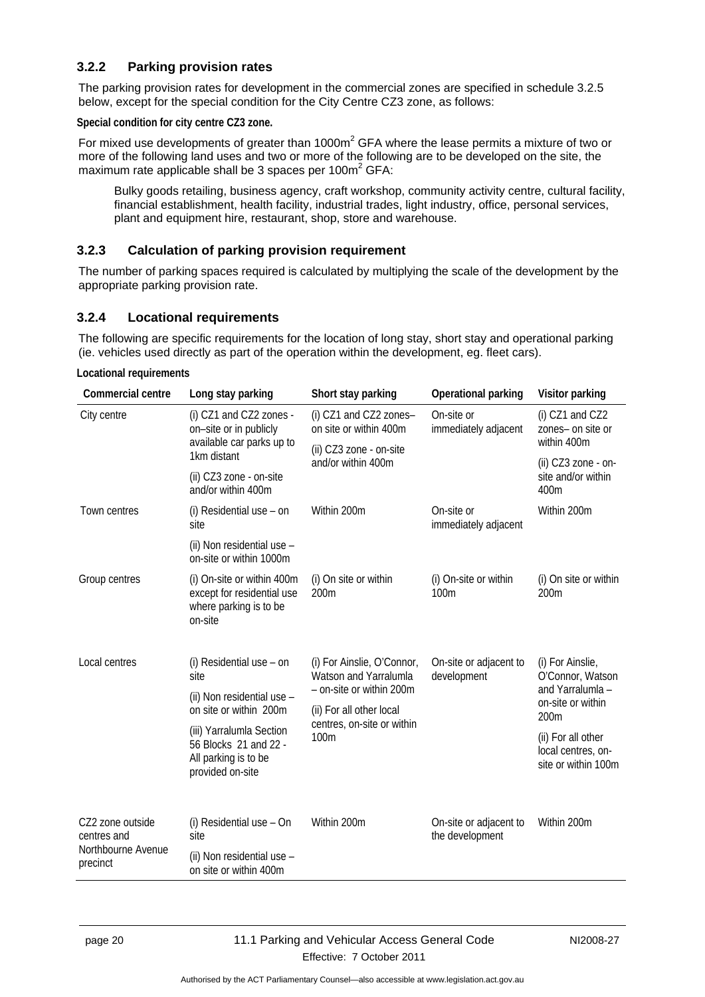## <span id="page-23-0"></span>**3.2.2 Parking provision rates**

The parking provision rates for development in the commercial zones are specified in schedule 3.2.5 below, except for the special condition for the City Centre CZ3 zone, as follows:

**Special condition for city centre CZ3 zone.** 

For mixed use developments of greater than 1000 $m<sup>2</sup>$  GFA where the lease permits a mixture of two or more of the following land uses and two or more of the following are to be developed on the site, the maximum rate applicable shall be 3 spaces per 100 $m^2$  GFA:

Bulky goods retailing, business agency, craft workshop, community activity centre, cultural facility, financial establishment, health facility, industrial trades, light industry, office, personal services, plant and equipment hire, restaurant, shop, store and warehouse.

## <span id="page-23-1"></span>**3.2.3 Calculation of parking provision requirement**

The number of parking spaces required is calculated by multiplying the scale of the development by the appropriate parking provision rate.

## <span id="page-23-2"></span>**3.2.4 Locational requirements**

The following are specific requirements for the location of long stay, short stay and operational parking (ie. vehicles used directly as part of the operation within the development, eg. fleet cars).

**Locational requirements** 

| Commercial centre               | Long stay parking                                                                             | Short stay parking                                                              | Operational parking                       | Visitor parking                                                 |
|---------------------------------|-----------------------------------------------------------------------------------------------|---------------------------------------------------------------------------------|-------------------------------------------|-----------------------------------------------------------------|
| City centre                     | (i) CZ1 and CZ2 zones -<br>on-site or in publicly<br>available car parks up to                | (i) CZ1 and CZ2 zones-<br>on site or within 400m                                | On-site or<br>immediately adjacent        | $(i)$ CZ1 and CZ2<br>zones- on site or<br>within 400m           |
|                                 | 1km distant                                                                                   | (ii) CZ3 zone - on-site<br>and/or within 400m                                   |                                           | (ii) CZ3 zone - on-                                             |
|                                 | (ii) CZ3 zone - on-site<br>and/or within 400m                                                 |                                                                                 |                                           | site and/or within<br>400m                                      |
| Town centres                    | (i) Residential use - on<br>site                                                              | Within 200m                                                                     | On-site or<br>immediately adjacent        | Within 200m                                                     |
|                                 | (ii) Non residential use -<br>on-site or within 1000m                                         |                                                                                 |                                           |                                                                 |
| Group centres                   | (i) On-site or within 400m<br>except for residential use<br>where parking is to be<br>on-site | (i) On site or within<br>200m                                                   | (i) On-site or within<br>100m             | (i) On site or within<br>200m                                   |
| Local centres                   | (i) Residential use $-$ on<br>site                                                            | (i) For Ainslie, O'Connor,<br>Watson and Yarralumla<br>- on-site or within 200m | On-site or adjacent to<br>development     | (i) For Ainslie,<br>O'Connor, Watson<br>and Yarralumla -        |
|                                 | (ii) Non residential use -<br>on site or within 200m                                          | (ii) For all other local<br>centres, on-site or within<br>100m                  |                                           | on-site or within<br>200m                                       |
|                                 | (iii) Yarralumla Section<br>56 Blocks 21 and 22 -<br>All parking is to be<br>provided on-site |                                                                                 |                                           | (ii) For all other<br>local centres, on-<br>site or within 100m |
| CZ2 zone outside<br>centres and | (i) Residential use - On<br>site                                                              | Within 200m                                                                     | On-site or adjacent to<br>the development | Within 200m                                                     |
| Northbourne Avenue<br>precinct  | (ii) Non residential use -<br>on site or within 400m                                          |                                                                                 |                                           |                                                                 |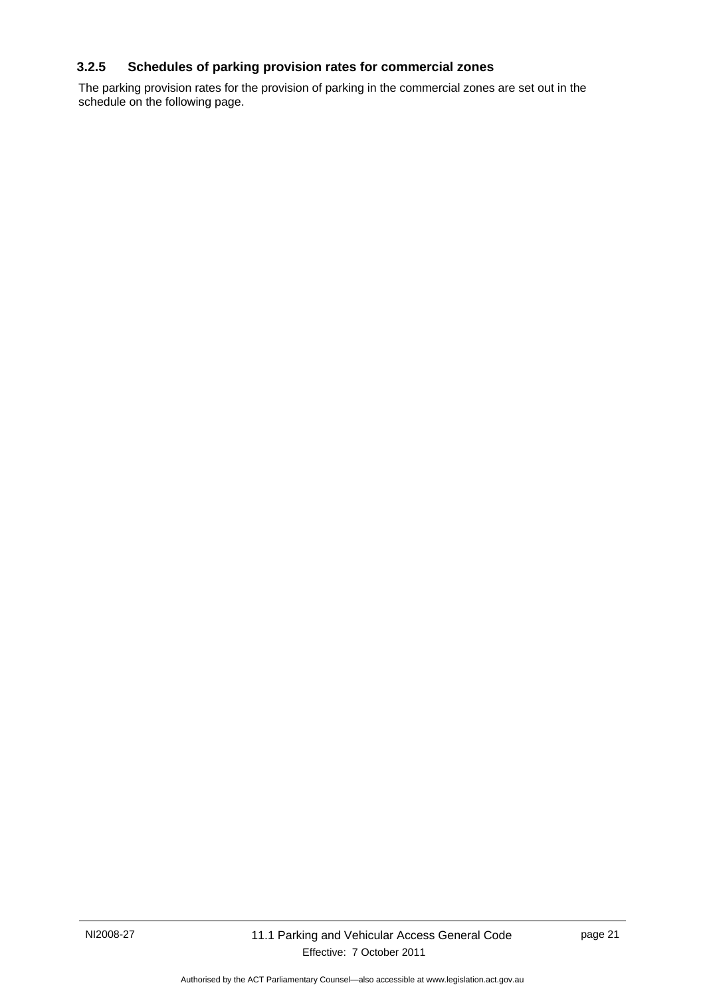## <span id="page-24-0"></span>**3.2.5 Schedules of parking provision rates for commercial zones**

The parking provision rates for the provision of parking in the commercial zones are set out in the schedule on the following page.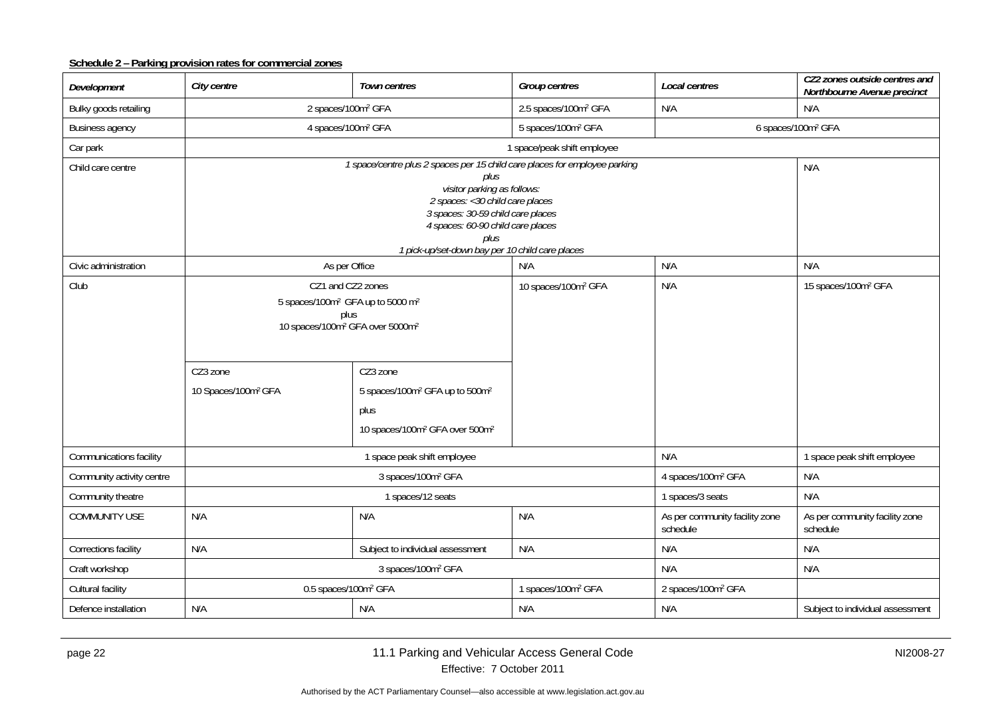## **Schedule 2 – Parking provision rates for commercial zones**

| Development               | City centre                                                                                                                                                                                                                                                                   | Town centres                                                                                                                                                                                         | Group centres                    | Local centres                              | CZ2 zones outside centres and<br>Northbourne Avenue precinct |
|---------------------------|-------------------------------------------------------------------------------------------------------------------------------------------------------------------------------------------------------------------------------------------------------------------------------|------------------------------------------------------------------------------------------------------------------------------------------------------------------------------------------------------|----------------------------------|--------------------------------------------|--------------------------------------------------------------|
| Bulky goods retailing     | 2 spaces/100m <sup>2</sup> GFA                                                                                                                                                                                                                                                |                                                                                                                                                                                                      | 2.5 spaces/100m <sup>2</sup> GFA | N/A<br>N/A                                 |                                                              |
| <b>Business agency</b>    | 4 spaces/100m <sup>2</sup> GFA                                                                                                                                                                                                                                                |                                                                                                                                                                                                      | 5 spaces/100m <sup>2</sup> GFA   |                                            | 6 spaces/100m <sup>2</sup> GFA                               |
| Car park                  |                                                                                                                                                                                                                                                                               |                                                                                                                                                                                                      | 1 space/peak shift employee      |                                            |                                                              |
| Child care centre         |                                                                                                                                                                                                                                                                               | 1 space/centre plus 2 spaces per 15 child care places for employee parking<br>plus                                                                                                                   |                                  |                                            | N/A                                                          |
|                           |                                                                                                                                                                                                                                                                               | visitor parking as follows:<br>2 spaces: < 30 child care places<br>3 spaces: 30-59 child care places<br>4 spaces: 60-90 child care places<br>plus<br>1 pick-up/set-down bay per 10 child care places |                                  |                                            |                                                              |
| Civic administration      | As per Office                                                                                                                                                                                                                                                                 |                                                                                                                                                                                                      | N/A                              | N/A                                        | N/A                                                          |
| Club                      | CZ1 and CZ2 zones<br>5 spaces/100m <sup>2</sup> GFA up to 5000 m <sup>2</sup><br>plus<br>10 spaces/100m <sup>2</sup> GFA over 5000m <sup>2</sup><br>CZ3 zone<br>CZ3 zone<br>10 Spaces/100m <sup>2</sup> GFA<br>5 spaces/100m <sup>2</sup> GFA up to 500m <sup>2</sup><br>plus |                                                                                                                                                                                                      | 10 spaces/100m <sup>2</sup> GFA  | N/A                                        | 15 spaces/100m <sup>2</sup> GFA                              |
|                           |                                                                                                                                                                                                                                                                               | 10 spaces/100m <sup>2</sup> GFA over 500m <sup>2</sup>                                                                                                                                               |                                  |                                            |                                                              |
| Communications facility   |                                                                                                                                                                                                                                                                               | 1 space peak shift employee                                                                                                                                                                          |                                  | N/A                                        | 1 space peak shift employee                                  |
| Community activity centre |                                                                                                                                                                                                                                                                               | 3 spaces/100m <sup>2</sup> GFA                                                                                                                                                                       |                                  | 4 spaces/100m <sup>2</sup> GFA             | N/A                                                          |
| Community theatre         |                                                                                                                                                                                                                                                                               | 1 spaces/12 seats                                                                                                                                                                                    |                                  | 1 spaces/3 seats                           | N/A                                                          |
| <b>COMMUNITY USE</b>      | N/A                                                                                                                                                                                                                                                                           | N/A                                                                                                                                                                                                  | N/A                              | As per community facility zone<br>schedule | As per community facility zone<br>schedule                   |
| Corrections facility      | N/A                                                                                                                                                                                                                                                                           | Subject to individual assessment                                                                                                                                                                     | N/A                              | N/A                                        | N/A                                                          |
| Craft workshop            |                                                                                                                                                                                                                                                                               | 3 spaces/100m <sup>2</sup> GFA                                                                                                                                                                       |                                  | N/A                                        | N/A                                                          |
| Cultural facility         | 0.5 spaces/100m <sup>2</sup> GFA                                                                                                                                                                                                                                              |                                                                                                                                                                                                      | 1 spaces/100m <sup>2</sup> GFA   | 2 spaces/100m <sup>2</sup> GFA             |                                                              |
| Defence installation      | N/A                                                                                                                                                                                                                                                                           | N/A                                                                                                                                                                                                  | N/A                              | N/A                                        | Subject to individual assessment                             |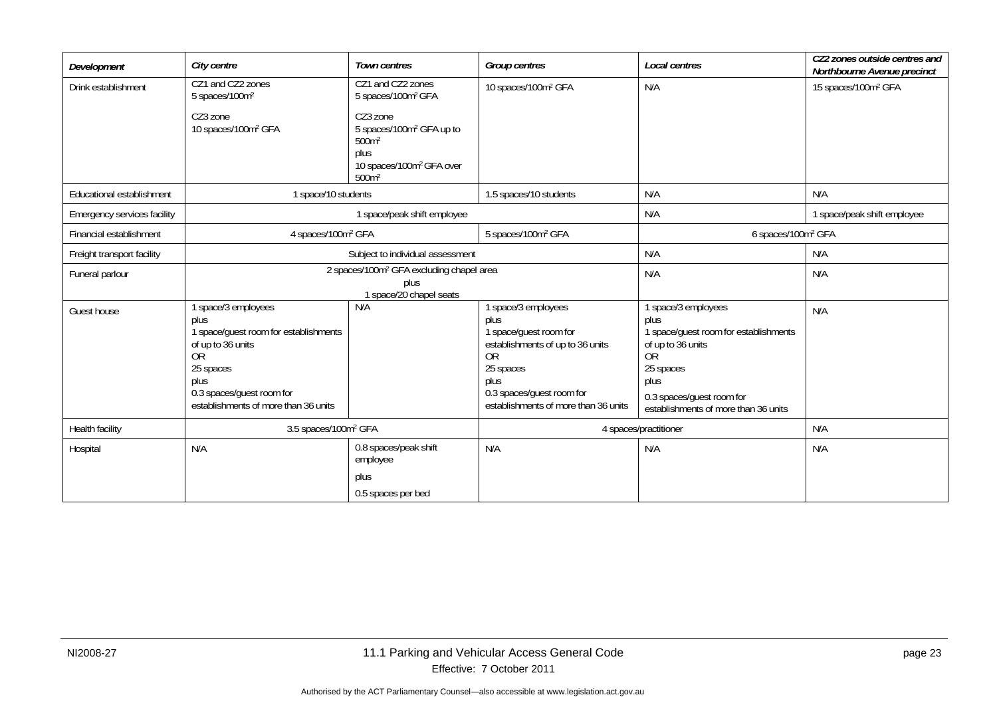| Development                 | City centre                                                                                                                                                                                    | <b>Town centres</b>                                                                                                                        | <b>Group centres</b>                                                                                                                                                                                  | Local centres                                                                                                                                                                                    | CZ2 zones outside centres and<br>Northbourne Avenue precinct |
|-----------------------------|------------------------------------------------------------------------------------------------------------------------------------------------------------------------------------------------|--------------------------------------------------------------------------------------------------------------------------------------------|-------------------------------------------------------------------------------------------------------------------------------------------------------------------------------------------------------|--------------------------------------------------------------------------------------------------------------------------------------------------------------------------------------------------|--------------------------------------------------------------|
| Drink establishment         | CZ1 and CZ2 zones<br>5 spaces/100m <sup>2</sup>                                                                                                                                                | CZ1 and CZ2 zones<br>5 spaces/100m <sup>2</sup> GFA                                                                                        | 10 spaces/100m <sup>2</sup> GFA                                                                                                                                                                       | N/A                                                                                                                                                                                              | 15 spaces/100m <sup>2</sup> GFA                              |
|                             | CZ3 zone<br>10 spaces/100m <sup>2</sup> GFA                                                                                                                                                    | CZ3 zone<br>5 spaces/100m <sup>2</sup> GFA up to<br>500m <sup>2</sup><br>plus<br>10 spaces/100m <sup>2</sup> GFA over<br>500m <sup>2</sup> |                                                                                                                                                                                                       |                                                                                                                                                                                                  |                                                              |
| Educational establishment   | 1 space/10 students                                                                                                                                                                            |                                                                                                                                            | 1.5 spaces/10 students                                                                                                                                                                                | N/A                                                                                                                                                                                              | N/A                                                          |
| Emergency services facility |                                                                                                                                                                                                | 1 space/peak shift employee                                                                                                                |                                                                                                                                                                                                       | N/A                                                                                                                                                                                              | 1 space/peak shift employee                                  |
| Financial establishment     | 4 spaces/100m <sup>2</sup> GFA                                                                                                                                                                 |                                                                                                                                            | 5 spaces/100m <sup>2</sup> GFA                                                                                                                                                                        | 6 spaces/100m <sup>2</sup> GFA                                                                                                                                                                   |                                                              |
| Freight transport facility  |                                                                                                                                                                                                | Subject to individual assessment                                                                                                           |                                                                                                                                                                                                       | N/A                                                                                                                                                                                              | N/A                                                          |
| Funeral parlour             |                                                                                                                                                                                                | 2 spaces/100m <sup>2</sup> GFA excluding chapel area<br>plus<br>1 space/20 chapel seats                                                    |                                                                                                                                                                                                       | N/A                                                                                                                                                                                              | N/A                                                          |
| Guest house                 | space/3 employees<br>plus<br>1 space/guest room for establishments<br>of up to 36 units<br><b>OR</b><br>25 spaces<br>plus<br>0.3 spaces/guest room for<br>establishments of more than 36 units | N/A                                                                                                                                        | 1 space/3 employees<br>plus<br>1 space/guest room for<br>establishments of up to 36 units<br>0 <sub>R</sub><br>25 spaces<br>plus<br>0.3 spaces/guest room for<br>establishments of more than 36 units | 1 space/3 employees<br>plus<br>1 space/guest room for establishments<br>of up to 36 units<br><b>OR</b><br>25 spaces<br>plus<br>0.3 spaces/guest room for<br>establishments of more than 36 units | N/A                                                          |
| Health facility             | 3.5 spaces/100m <sup>2</sup> GFA                                                                                                                                                               |                                                                                                                                            |                                                                                                                                                                                                       | 4 spaces/practitioner                                                                                                                                                                            | N/A                                                          |
| Hospital                    | N/A                                                                                                                                                                                            | 0.8 spaces/peak shift<br>employee<br>plus                                                                                                  | N/A                                                                                                                                                                                                   | N/A                                                                                                                                                                                              | N/A                                                          |
|                             |                                                                                                                                                                                                | 0.5 spaces per bed                                                                                                                         |                                                                                                                                                                                                       |                                                                                                                                                                                                  |                                                              |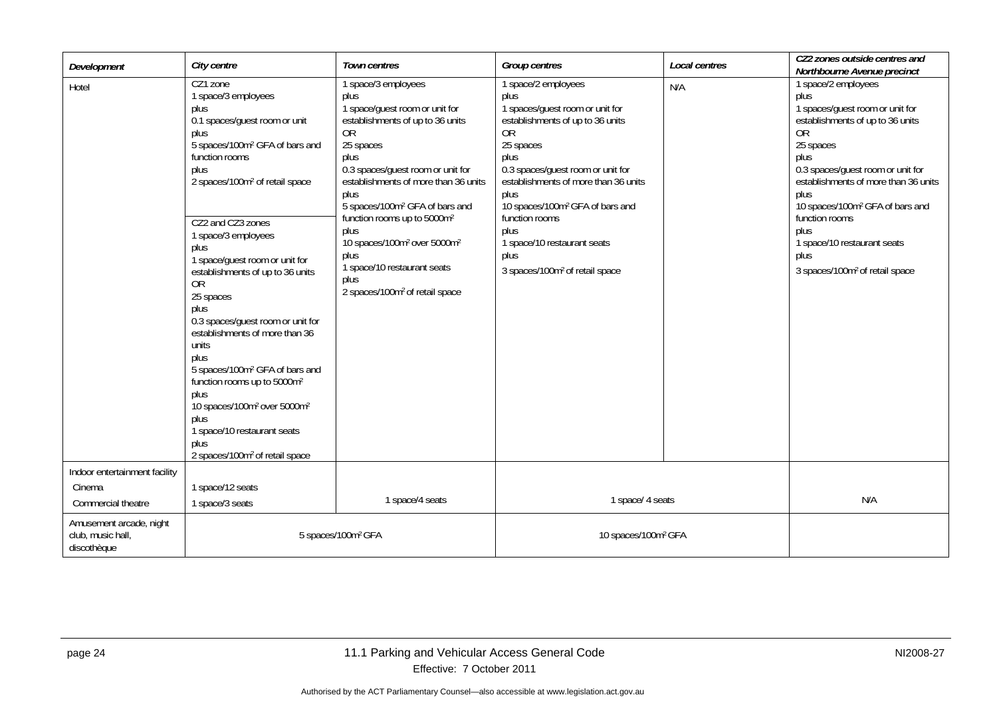| Development                                                   | City centre                                                                                                                                                                                                                                                                                                                                                                                                                                                                                                                                                                                                                                                                                                     | Town centres                                                                                                                                                                                                                                                                                                                                                                                                                                                           | Group centres                                                                                                                                                                                                                                                                                                                                                                           | Local centres | CZ2 zones outside centres and<br>Northbourne Avenue precinct                                                                                                                                                                                                                                                                                                                            |
|---------------------------------------------------------------|-----------------------------------------------------------------------------------------------------------------------------------------------------------------------------------------------------------------------------------------------------------------------------------------------------------------------------------------------------------------------------------------------------------------------------------------------------------------------------------------------------------------------------------------------------------------------------------------------------------------------------------------------------------------------------------------------------------------|------------------------------------------------------------------------------------------------------------------------------------------------------------------------------------------------------------------------------------------------------------------------------------------------------------------------------------------------------------------------------------------------------------------------------------------------------------------------|-----------------------------------------------------------------------------------------------------------------------------------------------------------------------------------------------------------------------------------------------------------------------------------------------------------------------------------------------------------------------------------------|---------------|-----------------------------------------------------------------------------------------------------------------------------------------------------------------------------------------------------------------------------------------------------------------------------------------------------------------------------------------------------------------------------------------|
| Hotel                                                         | CZ1 zone<br>1 space/3 employees<br>plus<br>0.1 spaces/guest room or unit<br>plus<br>5 spaces/100m <sup>2</sup> GFA of bars and<br>function rooms<br>plus<br>2 spaces/100m <sup>2</sup> of retail space<br>CZ2 and CZ3 zones<br>1 space/3 employees<br>plus<br>1 space/guest room or unit for<br>establishments of up to 36 units<br><b>OR</b><br>25 spaces<br>plus<br>0.3 spaces/guest room or unit for<br>establishments of more than 36<br>units<br>plus<br>5 spaces/100m <sup>2</sup> GFA of bars and<br>function rooms up to 5000m <sup>2</sup><br>plus<br>10 spaces/100m <sup>2</sup> over 5000m <sup>2</sup><br>plus<br>1 space/10 restaurant seats<br>plus<br>2 spaces/100m <sup>2</sup> of retail space | 1 space/3 employees<br>plus<br>1 space/guest room or unit for<br>establishments of up to 36 units<br>0R<br>25 spaces<br>plus<br>0.3 spaces/guest room or unit for<br>establishments of more than 36 units<br>plus<br>5 spaces/100m <sup>2</sup> GFA of bars and<br>function rooms up to 5000m <sup>2</sup><br>plus<br>10 spaces/100m <sup>2</sup> over 5000m <sup>2</sup><br>plus<br>1 space/10 restaurant seats<br>plus<br>2 spaces/100m <sup>2</sup> of retail space | 1 space/2 employees<br>plus<br>1 spaces/guest room or unit for<br>establishments of up to 36 units<br><b>OR</b><br>25 spaces<br>plus<br>0.3 spaces/guest room or unit for<br>establishments of more than 36 units<br>plus<br>10 spaces/100m <sup>2</sup> GFA of bars and<br>function rooms<br>plus<br>1 space/10 restaurant seats<br>plus<br>3 spaces/100m <sup>2</sup> of retail space | N/A           | 1 space/2 employees<br>plus<br>1 spaces/guest room or unit for<br>establishments of up to 36 units<br><b>OR</b><br>25 spaces<br>plus<br>0.3 spaces/guest room or unit for<br>establishments of more than 36 units<br>plus<br>10 spaces/100m <sup>2</sup> GFA of bars and<br>function rooms<br>plus<br>1 space/10 restaurant seats<br>plus<br>3 spaces/100m <sup>2</sup> of retail space |
| Indoor entertainment facility<br>Cinema<br>Commercial theatre | 1 space/12 seats<br>1 space/3 seats                                                                                                                                                                                                                                                                                                                                                                                                                                                                                                                                                                                                                                                                             | 1 space/4 seats                                                                                                                                                                                                                                                                                                                                                                                                                                                        | 1 space/ 4 seats                                                                                                                                                                                                                                                                                                                                                                        |               | N/A                                                                                                                                                                                                                                                                                                                                                                                     |
| Amusement arcade, night<br>club, music hall,<br>discothèque   |                                                                                                                                                                                                                                                                                                                                                                                                                                                                                                                                                                                                                                                                                                                 | 5 spaces/100m <sup>2</sup> GFA                                                                                                                                                                                                                                                                                                                                                                                                                                         | 10 spaces/100m <sup>2</sup> GFA                                                                                                                                                                                                                                                                                                                                                         |               |                                                                                                                                                                                                                                                                                                                                                                                         |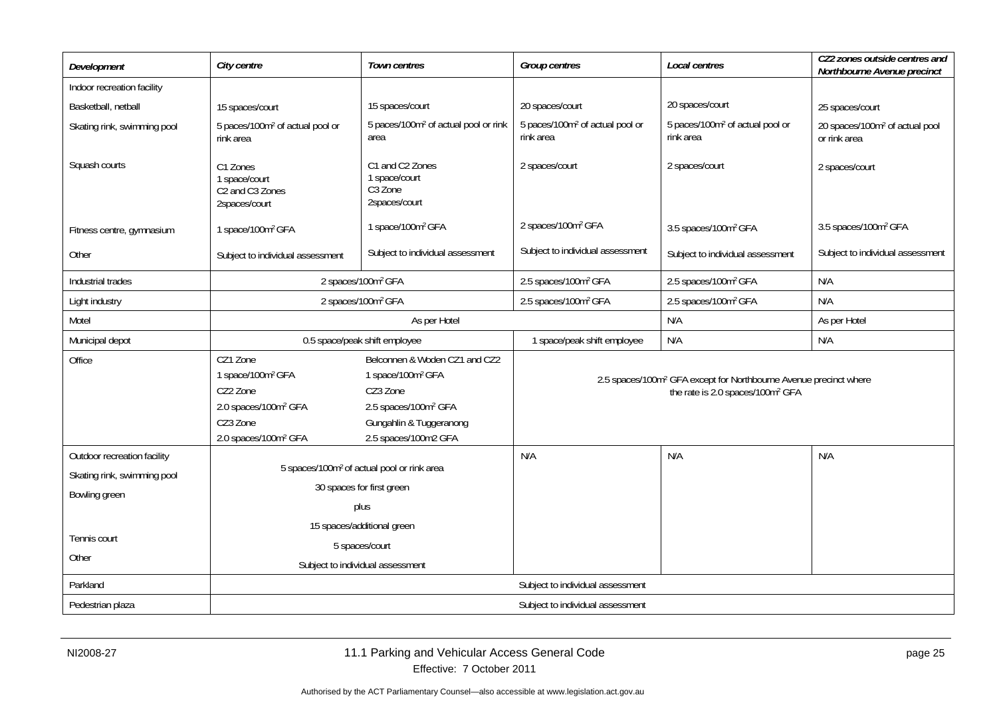| Development                 | City centre                                                                                                                                                                                                                                                                                                    | <b>Town centres</b>                                                      | Group centres                                            | Local centres                                                                                                                 | CZ2 zones outside centres and<br>Northbourne Avenue precinct |
|-----------------------------|----------------------------------------------------------------------------------------------------------------------------------------------------------------------------------------------------------------------------------------------------------------------------------------------------------------|--------------------------------------------------------------------------|----------------------------------------------------------|-------------------------------------------------------------------------------------------------------------------------------|--------------------------------------------------------------|
| Indoor recreation facility  |                                                                                                                                                                                                                                                                                                                |                                                                          |                                                          |                                                                                                                               |                                                              |
| Basketball, netball         | 15 spaces/court                                                                                                                                                                                                                                                                                                | 15 spaces/court                                                          | 20 spaces/court                                          | 20 spaces/court                                                                                                               | 25 spaces/court                                              |
| Skating rink, swimming pool | 5 paces/100m <sup>2</sup> of actual pool or<br>rink area                                                                                                                                                                                                                                                       | 5 paces/100m <sup>2</sup> of actual pool or rink<br>area                 | 5 paces/100m <sup>2</sup> of actual pool or<br>rink area | 5 paces/100m <sup>2</sup> of actual pool or<br>rink area                                                                      | 20 spaces/100m <sup>2</sup> of actual pool<br>or rink area   |
| Squash courts               | C1 Zones<br>1 space/court<br>C <sub>2</sub> and C <sub>3</sub> Zones<br>2spaces/court                                                                                                                                                                                                                          | C1 and C2 Zones<br>1 space/court<br>C <sub>3</sub> Zone<br>2spaces/court | 2 spaces/court                                           | 2 spaces/court                                                                                                                | 2 spaces/court                                               |
| Fitness centre, gymnasium   | 1 space/100m <sup>2</sup> GFA                                                                                                                                                                                                                                                                                  | 1 space/100m <sup>2</sup> GFA                                            | 2 spaces/100m <sup>2</sup> GFA                           | 3.5 spaces/100m <sup>2</sup> GFA                                                                                              | 3.5 spaces/100m <sup>2</sup> GFA                             |
| Other                       | Subject to individual assessment                                                                                                                                                                                                                                                                               | Subject to individual assessment                                         | Subject to individual assessment                         | Subject to individual assessment                                                                                              | Subject to individual assessment                             |
| Industrial trades           | 2 spaces/100m <sup>2</sup> GFA                                                                                                                                                                                                                                                                                 |                                                                          | 2.5 spaces/100m <sup>2</sup> GFA                         | 2.5 spaces/100m <sup>2</sup> GFA                                                                                              | N/A                                                          |
| Light industry              | 2 spaces/100m <sup>2</sup> GFA                                                                                                                                                                                                                                                                                 |                                                                          | 2.5 spaces/100m <sup>2</sup> GFA                         | 2.5 spaces/100m <sup>2</sup> GFA                                                                                              | N/A                                                          |
| Motel                       | As per Hotel                                                                                                                                                                                                                                                                                                   |                                                                          |                                                          | N/A                                                                                                                           | As per Hotel                                                 |
| Municipal depot             | 0.5 space/peak shift employee                                                                                                                                                                                                                                                                                  |                                                                          | 1 space/peak shift employee                              | N/A                                                                                                                           | N/A                                                          |
| Office                      | CZ1 Zone<br>Belconnen & Woden CZ1 and CZ2<br>1 space/100m <sup>2</sup> GFA<br>1 space/100m <sup>2</sup> GFA<br>CZ2 Zone<br>CZ3 Zone<br>2.0 spaces/100m <sup>2</sup> GFA<br>2.5 spaces/100m <sup>2</sup> GFA<br>CZ3 Zone<br>Gungahlin & Tuggeranong<br>2.0 spaces/100m <sup>2</sup> GFA<br>2.5 spaces/100m2 GFA |                                                                          |                                                          | 2.5 spaces/100m <sup>2</sup> GFA except for Northbourne Avenue precinct where<br>the rate is 2.0 spaces/100m <sup>2</sup> GFA |                                                              |
| Outdoor recreation facility |                                                                                                                                                                                                                                                                                                                |                                                                          | N/A                                                      | N/A                                                                                                                           | N/A                                                          |
| Skating rink, swimming pool |                                                                                                                                                                                                                                                                                                                | 5 spaces/100m <sup>2</sup> of actual pool or rink area                   |                                                          |                                                                                                                               |                                                              |
| Bowling green               |                                                                                                                                                                                                                                                                                                                | 30 spaces for first green                                                |                                                          |                                                                                                                               |                                                              |
|                             | plus                                                                                                                                                                                                                                                                                                           |                                                                          |                                                          |                                                                                                                               |                                                              |
| Tennis court                |                                                                                                                                                                                                                                                                                                                | 15 spaces/additional green                                               |                                                          |                                                                                                                               |                                                              |
| Other                       |                                                                                                                                                                                                                                                                                                                | 5 spaces/court<br>Subject to individual assessment                       |                                                          |                                                                                                                               |                                                              |
| Parkland                    |                                                                                                                                                                                                                                                                                                                |                                                                          | Subject to individual assessment                         |                                                                                                                               |                                                              |
| Pedestrian plaza            |                                                                                                                                                                                                                                                                                                                |                                                                          | Subject to individual assessment                         |                                                                                                                               |                                                              |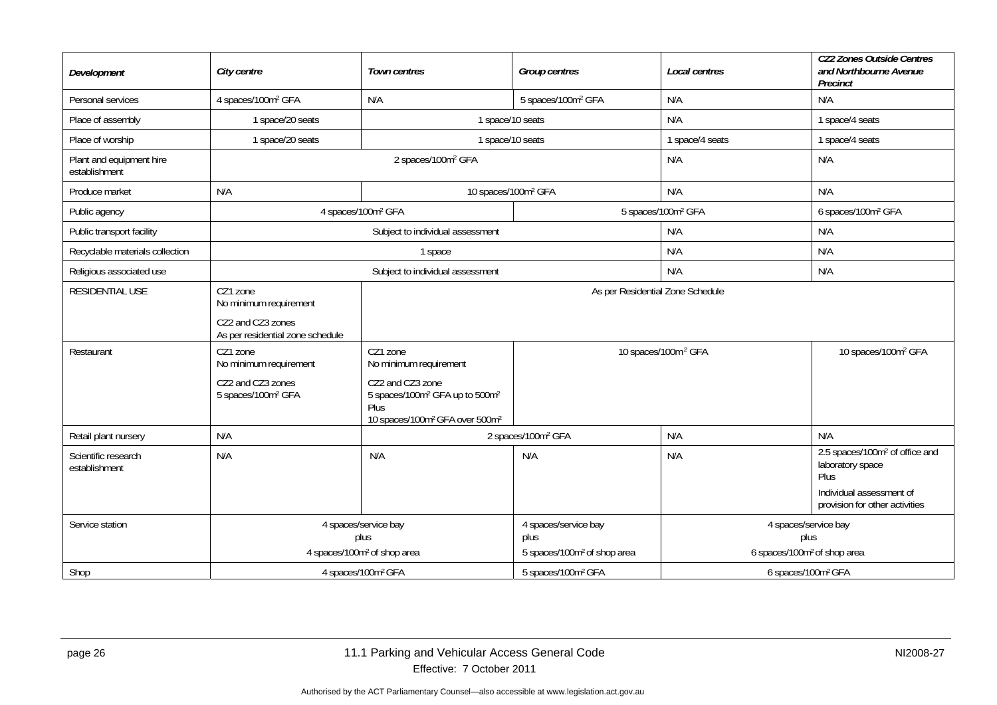| Development                               | City centre                                           | Town centres                                                                                                                                 | <b>Group centres</b>                            | Local centres                                   | <b>CZ2 Zones Outside Centres</b><br>and Northbourne Avenue<br>Precinct                                                               |
|-------------------------------------------|-------------------------------------------------------|----------------------------------------------------------------------------------------------------------------------------------------------|-------------------------------------------------|-------------------------------------------------|--------------------------------------------------------------------------------------------------------------------------------------|
| Personal services                         | 4 spaces/100m <sup>2</sup> GFA                        | N/A                                                                                                                                          | 5 spaces/100m <sup>2</sup> GFA                  | N/A                                             | N/A                                                                                                                                  |
| Place of assembly                         | 1 space/20 seats                                      | 1 space/10 seats                                                                                                                             |                                                 | N/A                                             | 1 space/4 seats                                                                                                                      |
| Place of worship                          | 1 space/20 seats                                      | 1 space/10 seats                                                                                                                             |                                                 | 1 space/4 seats                                 | 1 space/4 seats                                                                                                                      |
| Plant and equipment hire<br>establishment |                                                       | 2 spaces/100m <sup>2</sup> GFA                                                                                                               |                                                 | N/A                                             | N/A                                                                                                                                  |
| Produce market                            | N/A                                                   | 10 spaces/100m <sup>2</sup> GFA                                                                                                              |                                                 | N/A                                             | N/A                                                                                                                                  |
| Public agency                             | 4 spaces/100m <sup>2</sup> GFA                        |                                                                                                                                              | 5 spaces/100m <sup>2</sup> GFA                  |                                                 | 6 spaces/100m <sup>2</sup> GFA                                                                                                       |
| Public transport facility                 |                                                       | Subject to individual assessment                                                                                                             |                                                 | N/A                                             | N/A                                                                                                                                  |
| Recyclable materials collection           |                                                       | 1 space                                                                                                                                      |                                                 | N/A                                             | N/A                                                                                                                                  |
| Religious associated use                  |                                                       | Subject to individual assessment                                                                                                             |                                                 | N/A                                             | N/A                                                                                                                                  |
| <b>RESIDENTIAL USE</b>                    | CZ1 zone<br>No minimum requirement                    | As per Residential Zone Schedule                                                                                                             |                                                 |                                                 |                                                                                                                                      |
|                                           | CZ2 and CZ3 zones<br>As per residential zone schedule |                                                                                                                                              |                                                 |                                                 |                                                                                                                                      |
| Restaurant                                | CZ1 zone<br>No minimum requirement                    | CZ1 zone<br>No minimum requirement                                                                                                           |                                                 | 10 spaces/100m <sup>2</sup> GFA                 | 10 spaces/100m <sup>2</sup> GFA                                                                                                      |
|                                           | CZ2 and CZ3 zones<br>5 spaces/100m <sup>2</sup> GFA   | CZ2 and CZ3 zone<br>5 spaces/100m <sup>2</sup> GFA up to 500m <sup>2</sup><br>Plus<br>10 spaces/100m <sup>2</sup> GFA over 500m <sup>2</sup> |                                                 |                                                 |                                                                                                                                      |
| Retail plant nursery                      | N/A                                                   |                                                                                                                                              | 2 spaces/100m <sup>2</sup> GFA                  | N/A                                             | N/A                                                                                                                                  |
| Scientific research<br>establishment      | N/A                                                   | N/A                                                                                                                                          | N/A                                             | N/A                                             | 2.5 spaces/100m <sup>2</sup> of office and<br>laboratory space<br>Plus<br>Individual assessment of<br>provision for other activities |
| Service station                           |                                                       | 4 spaces/service bay                                                                                                                         | 4 spaces/service bay                            | 4 spaces/service bay                            |                                                                                                                                      |
|                                           |                                                       | plus<br>4 spaces/100m <sup>2</sup> of shop area                                                                                              | plus<br>5 spaces/100m <sup>2</sup> of shop area | plus<br>6 spaces/100m <sup>2</sup> of shop area |                                                                                                                                      |
| Shop                                      |                                                       |                                                                                                                                              | 5 spaces/100m <sup>2</sup> GFA                  |                                                 |                                                                                                                                      |
|                                           | 4 spaces/100m <sup>2</sup> GFA                        |                                                                                                                                              |                                                 | 6 spaces/100m <sup>2</sup> GFA                  |                                                                                                                                      |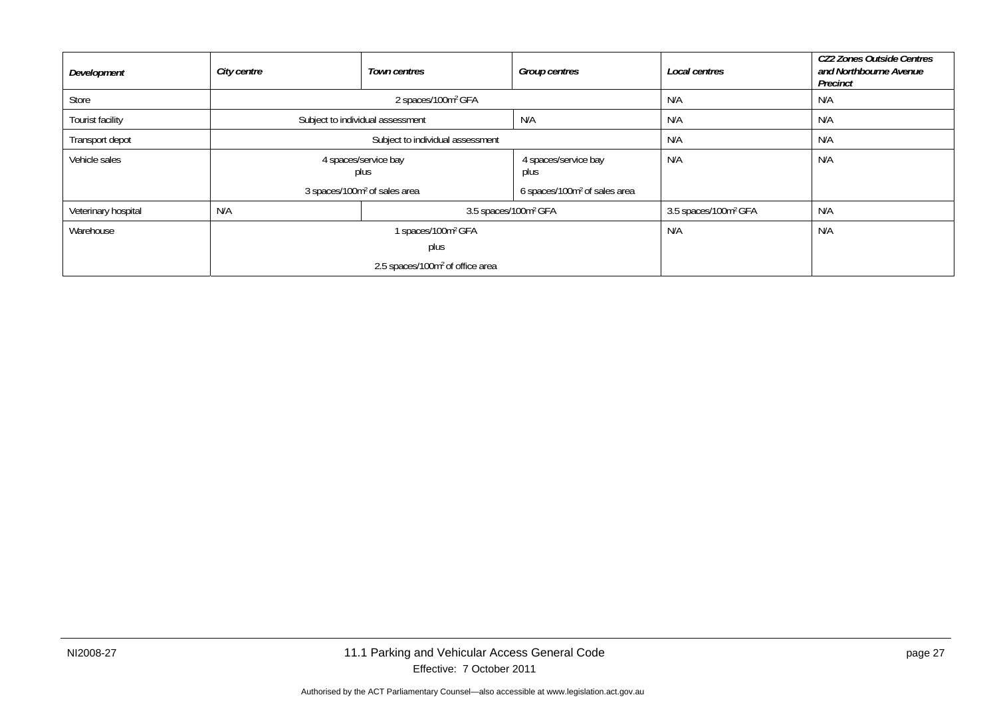| Development         | City centre                              | <b>Town centres</b>                         | <b>Group centres</b>                     | Local centres                    | <b>CZ2 Zones Outside Centres</b><br>and Northbourne Avenue<br>Precinct |
|---------------------|------------------------------------------|---------------------------------------------|------------------------------------------|----------------------------------|------------------------------------------------------------------------|
| Store               |                                          | 2 spaces/100m <sup>2</sup> GFA              |                                          | N/A                              | N/A                                                                    |
| Tourist facility    |                                          | Subject to individual assessment            | N/A                                      | N/A                              | N/A                                                                    |
| Transport depot     |                                          | Subject to individual assessment            |                                          | N/A                              | N/A                                                                    |
| Vehicle sales       | 4 spaces/service bay<br>plus             |                                             | 4 spaces/service bay<br>plus             | N/A                              | N/A                                                                    |
|                     | 3 spaces/100m <sup>2</sup> of sales area |                                             | 6 spaces/100m <sup>2</sup> of sales area |                                  |                                                                        |
| Veterinary hospital | N/A<br>3.5 spaces/100m <sup>2</sup> GFA  |                                             |                                          | 3.5 spaces/100m <sup>2</sup> GFA | N/A                                                                    |
| Warehouse           | 1 spaces/100m <sup>2</sup> GFA           |                                             |                                          | N/A                              | N/A                                                                    |
|                     | plus                                     |                                             |                                          |                                  |                                                                        |
|                     |                                          | 2.5 spaces/100m <sup>2</sup> of office area |                                          |                                  |                                                                        |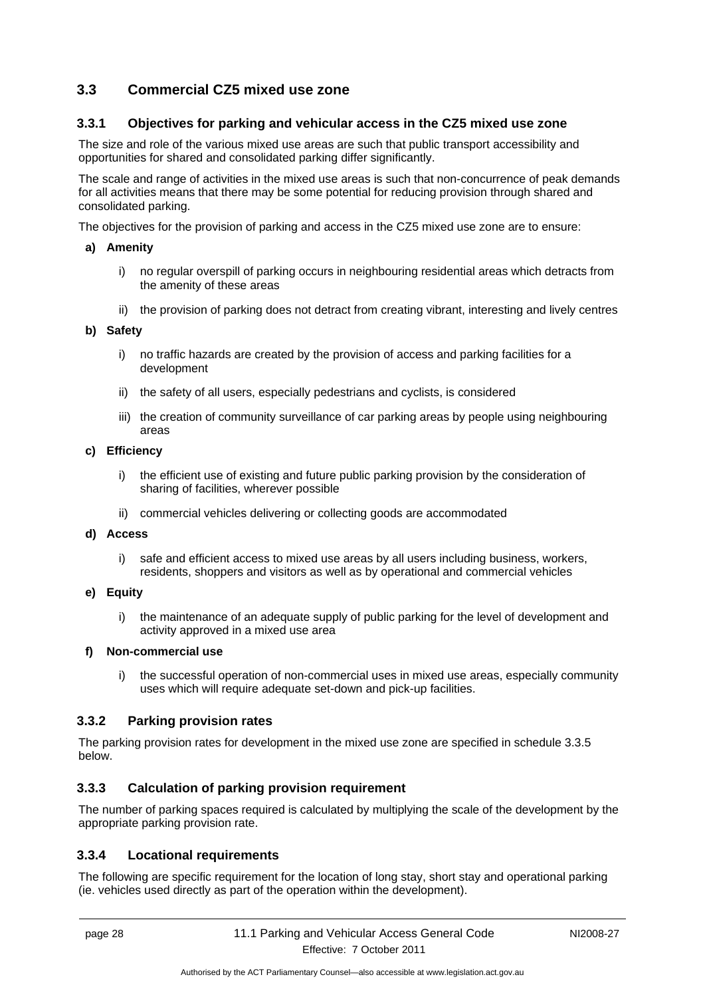## <span id="page-31-0"></span>**3.3 Commercial CZ5 mixed use zone**

## <span id="page-31-1"></span>**3.3.1 Objectives for parking and vehicular access in the CZ5 mixed use zone**

The size and role of the various mixed use areas are such that public transport accessibility and opportunities for shared and consolidated parking differ significantly.

The scale and range of activities in the mixed use areas is such that non-concurrence of peak demands for all activities means that there may be some potential for reducing provision through shared and consolidated parking.

The objectives for the provision of parking and access in the CZ5 mixed use zone are to ensure:

#### **a) Amenity**

- i) no regular overspill of parking occurs in neighbouring residential areas which detracts from the amenity of these areas
- ii) the provision of parking does not detract from creating vibrant, interesting and lively centres

#### **b) Safety**

- i) no traffic hazards are created by the provision of access and parking facilities for a development
- ii) the safety of all users, especially pedestrians and cyclists, is considered
- iii) the creation of community surveillance of car parking areas by people using neighbouring areas

#### **c) Efficiency**

- i) the efficient use of existing and future public parking provision by the consideration of sharing of facilities, wherever possible
- ii) commercial vehicles delivering or collecting goods are accommodated

#### **d) Access**

- i) safe and efficient access to mixed use areas by all users including business, workers, residents, shoppers and visitors as well as by operational and commercial vehicles
- **e) Equity** 
	- i) the maintenance of an adequate supply of public parking for the level of development and activity approved in a mixed use area

#### **f) Non-commercial use**

i) the successful operation of non-commercial uses in mixed use areas, especially community uses which will require adequate set-down and pick-up facilities.

#### <span id="page-31-2"></span>**3.3.2 Parking provision rates**

The parking provision rates for development in the mixed use zone are specified in schedule 3.3.5 below.

## <span id="page-31-3"></span>**3.3.3 Calculation of parking provision requirement**

The number of parking spaces required is calculated by multiplying the scale of the development by the appropriate parking provision rate.

## <span id="page-31-4"></span>**3.3.4 Locational requirements**

The following are specific requirement for the location of long stay, short stay and operational parking (ie. vehicles used directly as part of the operation within the development).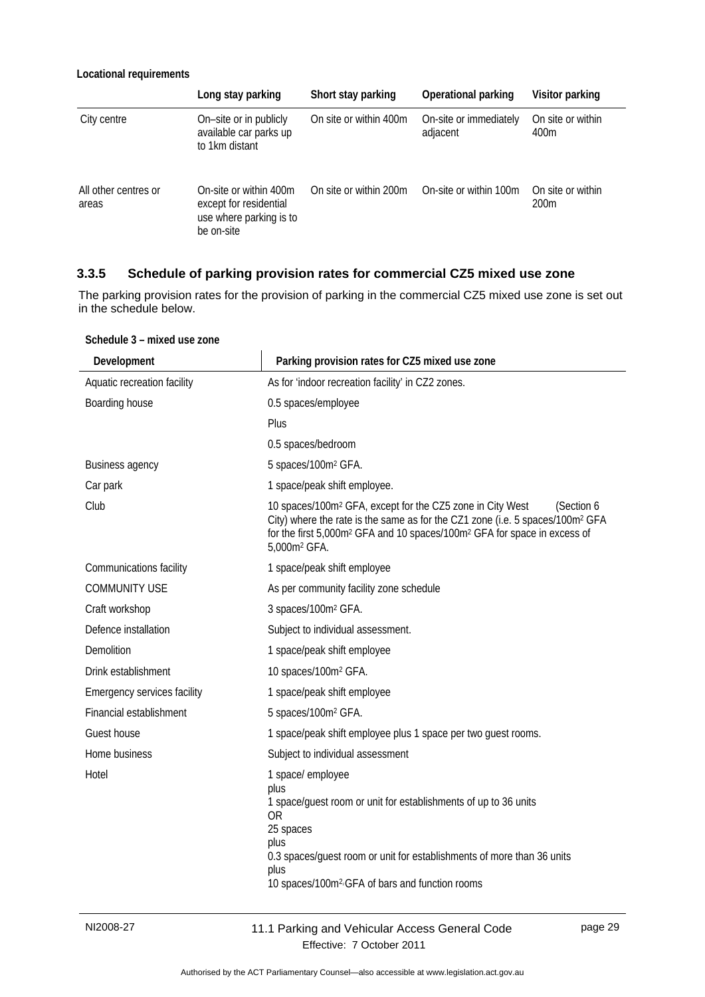#### **Locational requirements**

|                               | Long stay parking                                                                         | Short stay parking     | Operational parking                | Visitor parking                       |
|-------------------------------|-------------------------------------------------------------------------------------------|------------------------|------------------------------------|---------------------------------------|
| City centre                   | On-site or in publicly<br>available car parks up<br>to 1km distant                        | On site or within 400m | On-site or immediately<br>adjacent | On site or within<br>400m             |
| All other centres or<br>areas | On-site or within 400m<br>except for residential<br>use where parking is to<br>be on-site | On site or within 200m | On-site or within 100m             | On site or within<br>200 <sub>m</sub> |

## <span id="page-32-0"></span>**3.3.5 Schedule of parking provision rates for commercial CZ5 mixed use zone**

The parking provision rates for the provision of parking in the commercial CZ5 mixed use zone is set out in the schedule below.

| Development                 | Parking provision rates for CZ5 mixed use zone                                                                                                                                                                                                                                                                   |
|-----------------------------|------------------------------------------------------------------------------------------------------------------------------------------------------------------------------------------------------------------------------------------------------------------------------------------------------------------|
| Aquatic recreation facility | As for 'indoor recreation facility' in CZ2 zones.                                                                                                                                                                                                                                                                |
| Boarding house              | 0.5 spaces/employee                                                                                                                                                                                                                                                                                              |
|                             | Plus                                                                                                                                                                                                                                                                                                             |
|                             | 0.5 spaces/bedroom                                                                                                                                                                                                                                                                                               |
| <b>Business agency</b>      | 5 spaces/100m <sup>2</sup> GFA.                                                                                                                                                                                                                                                                                  |
| Car park                    | 1 space/peak shift employee.                                                                                                                                                                                                                                                                                     |
| Club                        | 10 spaces/100m <sup>2</sup> GFA, except for the CZ5 zone in City West<br>(Section 6<br>City) where the rate is the same as for the CZ1 zone (i.e. 5 spaces/100m <sup>2</sup> GFA<br>for the first 5,000m <sup>2</sup> GFA and 10 spaces/100m <sup>2</sup> GFA for space in excess of<br>5,000m <sup>2</sup> GFA. |
| Communications facility     | 1 space/peak shift employee                                                                                                                                                                                                                                                                                      |
| COMMUNITY USE               | As per community facility zone schedule                                                                                                                                                                                                                                                                          |
| Craft workshop              | 3 spaces/100m <sup>2</sup> GFA.                                                                                                                                                                                                                                                                                  |
| Defence installation        | Subject to individual assessment.                                                                                                                                                                                                                                                                                |
| <b>Demolition</b>           | 1 space/peak shift employee                                                                                                                                                                                                                                                                                      |
| Drink establishment         | 10 spaces/100m <sup>2</sup> GFA.                                                                                                                                                                                                                                                                                 |
| Emergency services facility | 1 space/peak shift employee                                                                                                                                                                                                                                                                                      |
| Financial establishment     | 5 spaces/100m <sup>2</sup> GFA.                                                                                                                                                                                                                                                                                  |
| Guest house                 | 1 space/peak shift employee plus 1 space per two guest rooms.                                                                                                                                                                                                                                                    |
| Home business               | Subject to individual assessment                                                                                                                                                                                                                                                                                 |
| Hotel                       | 1 space/ employee<br>plus<br>1 space/guest room or unit for establishments of up to 36 units<br>0R<br>25 spaces<br>plus<br>0.3 spaces/guest room or unit for establishments of more than 36 units<br>plus<br>10 spaces/100m <sup>2</sup> <sup>2</sup> GFA of bars and function rooms                             |

**Schedule 3 – mixed use zone**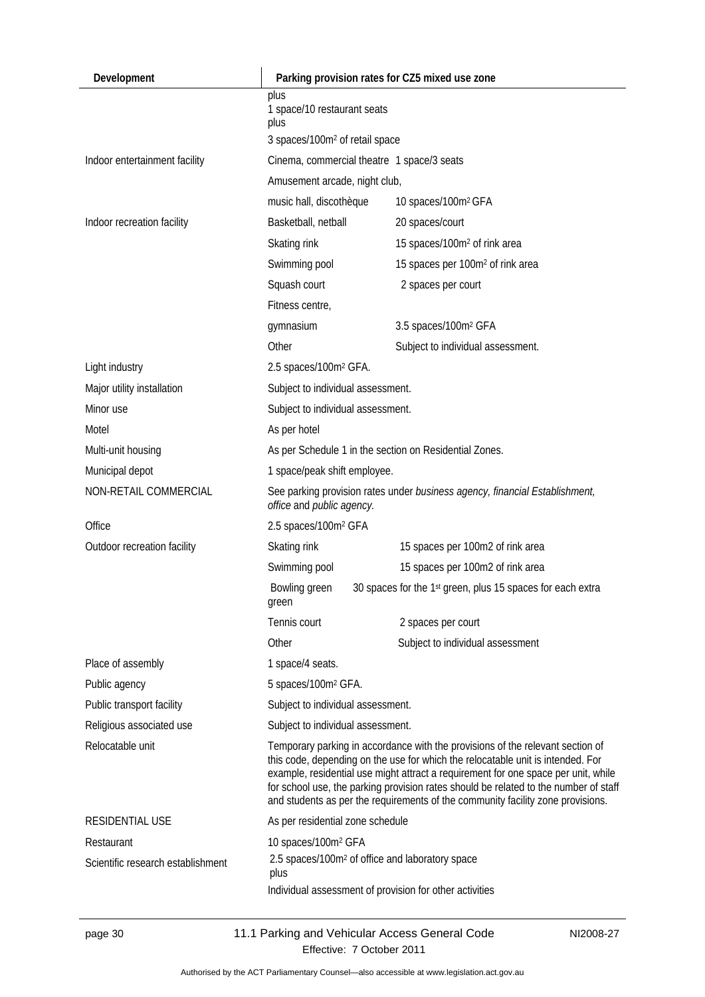| Development                       | Parking provision rates for CZ5 mixed use zone                                                                                                                                                                                                                                                                                                                                                                                     |                                                            |  |  |
|-----------------------------------|------------------------------------------------------------------------------------------------------------------------------------------------------------------------------------------------------------------------------------------------------------------------------------------------------------------------------------------------------------------------------------------------------------------------------------|------------------------------------------------------------|--|--|
|                                   | plus<br>1 space/10 restaurant seats<br>plus<br>3 spaces/100m <sup>2</sup> of retail space                                                                                                                                                                                                                                                                                                                                          |                                                            |  |  |
| Indoor entertainment facility     | Cinema, commercial theatre 1 space/3 seats                                                                                                                                                                                                                                                                                                                                                                                         |                                                            |  |  |
|                                   | Amusement arcade, night club,                                                                                                                                                                                                                                                                                                                                                                                                      |                                                            |  |  |
|                                   | music hall, discothèque                                                                                                                                                                                                                                                                                                                                                                                                            | 10 spaces/100m <sup>2</sup> GFA                            |  |  |
| Indoor recreation facility        | Basketball, netball                                                                                                                                                                                                                                                                                                                                                                                                                | 20 spaces/court                                            |  |  |
|                                   | Skating rink                                                                                                                                                                                                                                                                                                                                                                                                                       | 15 spaces/100m <sup>2</sup> of rink area                   |  |  |
|                                   | Swimming pool                                                                                                                                                                                                                                                                                                                                                                                                                      | 15 spaces per 100m <sup>2</sup> of rink area               |  |  |
|                                   | Squash court                                                                                                                                                                                                                                                                                                                                                                                                                       | 2 spaces per court                                         |  |  |
|                                   | Fitness centre,                                                                                                                                                                                                                                                                                                                                                                                                                    |                                                            |  |  |
|                                   | gymnasium                                                                                                                                                                                                                                                                                                                                                                                                                          | 3.5 spaces/100m <sup>2</sup> GFA                           |  |  |
|                                   | Other                                                                                                                                                                                                                                                                                                                                                                                                                              | Subject to individual assessment.                          |  |  |
| Light industry                    | 2.5 spaces/100m <sup>2</sup> GFA.                                                                                                                                                                                                                                                                                                                                                                                                  |                                                            |  |  |
| Major utility installation        | Subject to individual assessment.                                                                                                                                                                                                                                                                                                                                                                                                  |                                                            |  |  |
| Minor use                         | Subject to individual assessment.                                                                                                                                                                                                                                                                                                                                                                                                  |                                                            |  |  |
| Motel                             | As per hotel                                                                                                                                                                                                                                                                                                                                                                                                                       |                                                            |  |  |
| Multi-unit housing                | As per Schedule 1 in the section on Residential Zones.                                                                                                                                                                                                                                                                                                                                                                             |                                                            |  |  |
| Municipal depot                   | 1 space/peak shift employee.                                                                                                                                                                                                                                                                                                                                                                                                       |                                                            |  |  |
| NON-RETAIL COMMERCIAL             | See parking provision rates under business agency, financial Establishment,<br>office and public agency.                                                                                                                                                                                                                                                                                                                           |                                                            |  |  |
| Office                            | 2.5 spaces/100m <sup>2</sup> GFA                                                                                                                                                                                                                                                                                                                                                                                                   |                                                            |  |  |
| Outdoor recreation facility       | Skating rink                                                                                                                                                                                                                                                                                                                                                                                                                       | 15 spaces per 100m2 of rink area                           |  |  |
|                                   | Swimming pool                                                                                                                                                                                                                                                                                                                                                                                                                      | 15 spaces per 100m2 of rink area                           |  |  |
|                                   | Bowling green<br>green                                                                                                                                                                                                                                                                                                                                                                                                             | 30 spaces for the 1st green, plus 15 spaces for each extra |  |  |
|                                   | Tennis court                                                                                                                                                                                                                                                                                                                                                                                                                       | 2 spaces per court                                         |  |  |
|                                   | Other                                                                                                                                                                                                                                                                                                                                                                                                                              | Subject to individual assessment                           |  |  |
| Place of assembly                 | 1 space/4 seats.                                                                                                                                                                                                                                                                                                                                                                                                                   |                                                            |  |  |
| Public agency                     | 5 spaces/100m <sup>2</sup> GFA.                                                                                                                                                                                                                                                                                                                                                                                                    |                                                            |  |  |
| Public transport facility         | Subject to individual assessment.                                                                                                                                                                                                                                                                                                                                                                                                  |                                                            |  |  |
| Religious associated use          | Subject to individual assessment.                                                                                                                                                                                                                                                                                                                                                                                                  |                                                            |  |  |
| Relocatable unit                  | Temporary parking in accordance with the provisions of the relevant section of<br>this code, depending on the use for which the relocatable unit is intended. For<br>example, residential use might attract a requirement for one space per unit, while<br>for school use, the parking provision rates should be related to the number of staff<br>and students as per the requirements of the community facility zone provisions. |                                                            |  |  |
| RESIDENTIAL USE                   | As per residential zone schedule                                                                                                                                                                                                                                                                                                                                                                                                   |                                                            |  |  |
| Restaurant                        | 10 spaces/100m <sup>2</sup> GFA                                                                                                                                                                                                                                                                                                                                                                                                    |                                                            |  |  |
| Scientific research establishment | 2.5 spaces/100m <sup>2</sup> of office and laboratory space<br>plus<br>Individual assessment of provision for other activities                                                                                                                                                                                                                                                                                                     |                                                            |  |  |

Authorised by the ACT Parliamentary Counsel—also accessible at www.legislation.act.gov.au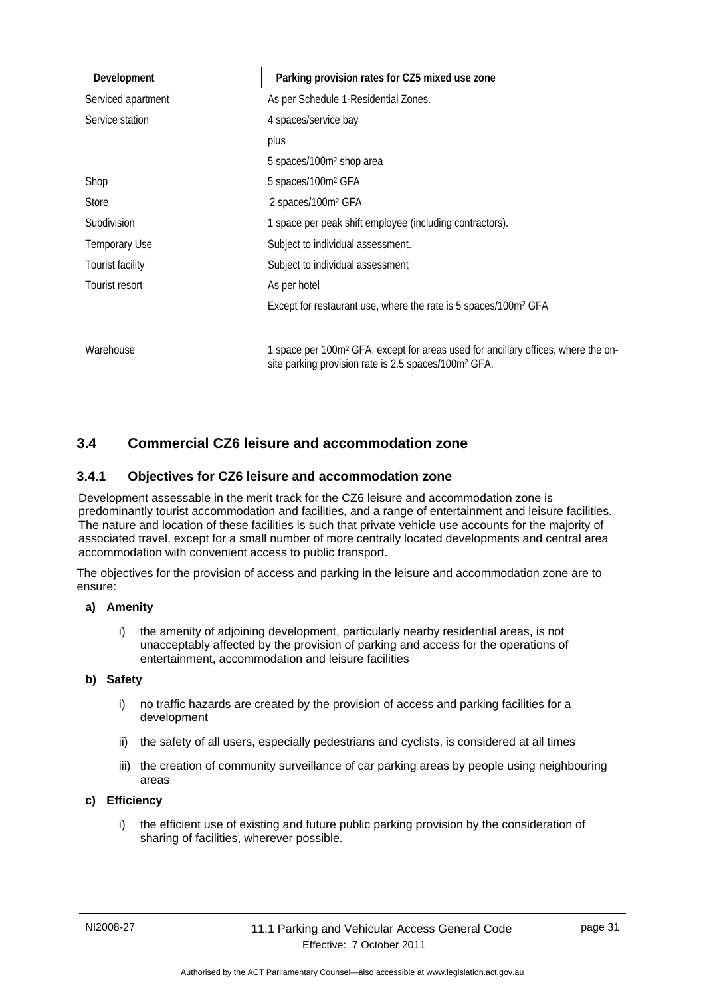| Development             | Parking provision rates for CZ5 mixed use zone                                                                                                                    |
|-------------------------|-------------------------------------------------------------------------------------------------------------------------------------------------------------------|
| Serviced apartment      | As per Schedule 1-Residential Zones.                                                                                                                              |
| Service station         | 4 spaces/service bay                                                                                                                                              |
|                         | plus                                                                                                                                                              |
|                         | 5 spaces/100m <sup>2</sup> shop area                                                                                                                              |
| Shop                    | 5 spaces/100m <sup>2</sup> GFA                                                                                                                                    |
| Store                   | 2 spaces/100m <sup>2</sup> GFA                                                                                                                                    |
| Subdivision             | 1 space per peak shift employee (including contractors).                                                                                                          |
| <b>Temporary Use</b>    | Subject to individual assessment.                                                                                                                                 |
| <b>Tourist facility</b> | Subject to individual assessment                                                                                                                                  |
| Tourist resort          | As per hotel                                                                                                                                                      |
|                         | Except for restaurant use, where the rate is 5 spaces/100m <sup>2</sup> GFA                                                                                       |
|                         |                                                                                                                                                                   |
| Warehouse               | 1 space per 100m <sup>2</sup> GFA, except for areas used for ancillary offices, where the on-<br>site parking provision rate is 2.5 spaces/100m <sup>2</sup> GFA. |

## <span id="page-34-0"></span>**3.4 Commercial CZ6 leisure and accommodation zone**

## <span id="page-34-1"></span>**3.4.1 Objectives for CZ6 leisure and accommodation zone**

Development assessable in the merit track for the CZ6 leisure and accommodation zone is predominantly tourist accommodation and facilities, and a range of entertainment and leisure facilities. The nature and location of these facilities is such that private vehicle use accounts for the majority of associated travel, except for a small number of more centrally located developments and central area accommodation with convenient access to public transport.

The objectives for the provision of access and parking in the leisure and accommodation zone are to ensure:

#### **a) Amenity**

i) the amenity of adjoining development, particularly nearby residential areas, is not unacceptably affected by the provision of parking and access for the operations of entertainment, accommodation and leisure facilities

## **b) Safety**

- i) no traffic hazards are created by the provision of access and parking facilities for a development
- ii) the safety of all users, especially pedestrians and cyclists, is considered at all times
- iii) the creation of community surveillance of car parking areas by people using neighbouring areas

#### **c) Efficiency**

i) the efficient use of existing and future public parking provision by the consideration of sharing of facilities, wherever possible.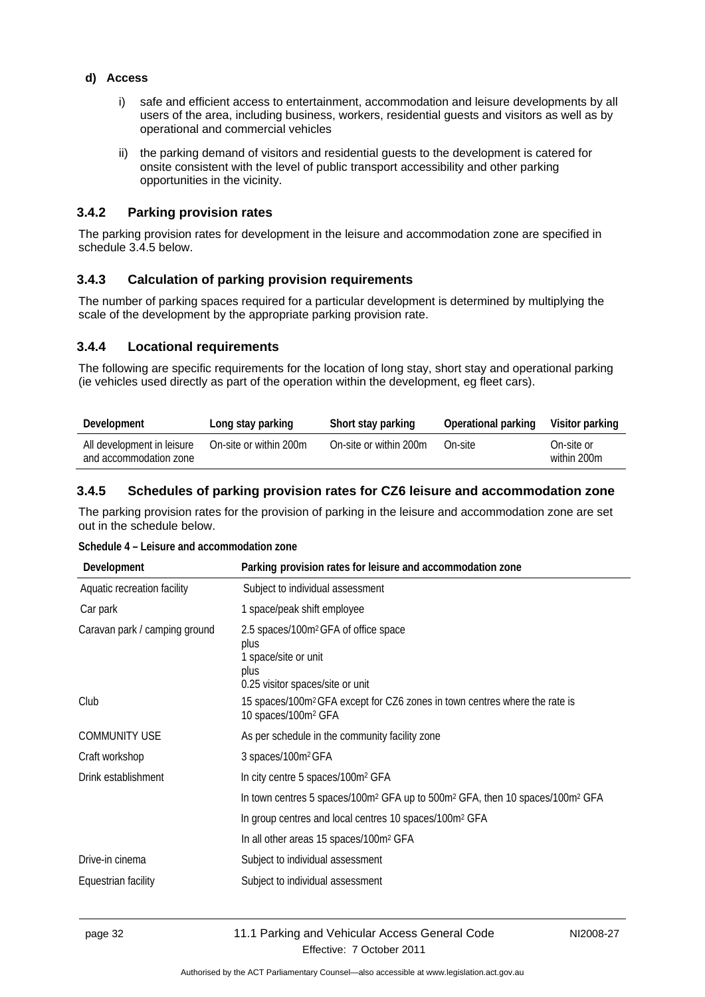#### **d) Access**

- i) safe and efficient access to entertainment, accommodation and leisure developments by all users of the area, including business, workers, residential guests and visitors as well as by operational and commercial vehicles
- ii) the parking demand of visitors and residential guests to the development is catered for onsite consistent with the level of public transport accessibility and other parking opportunities in the vicinity.

#### <span id="page-35-0"></span>**3.4.2 Parking provision rates**

The parking provision rates for development in the leisure and accommodation zone are specified in schedule 3.4.5 below.

## <span id="page-35-1"></span>**3.4.3 Calculation of parking provision requirements**

The number of parking spaces required for a particular development is determined by multiplying the scale of the development by the appropriate parking provision rate.

#### <span id="page-35-2"></span>**3.4.4 Locational requirements**

The following are specific requirements for the location of long stay, short stay and operational parking (ie vehicles used directly as part of the operation within the development, eg fleet cars).

| Development                                          | Long stay parking      | Short stay parking     | Operational parking | Visitor parking           |
|------------------------------------------------------|------------------------|------------------------|---------------------|---------------------------|
| All development in leisure<br>and accommodation zone | On-site or within 200m | On-site or within 200m | On-site             | On-site or<br>within 200m |

## <span id="page-35-3"></span>**3.4.5 Schedules of parking provision rates for CZ6 leisure and accommodation zone**

The parking provision rates for the provision of parking in the leisure and accommodation zone are set out in the schedule below.

|  |  |  |  |  | Schedule 4 - Leisure and accommodation zone |
|--|--|--|--|--|---------------------------------------------|
|--|--|--|--|--|---------------------------------------------|

| Development                   | Parking provision rates for leisure and accommodation zone                                                                   |
|-------------------------------|------------------------------------------------------------------------------------------------------------------------------|
| Aquatic recreation facility   | Subject to individual assessment                                                                                             |
| Car park                      | 1 space/peak shift employee                                                                                                  |
| Caravan park / camping ground | 2.5 spaces/100m <sup>2</sup> GFA of office space<br>plus<br>1 space/site or unit<br>plus<br>0.25 visitor spaces/site or unit |
| Club                          | 15 spaces/100m <sup>2</sup> GFA except for CZ6 zones in town centres where the rate is<br>10 spaces/100m <sup>2</sup> GFA    |
| <b>COMMUNITY USE</b>          | As per schedule in the community facility zone                                                                               |
| Craft workshop                | 3 spaces/100m <sup>2</sup> GFA                                                                                               |
| Drink establishment           | In city centre 5 spaces/100m <sup>2</sup> GFA                                                                                |
|                               | In town centres 5 spaces/100m <sup>2</sup> GFA up to 500m <sup>2</sup> GFA, then 10 spaces/100m <sup>2</sup> GFA             |
|                               | In group centres and local centres 10 spaces/100m <sup>2</sup> GFA                                                           |
|                               | In all other areas 15 spaces/100m <sup>2</sup> GFA                                                                           |
| Drive-in cinema               | Subject to individual assessment                                                                                             |
| Equestrian facility           | Subject to individual assessment                                                                                             |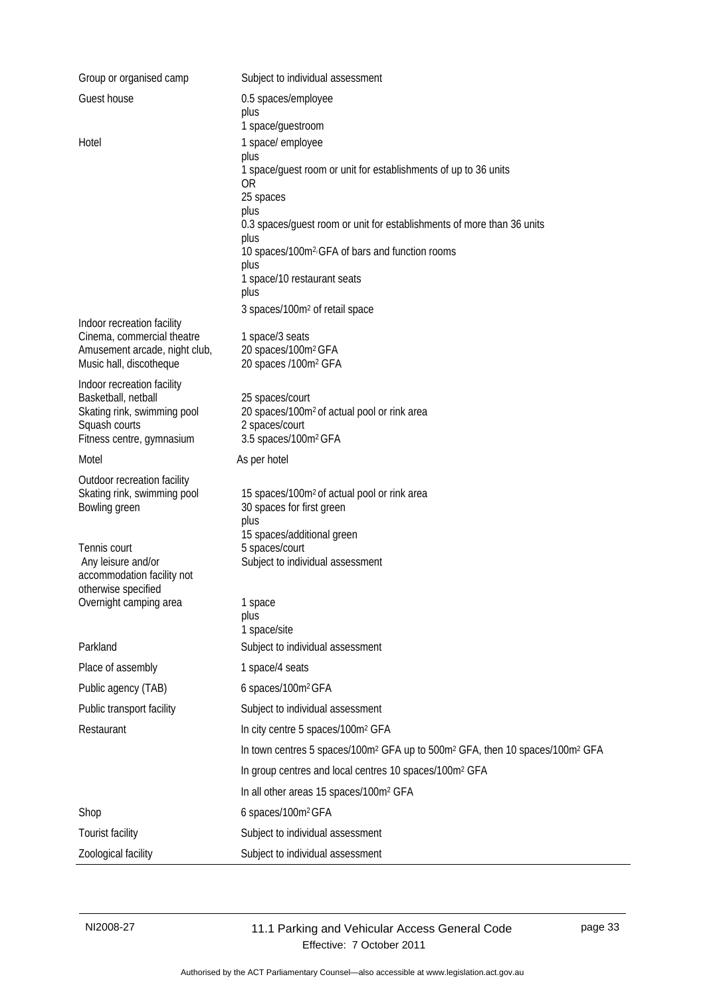| Group or organised camp                                    | Subject to individual assessment                                                                                 |
|------------------------------------------------------------|------------------------------------------------------------------------------------------------------------------|
| Guest house                                                | 0.5 spaces/employee                                                                                              |
|                                                            | plus<br>1 space/guestroom                                                                                        |
| Hotel                                                      | 1 space/ employee                                                                                                |
|                                                            | plus<br>1 space/guest room or unit for establishments of up to 36 units                                          |
|                                                            | 0R                                                                                                               |
|                                                            | 25 spaces<br>plus                                                                                                |
|                                                            | 0.3 spaces/guest room or unit for establishments of more than 36 units                                           |
|                                                            | plus<br>10 spaces/100m <sup>2</sup> <sup>GFA</sup> of bars and function rooms                                    |
|                                                            | plus<br>1 space/10 restaurant seats                                                                              |
|                                                            | plus                                                                                                             |
|                                                            | 3 spaces/100m <sup>2</sup> of retail space                                                                       |
| Indoor recreation facility<br>Cinema, commercial theatre   | 1 space/3 seats                                                                                                  |
| Amusement arcade, night club,                              | 20 spaces/100m <sup>2</sup> GFA                                                                                  |
| Music hall, discotheque                                    | 20 spaces /100m <sup>2</sup> GFA                                                                                 |
| Indoor recreation facility<br>Basketball, netball          | 25 spaces/court                                                                                                  |
| Skating rink, swimming pool                                | 20 spaces/100m <sup>2</sup> of actual pool or rink area                                                          |
| Squash courts<br>Fitness centre, gymnasium                 | 2 spaces/court<br>3.5 spaces/100m <sup>2</sup> GFA                                                               |
| Motel                                                      | As per hotel                                                                                                     |
|                                                            |                                                                                                                  |
| Outdoor recreation facility<br>Skating rink, swimming pool | 15 spaces/100m <sup>2</sup> of actual pool or rink area                                                          |
| Bowling green                                              | 30 spaces for first green                                                                                        |
|                                                            | plus<br>15 spaces/additional green                                                                               |
| Tennis court                                               | 5 spaces/court                                                                                                   |
| Any leisure and/or<br>accommodation facility not           | Subject to individual assessment                                                                                 |
| otherwise specified<br>Overnight camping area              |                                                                                                                  |
|                                                            | 1 space<br>plus                                                                                                  |
|                                                            | 1 space/site                                                                                                     |
| Parkland                                                   | Subject to individual assessment                                                                                 |
| Place of assembly                                          | 1 space/4 seats                                                                                                  |
| Public agency (TAB)                                        | 6 spaces/100m <sup>2</sup> GFA                                                                                   |
| Public transport facility                                  | Subject to individual assessment                                                                                 |
| Restaurant                                                 | In city centre 5 spaces/100m <sup>2</sup> GFA                                                                    |
|                                                            | In town centres 5 spaces/100m <sup>2</sup> GFA up to 500m <sup>2</sup> GFA, then 10 spaces/100m <sup>2</sup> GFA |
|                                                            | In group centres and local centres 10 spaces/100m <sup>2</sup> GFA                                               |
|                                                            | In all other areas 15 spaces/100m <sup>2</sup> GFA                                                               |
| Shop                                                       | 6 spaces/100m <sup>2</sup> GFA                                                                                   |
| Tourist facility                                           | Subject to individual assessment                                                                                 |
| Zoological facility                                        | Subject to individual assessment                                                                                 |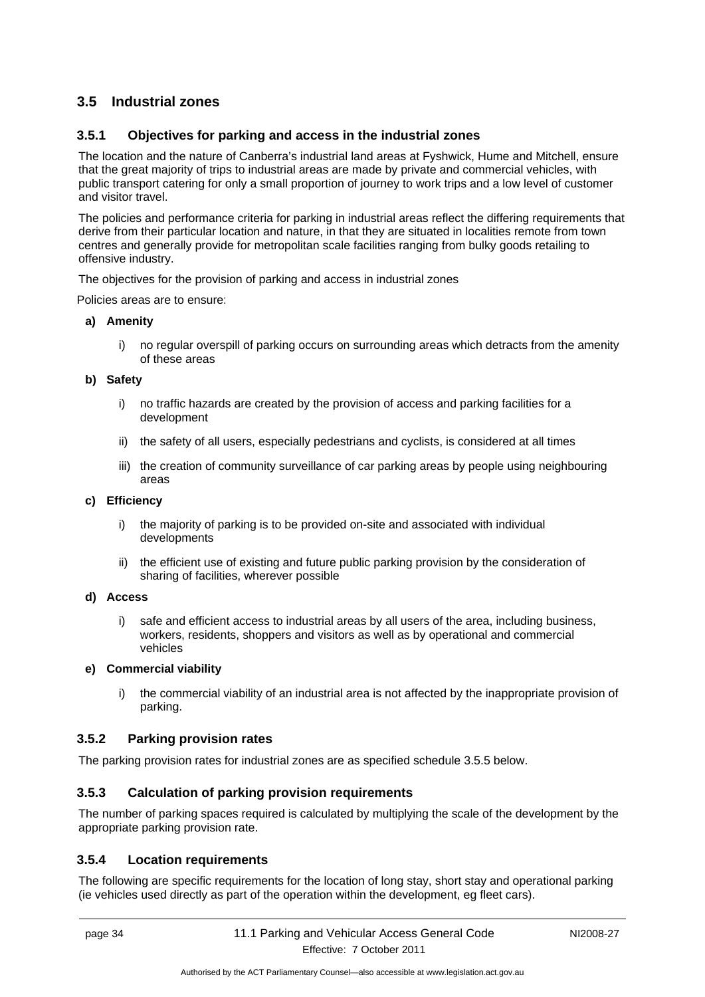## <span id="page-37-0"></span>**3.5 Industrial zones**

## <span id="page-37-1"></span>**3.5.1 Objectives for parking and access in the industrial zones**

The location and the nature of Canberra's industrial land areas at Fyshwick, Hume and Mitchell, ensure that the great majority of trips to industrial areas are made by private and commercial vehicles, with public transport catering for only a small proportion of journey to work trips and a low level of customer and visitor travel.

The policies and performance criteria for parking in industrial areas reflect the differing requirements that derive from their particular location and nature, in that they are situated in localities remote from town centres and generally provide for metropolitan scale facilities ranging from bulky goods retailing to offensive industry.

The objectives for the provision of parking and access in industrial zones

Policies areas are to ensure:

#### **a) Amenity**

i) no regular overspill of parking occurs on surrounding areas which detracts from the amenity of these areas

#### **b) Safety**

- i) no traffic hazards are created by the provision of access and parking facilities for a development
- ii) the safety of all users, especially pedestrians and cyclists, is considered at all times
- iii) the creation of community surveillance of car parking areas by people using neighbouring areas

#### **c) Efficiency**

- i) the majority of parking is to be provided on-site and associated with individual developments
- ii) the efficient use of existing and future public parking provision by the consideration of sharing of facilities, wherever possible

#### **d) Access**

i) safe and efficient access to industrial areas by all users of the area, including business, workers, residents, shoppers and visitors as well as by operational and commercial vehicles

#### **e) Commercial viability**

i) the commercial viability of an industrial area is not affected by the inappropriate provision of parking.

#### <span id="page-37-2"></span>**3.5.2 Parking provision rates**

The parking provision rates for industrial zones are as specified schedule 3.5.5 below.

## <span id="page-37-3"></span>**3.5.3 Calculation of parking provision requirements**

The number of parking spaces required is calculated by multiplying the scale of the development by the appropriate parking provision rate.

## <span id="page-37-4"></span>**3.5.4 Location requirements**

The following are specific requirements for the location of long stay, short stay and operational parking (ie vehicles used directly as part of the operation within the development, eg fleet cars).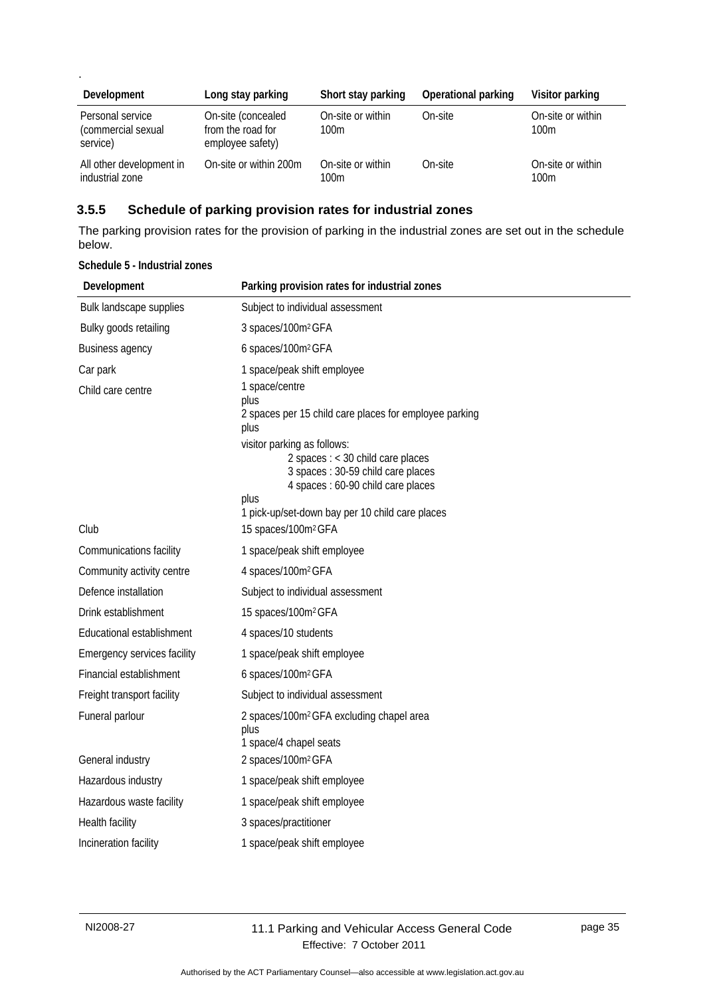| Development                                        | Long stay parking                                           | Short stay parking                    | <b>Operational parking</b> | Visitor parking           |
|----------------------------------------------------|-------------------------------------------------------------|---------------------------------------|----------------------------|---------------------------|
| Personal service<br>(commercial sexual<br>service) | On-site (concealed<br>from the road for<br>employee safety) | On-site or within<br>100 <sub>m</sub> | On-site                    | On-site or within<br>100m |
| All other development in<br>industrial zone        | On-site or within 200m                                      | On-site or within<br>100m             | On-site                    | On-site or within<br>100m |

## <span id="page-38-0"></span>**3.5.5 Schedule of parking provision rates for industrial zones**

The parking provision rates for the provision of parking in the industrial zones are set out in the schedule below.

| Development                 | Parking provision rates for industrial zones                                                                                                         |
|-----------------------------|------------------------------------------------------------------------------------------------------------------------------------------------------|
| Bulk landscape supplies     | Subject to individual assessment                                                                                                                     |
| Bulky goods retailing       | 3 spaces/100m <sup>2</sup> GFA                                                                                                                       |
| Business agency             | 6 spaces/100m <sup>2</sup> GFA                                                                                                                       |
| Car park                    | 1 space/peak shift employee                                                                                                                          |
| Child care centre           | 1 space/centre<br>plus<br>2 spaces per 15 child care places for employee parking<br>plus                                                             |
|                             | visitor parking as follows:<br>2 spaces : < 30 child care places<br>3 spaces : 30-59 child care places<br>4 spaces : 60-90 child care places<br>plus |
| Club                        | 1 pick-up/set-down bay per 10 child care places<br>15 spaces/100m <sup>2</sup> GFA                                                                   |
| Communications facility     | 1 space/peak shift employee                                                                                                                          |
| Community activity centre   | 4 spaces/100m <sup>2</sup> GFA                                                                                                                       |
| Defence installation        | Subject to individual assessment                                                                                                                     |
| Drink establishment         | 15 spaces/100m <sup>2</sup> GFA                                                                                                                      |
| Educational establishment   | 4 spaces/10 students                                                                                                                                 |
| Emergency services facility | 1 space/peak shift employee                                                                                                                          |
| Financial establishment     | 6 spaces/100m <sup>2</sup> GFA                                                                                                                       |
| Freight transport facility  | Subject to individual assessment                                                                                                                     |
| Funeral parlour             | 2 spaces/100m <sup>2</sup> GFA excluding chapel area<br>plus<br>1 space/4 chapel seats                                                               |
| General industry            | 2 spaces/100m <sup>2</sup> GFA                                                                                                                       |
| Hazardous industry          | 1 space/peak shift employee                                                                                                                          |
| Hazardous waste facility    | 1 space/peak shift employee                                                                                                                          |
| Health facility             | 3 spaces/practitioner                                                                                                                                |
| Incineration facility       | 1 space/peak shift employee                                                                                                                          |

**Schedule 5 - Industrial zones** 

.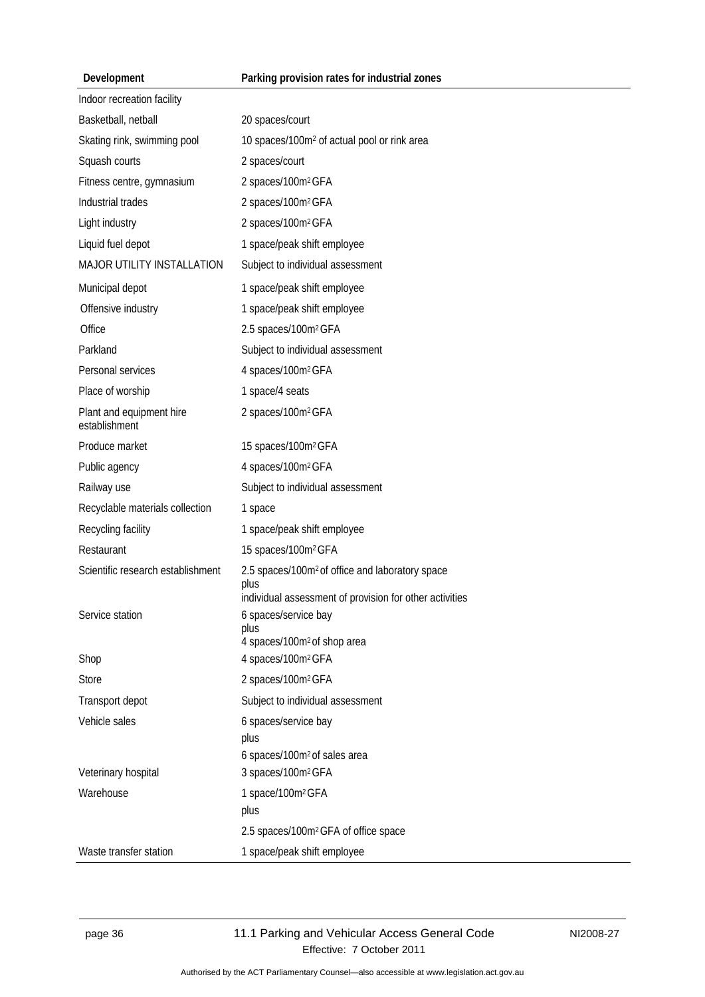## **Parking provision rates for industrial zones**

|  |  | Development |  |
|--|--|-------------|--|
|--|--|-------------|--|

| Indoor recreation facility                |                                                                                                                                |
|-------------------------------------------|--------------------------------------------------------------------------------------------------------------------------------|
| Basketball, netball                       | 20 spaces/court                                                                                                                |
| Skating rink, swimming pool               | 10 spaces/100m <sup>2</sup> of actual pool or rink area                                                                        |
| Squash courts                             | 2 spaces/court                                                                                                                 |
| Fitness centre, gymnasium                 | 2 spaces/100m <sup>2</sup> GFA                                                                                                 |
| Industrial trades                         | 2 spaces/100m <sup>2</sup> GFA                                                                                                 |
| Light industry                            | 2 spaces/100m <sup>2</sup> GFA                                                                                                 |
| Liquid fuel depot                         | 1 space/peak shift employee                                                                                                    |
| MAJOR UTILITY INSTALLATION                | Subject to individual assessment                                                                                               |
| Municipal depot                           | 1 space/peak shift employee                                                                                                    |
| Offensive industry                        | 1 space/peak shift employee                                                                                                    |
| Office                                    | 2.5 spaces/100m <sup>2</sup> GFA                                                                                               |
| Parkland                                  | Subject to individual assessment                                                                                               |
| Personal services                         | 4 spaces/100m <sup>2</sup> GFA                                                                                                 |
| Place of worship                          | 1 space/4 seats                                                                                                                |
| Plant and equipment hire<br>establishment | 2 spaces/100m <sup>2</sup> GFA                                                                                                 |
| Produce market                            | 15 spaces/100m <sup>2</sup> GFA                                                                                                |
| Public agency                             | 4 spaces/100m <sup>2</sup> GFA                                                                                                 |
| Railway use                               | Subject to individual assessment                                                                                               |
| Recyclable materials collection           | 1 space                                                                                                                        |
| Recycling facility                        | 1 space/peak shift employee                                                                                                    |
| Restaurant                                | 15 spaces/100m <sup>2</sup> GFA                                                                                                |
| Scientific research establishment         | 2.5 spaces/100m <sup>2</sup> of office and laboratory space<br>plus<br>individual assessment of provision for other activities |
| Service station                           | 6 spaces/service bay<br>plus<br>4 spaces/100m <sup>2</sup> of shop area                                                        |
| Shop                                      | 4 spaces/100m <sup>2</sup> GFA                                                                                                 |
| <b>Store</b>                              | 2 spaces/100m <sup>2</sup> GFA                                                                                                 |
| Transport depot                           | Subject to individual assessment                                                                                               |
| Vehicle sales                             | 6 spaces/service bay<br>plus                                                                                                   |
|                                           | 6 spaces/100m <sup>2</sup> of sales area                                                                                       |
| Veterinary hospital                       | 3 spaces/100m <sup>2</sup> GFA                                                                                                 |
| Warehouse                                 | 1 space/100m <sup>2</sup> GFA<br>plus                                                                                          |
|                                           | 2.5 spaces/100m <sup>2</sup> GFA of office space                                                                               |
| Waste transfer station                    | 1 space/peak shift employee                                                                                                    |
|                                           |                                                                                                                                |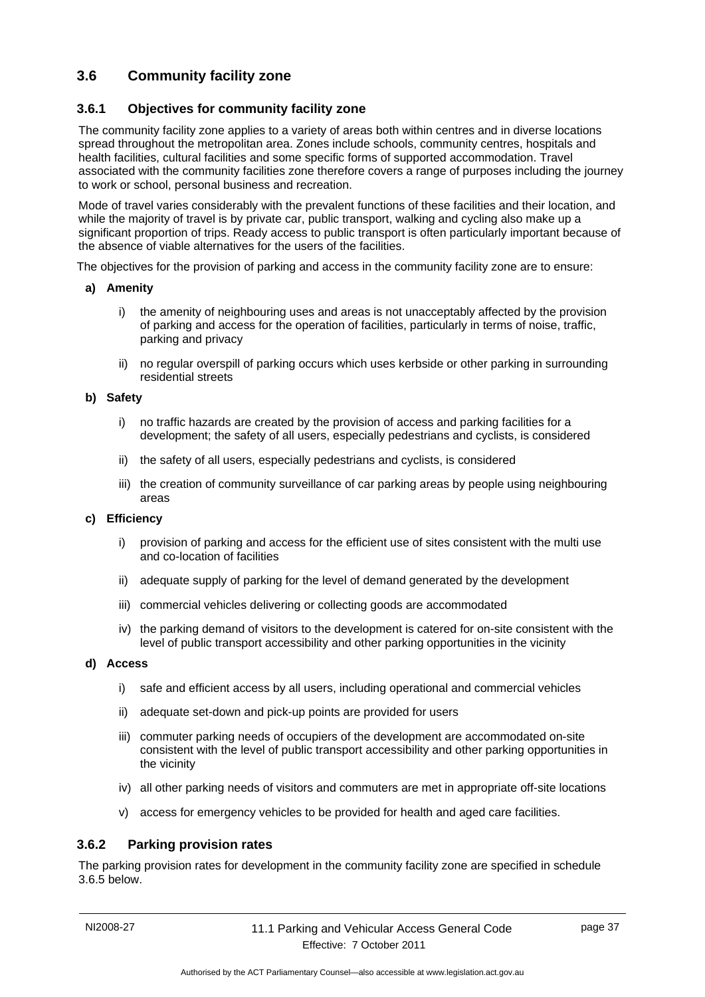## <span id="page-40-0"></span>**3.6 Community facility zone**

## <span id="page-40-1"></span>**3.6.1 Objectives for community facility zone**

The community facility zone applies to a variety of areas both within centres and in diverse locations spread throughout the metropolitan area. Zones include schools, community centres, hospitals and health facilities, cultural facilities and some specific forms of supported accommodation. Travel associated with the community facilities zone therefore covers a range of purposes including the journey to work or school, personal business and recreation.

Mode of travel varies considerably with the prevalent functions of these facilities and their location, and while the majority of travel is by private car, public transport, walking and cycling also make up a significant proportion of trips. Ready access to public transport is often particularly important because of the absence of viable alternatives for the users of the facilities.

The objectives for the provision of parking and access in the community facility zone are to ensure:

#### **a) Amenity**

- i) the amenity of neighbouring uses and areas is not unacceptably affected by the provision of parking and access for the operation of facilities, particularly in terms of noise, traffic, parking and privacy
- ii) no regular overspill of parking occurs which uses kerbside or other parking in surrounding residential streets

#### **b) Safety**

- i) no traffic hazards are created by the provision of access and parking facilities for a development; the safety of all users, especially pedestrians and cyclists, is considered
- ii) the safety of all users, especially pedestrians and cyclists, is considered
- iii) the creation of community surveillance of car parking areas by people using neighbouring areas

#### **c) Efficiency**

- i) provision of parking and access for the efficient use of sites consistent with the multi use and co-location of facilities
- ii) adequate supply of parking for the level of demand generated by the development
- iii) commercial vehicles delivering or collecting goods are accommodated
- iv) the parking demand of visitors to the development is catered for on-site consistent with the level of public transport accessibility and other parking opportunities in the vicinity
- **d) Access** 
	- i) safe and efficient access by all users, including operational and commercial vehicles
	- ii) adequate set-down and pick-up points are provided for users
	- iii) commuter parking needs of occupiers of the development are accommodated on-site consistent with the level of public transport accessibility and other parking opportunities in the vicinity
	- iv) all other parking needs of visitors and commuters are met in appropriate off-site locations
	- v) access for emergency vehicles to be provided for health and aged care facilities.

#### <span id="page-40-2"></span>**3.6.2 Parking provision rates**

The parking provision rates for development in the community facility zone are specified in schedule 3.6.5 below.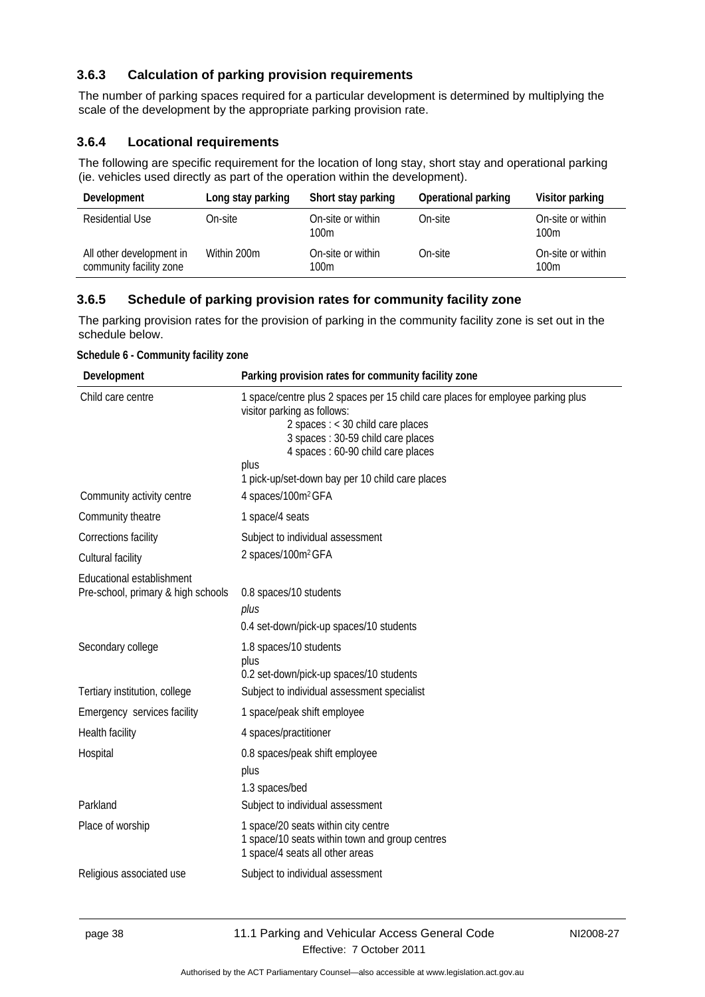## <span id="page-41-0"></span>**3.6.3 Calculation of parking provision requirements**

The number of parking spaces required for a particular development is determined by multiplying the scale of the development by the appropriate parking provision rate.

## <span id="page-41-1"></span>**3.6.4 Locational requirements**

The following are specific requirement for the location of long stay, short stay and operational parking (ie. vehicles used directly as part of the operation within the development).

| Development                                         | Long stay parking | Short stay parking        | <b>Operational parking</b> | Visitor parking           |
|-----------------------------------------------------|-------------------|---------------------------|----------------------------|---------------------------|
| Residential Use                                     | On-site           | On-site or within<br>100m | On-site                    | On-site or within<br>100m |
| All other development in<br>community facility zone | Within 200m       | On-site or within<br>100m | On-site                    | On-site or within<br>100m |

## <span id="page-41-2"></span>**3.6.5 Schedule of parking provision rates for community facility zone**

The parking provision rates for the provision of parking in the community facility zone is set out in the schedule below.

| Schedule 6 - Community facility zone |  |
|--------------------------------------|--|
|--------------------------------------|--|

| Development                                                     | Parking provision rates for community facility zone                                                                                                                                                                                                                                         |
|-----------------------------------------------------------------|---------------------------------------------------------------------------------------------------------------------------------------------------------------------------------------------------------------------------------------------------------------------------------------------|
| Child care centre                                               | 1 space/centre plus 2 spaces per 15 child care places for employee parking plus<br>visitor parking as follows:<br>2 spaces $:$ < 30 child care places<br>3 spaces: 30-59 child care places<br>4 spaces : 60-90 child care places<br>plus<br>1 pick-up/set-down bay per 10 child care places |
| Community activity centre                                       | 4 spaces/100m <sup>2</sup> GFA                                                                                                                                                                                                                                                              |
| Community theatre                                               | 1 space/4 seats                                                                                                                                                                                                                                                                             |
| Corrections facility                                            | Subject to individual assessment                                                                                                                                                                                                                                                            |
| Cultural facility                                               | 2 spaces/100m <sup>2</sup> GFA                                                                                                                                                                                                                                                              |
| Educational establishment<br>Pre-school, primary & high schools | 0.8 spaces/10 students<br>plus<br>0.4 set-down/pick-up spaces/10 students                                                                                                                                                                                                                   |
| Secondary college                                               | 1.8 spaces/10 students<br>plus<br>0.2 set-down/pick-up spaces/10 students                                                                                                                                                                                                                   |
| Tertiary institution, college                                   | Subject to individual assessment specialist                                                                                                                                                                                                                                                 |
| Emergency services facility                                     | 1 space/peak shift employee                                                                                                                                                                                                                                                                 |
| Health facility                                                 | 4 spaces/practitioner                                                                                                                                                                                                                                                                       |
| Hospital                                                        | 0.8 spaces/peak shift employee<br>plus<br>1.3 spaces/bed                                                                                                                                                                                                                                    |
| Parkland                                                        | Subject to individual assessment                                                                                                                                                                                                                                                            |
| Place of worship                                                | 1 space/20 seats within city centre<br>1 space/10 seats within town and group centres<br>1 space/4 seats all other areas                                                                                                                                                                    |
| Religious associated use                                        | Subject to individual assessment                                                                                                                                                                                                                                                            |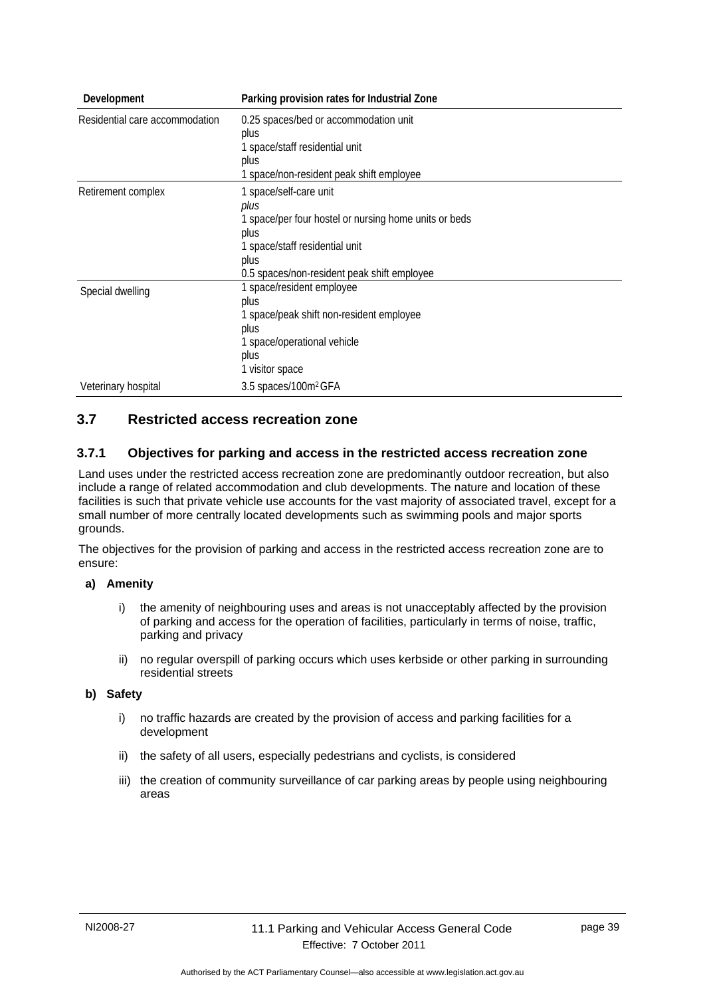| Development                    | Parking provision rates for Industrial Zone                                                                                                                                              |
|--------------------------------|------------------------------------------------------------------------------------------------------------------------------------------------------------------------------------------|
| Residential care accommodation | 0.25 spaces/bed or accommodation unit<br>plus<br>1 space/staff residential unit<br>plus<br>1 space/non-resident peak shift employee                                                      |
| Retirement complex             | 1 space/self-care unit<br>plus<br>1 space/per four hostel or nursing home units or beds<br>plus<br>1 space/staff residential unit<br>plus<br>0.5 spaces/non-resident peak shift employee |
| Special dwelling               | 1 space/resident employee<br>plus<br>1 space/peak shift non-resident employee<br>plus<br>1 space/operational vehicle<br>plus<br>1 visitor space                                          |
| Veterinary hospital            | 3.5 spaces/100m <sup>2</sup> GFA                                                                                                                                                         |

## <span id="page-42-0"></span>**3.7 Restricted access recreation zone**

#### <span id="page-42-1"></span>**3.7.1 Objectives for parking and access in the restricted access recreation zone**

Land uses under the restricted access recreation zone are predominantly outdoor recreation, but also include a range of related accommodation and club developments. The nature and location of these facilities is such that private vehicle use accounts for the vast majority of associated travel, except for a small number of more centrally located developments such as swimming pools and major sports grounds.

The objectives for the provision of parking and access in the restricted access recreation zone are to ensure:

#### **a) Amenity**

- i) the amenity of neighbouring uses and areas is not unacceptably affected by the provision of parking and access for the operation of facilities, particularly in terms of noise, traffic, parking and privacy
- ii) no regular overspill of parking occurs which uses kerbside or other parking in surrounding residential streets

#### **b) Safety**

- i) no traffic hazards are created by the provision of access and parking facilities for a development
- ii) the safety of all users, especially pedestrians and cyclists, is considered
- iii) the creation of community surveillance of car parking areas by people using neighbouring areas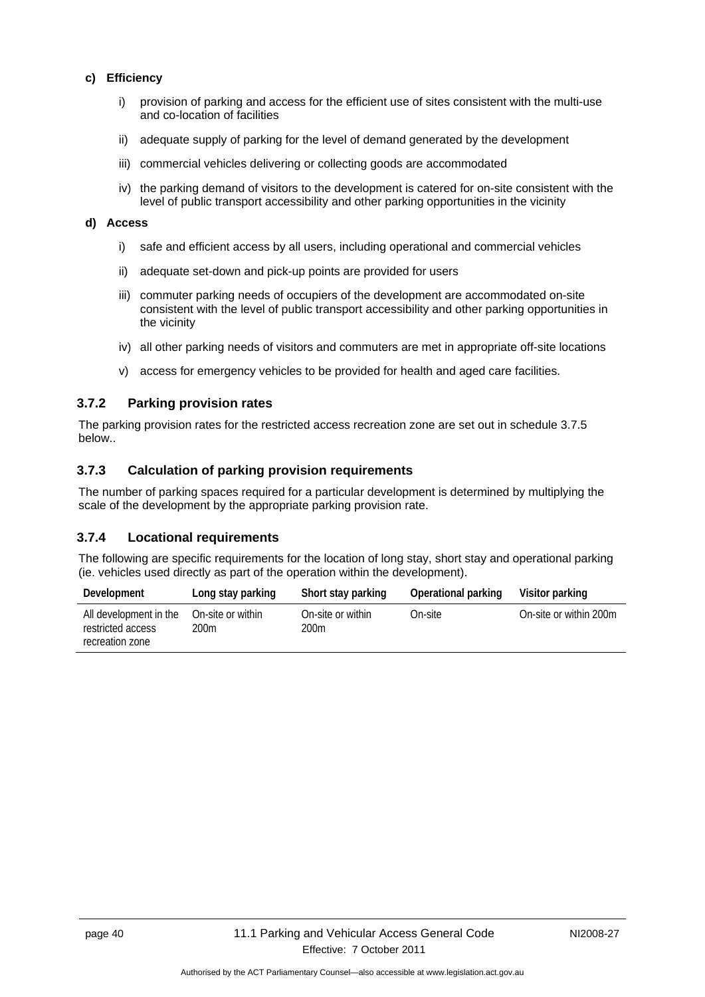#### **c) Efficiency**

- i) provision of parking and access for the efficient use of sites consistent with the multi-use and co-location of facilities
- ii) adequate supply of parking for the level of demand generated by the development
- iii) commercial vehicles delivering or collecting goods are accommodated
- iv) the parking demand of visitors to the development is catered for on-site consistent with the level of public transport accessibility and other parking opportunities in the vicinity

#### **d) Access**

- i) safe and efficient access by all users, including operational and commercial vehicles
- ii) adequate set-down and pick-up points are provided for users
- iii) commuter parking needs of occupiers of the development are accommodated on-site consistent with the level of public transport accessibility and other parking opportunities in the vicinity
- iv) all other parking needs of visitors and commuters are met in appropriate off-site locations
- v) access for emergency vehicles to be provided for health and aged care facilities.

## <span id="page-43-0"></span>**3.7.2 Parking provision rates**

The parking provision rates for the restricted access recreation zone are set out in schedule 3.7.5 below..

#### <span id="page-43-1"></span>**3.7.3 Calculation of parking provision requirements**

The number of parking spaces required for a particular development is determined by multiplying the scale of the development by the appropriate parking provision rate.

#### <span id="page-43-2"></span>**3.7.4 Locational requirements**

The following are specific requirements for the location of long stay, short stay and operational parking (ie. vehicles used directly as part of the operation within the development).

| Development                                                    | Long stay parking         | Short stay parking        | Operational parking | Visitor parking        |
|----------------------------------------------------------------|---------------------------|---------------------------|---------------------|------------------------|
| All development in the<br>restricted access<br>recreation zone | On-site or within<br>200m | On-site or within<br>200m | On-site             | On-site or within 200m |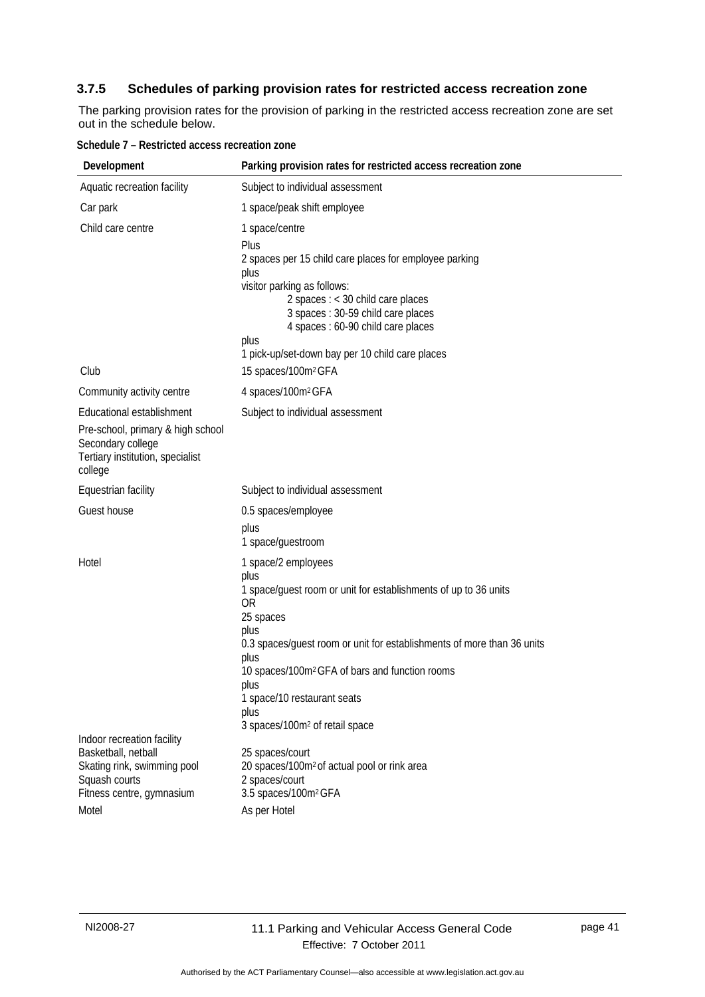## <span id="page-44-0"></span>**3.7.5 Schedules of parking provision rates for restricted access recreation zone**

The parking provision rates for the provision of parking in the restricted access recreation zone are set out in the schedule below.

| Development                                                                                                                        | Parking provision rates for restricted access recreation zone                                                                                                                                                                                                                                                                                                                 |
|------------------------------------------------------------------------------------------------------------------------------------|-------------------------------------------------------------------------------------------------------------------------------------------------------------------------------------------------------------------------------------------------------------------------------------------------------------------------------------------------------------------------------|
| Aquatic recreation facility                                                                                                        | Subject to individual assessment                                                                                                                                                                                                                                                                                                                                              |
| Car park                                                                                                                           | 1 space/peak shift employee                                                                                                                                                                                                                                                                                                                                                   |
| Child care centre                                                                                                                  | 1 space/centre<br>Plus<br>2 spaces per 15 child care places for employee parking<br>plus<br>visitor parking as follows:<br>2 spaces $:$ < 30 child care places<br>3 spaces: 30-59 child care places<br>4 spaces : 60-90 child care places<br>plus<br>1 pick-up/set-down bay per 10 child care places                                                                          |
| Club                                                                                                                               | 15 spaces/100m <sup>2</sup> GFA                                                                                                                                                                                                                                                                                                                                               |
| Community activity centre                                                                                                          | 4 spaces/100m <sup>2</sup> GFA                                                                                                                                                                                                                                                                                                                                                |
| Educational establishment<br>Pre-school, primary & high school<br>Secondary college<br>Tertiary institution, specialist<br>college | Subject to individual assessment                                                                                                                                                                                                                                                                                                                                              |
| Equestrian facility                                                                                                                | Subject to individual assessment                                                                                                                                                                                                                                                                                                                                              |
| Guest house                                                                                                                        | 0.5 spaces/employee                                                                                                                                                                                                                                                                                                                                                           |
|                                                                                                                                    | plus<br>1 space/guestroom                                                                                                                                                                                                                                                                                                                                                     |
| Hotel                                                                                                                              | 1 space/2 employees<br>plus<br>1 space/guest room or unit for establishments of up to 36 units<br><b>OR</b><br>25 spaces<br>plus<br>0.3 spaces/guest room or unit for establishments of more than 36 units<br>plus<br>10 spaces/100m <sup>2</sup> GFA of bars and function rooms<br>plus<br>1 space/10 restaurant seats<br>plus<br>3 spaces/100m <sup>2</sup> of retail space |
| Indoor recreation facility                                                                                                         |                                                                                                                                                                                                                                                                                                                                                                               |
| Basketball, netball<br>Skating rink, swimming pool<br>Squash courts<br>Fitness centre, gymnasium                                   | 25 spaces/court<br>20 spaces/100m <sup>2</sup> of actual pool or rink area<br>2 spaces/court<br>3.5 spaces/100m <sup>2</sup> GFA                                                                                                                                                                                                                                              |
| Motel                                                                                                                              | As per Hotel                                                                                                                                                                                                                                                                                                                                                                  |

| Schedule 7 - Restricted access recreation zone |  |
|------------------------------------------------|--|
|------------------------------------------------|--|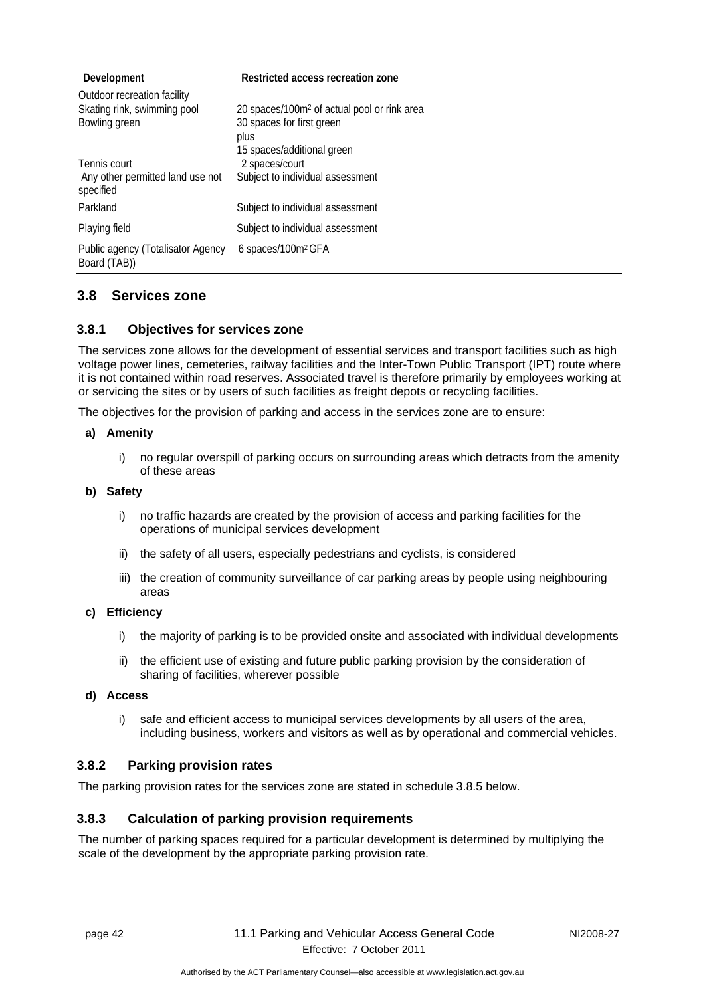| Development                                       | Restricted access recreation zone                       |
|---------------------------------------------------|---------------------------------------------------------|
| Outdoor recreation facility                       |                                                         |
| Skating rink, swimming pool                       | 20 spaces/100m <sup>2</sup> of actual pool or rink area |
| Bowling green                                     | 30 spaces for first green                               |
|                                                   | plus                                                    |
|                                                   | 15 spaces/additional green                              |
| Tennis court                                      | 2 spaces/court                                          |
| Any other permitted land use not<br>specified     | Subject to individual assessment                        |
| Parkland                                          | Subject to individual assessment                        |
| Playing field                                     | Subject to individual assessment                        |
| Public agency (Totalisator Agency<br>Board (TAB)) | 6 spaces/100m <sup>2</sup> GFA                          |

## <span id="page-45-0"></span>**3.8 Services zone**

## <span id="page-45-1"></span>**3.8.1 Objectives for services zone**

The services zone allows for the development of essential services and transport facilities such as high voltage power lines, cemeteries, railway facilities and the Inter-Town Public Transport (IPT) route where it is not contained within road reserves. Associated travel is therefore primarily by employees working at or servicing the sites or by users of such facilities as freight depots or recycling facilities.

The objectives for the provision of parking and access in the services zone are to ensure:

#### **a) Amenity**

i) no regular overspill of parking occurs on surrounding areas which detracts from the amenity of these areas

#### **b) Safety**

- i) no traffic hazards are created by the provision of access and parking facilities for the operations of municipal services development
- ii) the safety of all users, especially pedestrians and cyclists, is considered
- iii) the creation of community surveillance of car parking areas by people using neighbouring areas

#### **c) Efficiency**

- i) the majority of parking is to be provided onsite and associated with individual developments
- ii) the efficient use of existing and future public parking provision by the consideration of sharing of facilities, wherever possible

#### **d) Access**

i) safe and efficient access to municipal services developments by all users of the area, including business, workers and visitors as well as by operational and commercial vehicles.

#### <span id="page-45-2"></span>**3.8.2 Parking provision rates**

The parking provision rates for the services zone are stated in schedule 3.8.5 below.

## <span id="page-45-3"></span>**3.8.3 Calculation of parking provision requirements**

The number of parking spaces required for a particular development is determined by multiplying the scale of the development by the appropriate parking provision rate.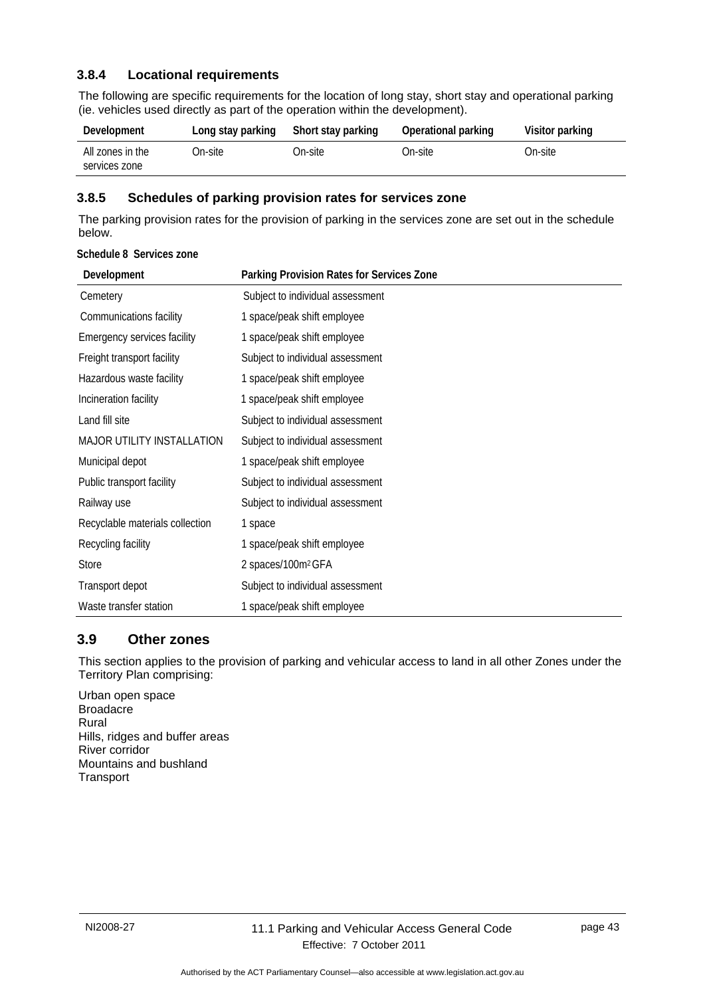## <span id="page-46-0"></span>**3.8.4 Locational requirements**

The following are specific requirements for the location of long stay, short stay and operational parking (ie. vehicles used directly as part of the operation within the development).

| Development                       | Long stay parking | Short stay parking | Operational parking | Visitor parking |
|-----------------------------------|-------------------|--------------------|---------------------|-----------------|
| All zones in the<br>services zone | On-site           | On-site            | On-site             | On-site l       |

#### <span id="page-46-1"></span>**3.8.5 Schedules of parking provision rates for services zone**

The parking provision rates for the provision of parking in the services zone are set out in the schedule below.

#### **Schedule 8 Services zone**

| Development                       | Parking Provision Rates for Services Zone |
|-----------------------------------|-------------------------------------------|
| Cemetery                          | Subject to individual assessment          |
| Communications facility           | 1 space/peak shift employee               |
| Emergency services facility       | 1 space/peak shift employee               |
| Freight transport facility        | Subject to individual assessment          |
| Hazardous waste facility          | 1 space/peak shift employee               |
| Incineration facility             | 1 space/peak shift employee               |
| Land fill site                    | Subject to individual assessment          |
| <b>MAJOR UTILITY INSTALLATION</b> | Subject to individual assessment          |
| Municipal depot                   | 1 space/peak shift employee               |
| Public transport facility         | Subject to individual assessment          |
| Railway use                       | Subject to individual assessment          |
| Recyclable materials collection   | 1 space                                   |
| Recycling facility                | 1 space/peak shift employee               |
| <b>Store</b>                      | 2 spaces/100m <sup>2</sup> GFA            |
| Transport depot                   | Subject to individual assessment          |
| Waste transfer station            | 1 space/peak shift employee               |

## <span id="page-46-2"></span>**3.9 Other zones**

This section applies to the provision of parking and vehicular access to land in all other Zones under the Territory Plan comprising:

Urban open space **Broadacre** Rural Hills, ridges and buffer areas River corridor Mountains and bushland **Transport**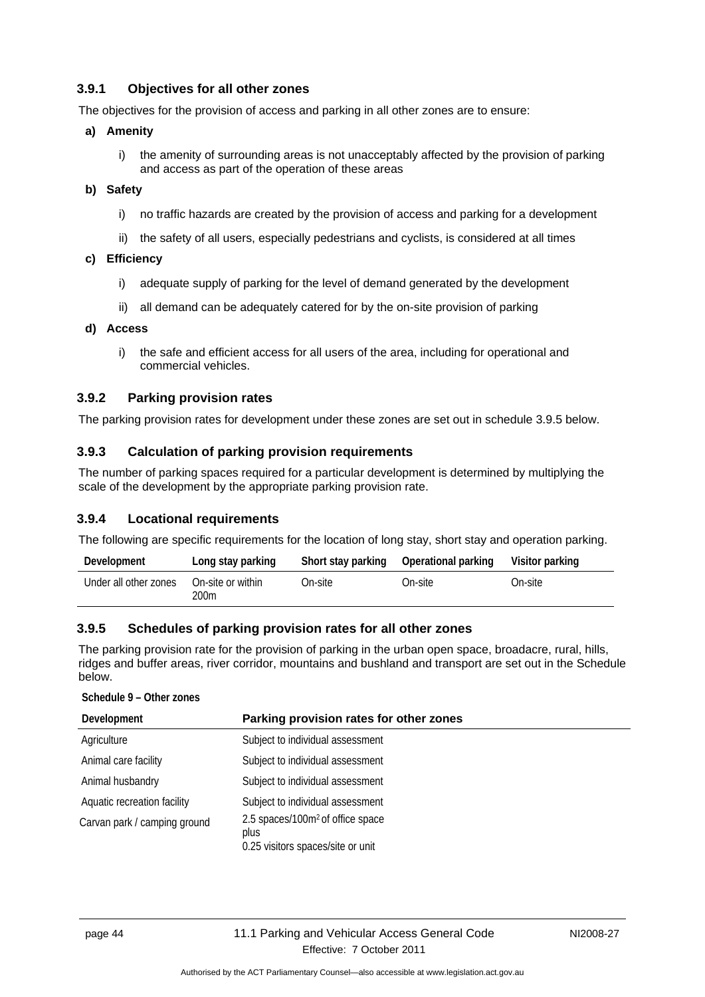## <span id="page-47-0"></span>**3.9.1 Objectives for all other zones**

The objectives for the provision of access and parking in all other zones are to ensure:

#### **a) Amenity**

i) the amenity of surrounding areas is not unacceptably affected by the provision of parking and access as part of the operation of these areas

#### **b) Safety**

- i) no traffic hazards are created by the provision of access and parking for a development
- ii) the safety of all users, especially pedestrians and cyclists, is considered at all times
- **c) Efficiency** 
	- i) adequate supply of parking for the level of demand generated by the development
	- ii) all demand can be adequately catered for by the on-site provision of parking

#### **d) Access**

i) the safe and efficient access for all users of the area, including for operational and commercial vehicles.

## <span id="page-47-1"></span>**3.9.2 Parking provision rates**

The parking provision rates for development under these zones are set out in schedule 3.9.5 below.

## <span id="page-47-2"></span>**3.9.3 Calculation of parking provision requirements**

The number of parking spaces required for a particular development is determined by multiplying the scale of the development by the appropriate parking provision rate.

## <span id="page-47-3"></span>**3.9.4 Locational requirements**

The following are specific requirements for the location of long stay, short stay and operation parking.

| Development           | Long stay parking         | Short stay parking | Operational parking | Visitor parking |
|-----------------------|---------------------------|--------------------|---------------------|-----------------|
| Under all other zones | On-site or within<br>200m | On-site:           | On-site.            | On-site         |

## <span id="page-47-4"></span>**3.9.5 Schedules of parking provision rates for all other zones**

The parking provision rate for the provision of parking in the urban open space, broadacre, rural, hills, ridges and buffer areas, river corridor, mountains and bushland and transport are set out in the Schedule below.

#### **Schedule 9 – Other zones**

| Development                  | Parking provision rates for other zones                                                   |
|------------------------------|-------------------------------------------------------------------------------------------|
| Agriculture                  | Subject to individual assessment                                                          |
| Animal care facility         | Subject to individual assessment                                                          |
| Animal husbandry             | Subject to individual assessment                                                          |
| Aquatic recreation facility  | Subject to individual assessment                                                          |
| Carvan park / camping ground | 2.5 spaces/100m <sup>2</sup> of office space<br>plus<br>0.25 visitors spaces/site or unit |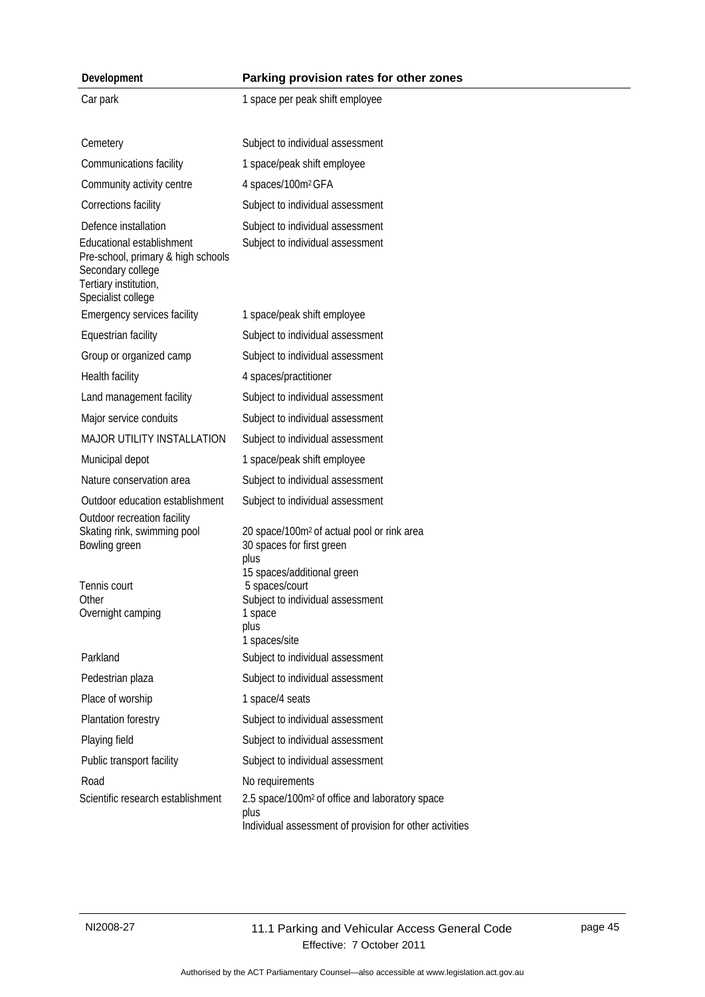| Development                                                                                                                         | Parking provision rates for other zones                                                                                       |
|-------------------------------------------------------------------------------------------------------------------------------------|-------------------------------------------------------------------------------------------------------------------------------|
| Car park                                                                                                                            | 1 space per peak shift employee                                                                                               |
|                                                                                                                                     |                                                                                                                               |
| Cemetery                                                                                                                            | Subject to individual assessment                                                                                              |
| Communications facility                                                                                                             | 1 space/peak shift employee                                                                                                   |
| Community activity centre                                                                                                           | 4 spaces/100m <sup>2</sup> GFA                                                                                                |
| Corrections facility                                                                                                                | Subject to individual assessment                                                                                              |
| Defence installation                                                                                                                | Subject to individual assessment                                                                                              |
| Educational establishment<br>Pre-school, primary & high schools<br>Secondary college<br>Tertiary institution,<br>Specialist college | Subject to individual assessment                                                                                              |
| Emergency services facility                                                                                                         | 1 space/peak shift employee                                                                                                   |
| Equestrian facility                                                                                                                 | Subject to individual assessment                                                                                              |
| Group or organized camp                                                                                                             | Subject to individual assessment                                                                                              |
| Health facility                                                                                                                     | 4 spaces/practitioner                                                                                                         |
| Land management facility                                                                                                            | Subject to individual assessment                                                                                              |
| Major service conduits                                                                                                              | Subject to individual assessment                                                                                              |
| MAJOR UTILITY INSTALLATION                                                                                                          | Subject to individual assessment                                                                                              |
| Municipal depot                                                                                                                     | 1 space/peak shift employee                                                                                                   |
| Nature conservation area                                                                                                            | Subject to individual assessment                                                                                              |
| Outdoor education establishment                                                                                                     | Subject to individual assessment                                                                                              |
| Outdoor recreation facility<br>Skating rink, swimming pool<br>Bowling green                                                         | 20 space/100m <sup>2</sup> of actual pool or rink area<br>30 spaces for first green<br>plus                                   |
| Tennis court<br>Other<br>Overnight camping                                                                                          | 15 spaces/additional green<br>5 spaces/court<br>Subject to individual assessment<br>1 space<br>plus<br>1 spaces/site          |
| Parkland                                                                                                                            | Subject to individual assessment                                                                                              |
| Pedestrian plaza                                                                                                                    | Subject to individual assessment                                                                                              |
| Place of worship                                                                                                                    | 1 space/4 seats                                                                                                               |
| Plantation forestry                                                                                                                 | Subject to individual assessment                                                                                              |
| Playing field                                                                                                                       | Subject to individual assessment                                                                                              |
| Public transport facility                                                                                                           | Subject to individual assessment                                                                                              |
| Road                                                                                                                                | No requirements                                                                                                               |
| Scientific research establishment                                                                                                   | 2.5 space/100m <sup>2</sup> of office and laboratory space<br>plus<br>Individual assessment of provision for other activities |